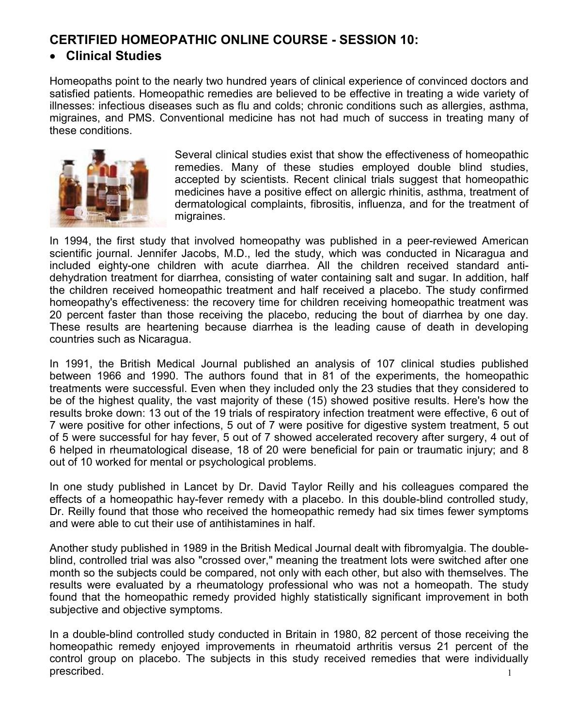# **CERTIFIED HOMEOPATHIC ONLINE COURSE - SESSION 10:**

## • **Clinical Studies**

Homeopaths point to the nearly two hundred years of clinical experience of convinced doctors and satisfied patients. Homeopathic remedies are believed to be effective in treating a wide variety of illnesses: infectious diseases such as flu and colds; chronic conditions such as allergies, asthma, migraines, and PMS. Conventional medicine has not had much of success in treating many of these conditions.



Several clinical studies exist that show the effectiveness of homeopathic remedies. Many of these studies employed double blind studies, accepted by scientists. Recent clinical trials suggest that homeopathic medicines have a positive effect on allergic rhinitis, asthma, treatment of dermatological complaints, fibrositis, influenza, and for the treatment of migraines.

In 1994, the first study that involved homeopathy was published in a peer-reviewed American scientific journal. Jennifer Jacobs, M.D., led the study, which was conducted in Nicaragua and included eighty-one children with acute diarrhea. All the children received standard antidehydration treatment for diarrhea, consisting of water containing salt and sugar. In addition, half the children received homeopathic treatment and half received a placebo. The study confirmed homeopathy's effectiveness: the recovery time for children receiving homeopathic treatment was 20 percent faster than those receiving the placebo, reducing the bout of diarrhea by one day. These results are heartening because diarrhea is the leading cause of death in developing countries such as Nicaragua.

In 1991, the British Medical Journal published an analysis of 107 clinical studies published between 1966 and 1990. The authors found that in 81 of the experiments, the homeopathic treatments were successful. Even when they included only the 23 studies that they considered to be of the highest quality, the vast majority of these (15) showed positive results. Here's how the results broke down: 13 out of the 19 trials of respiratory infection treatment were effective, 6 out of 7 were positive for other infections, 5 out of 7 were positive for digestive system treatment, 5 out of 5 were successful for hay fever, 5 out of 7 showed accelerated recovery after surgery, 4 out of 6 helped in rheumatological disease, 18 of 20 were beneficial for pain or traumatic injury; and 8 out of 10 worked for mental or psychological problems.

In one study published in Lancet by Dr. David Taylor Reilly and his colleagues compared the effects of a homeopathic hay-fever remedy with a placebo. In this double-blind controlled study, Dr. Reilly found that those who received the homeopathic remedy had six times fewer symptoms and were able to cut their use of antihistamines in half.

Another study published in 1989 in the British Medical Journal dealt with fibromyalgia. The doubleblind, controlled trial was also "crossed over," meaning the treatment lots were switched after one month so the subjects could be compared, not only with each other, but also with themselves. The results were evaluated by a rheumatology professional who was not a homeopath. The study found that the homeopathic remedy provided highly statistically significant improvement in both subjective and objective symptoms.

1 In a double-blind controlled study conducted in Britain in 1980, 82 percent of those receiving the homeopathic remedy enjoyed improvements in rheumatoid arthritis versus 21 percent of the control group on placebo. The subjects in this study received remedies that were individually prescribed.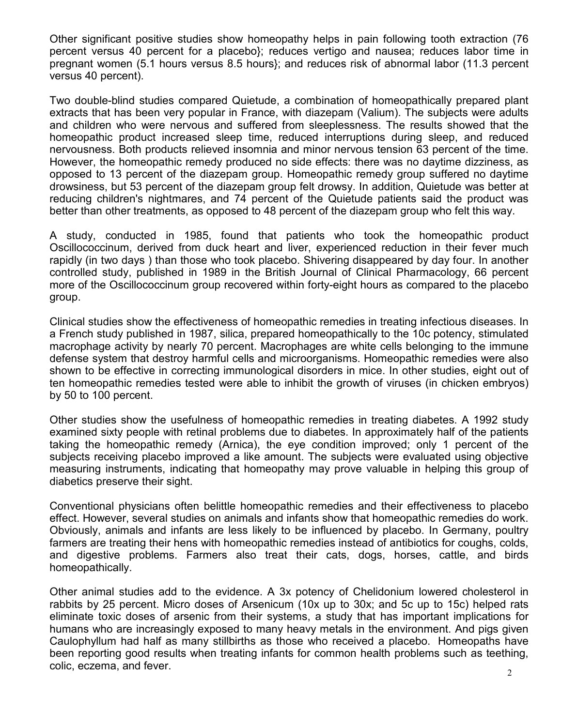Other significant positive studies show homeopathy helps in pain following tooth extraction (76 percent versus 40 percent for a placebo}; reduces vertigo and nausea; reduces labor time in pregnant women (5.1 hours versus 8.5 hours}; and reduces risk of abnormal labor (11.3 percent versus 40 percent).

Two double-blind studies compared Quietude, a combination of homeopathically prepared plant extracts that has been very popular in France, with diazepam (Valium). The subjects were adults and children who were nervous and suffered from sleeplessness. The results showed that the homeopathic product increased sleep time, reduced interruptions during sleep, and reduced nervousness. Both products relieved insomnia and minor nervous tension 63 percent of the time. However, the homeopathic remedy produced no side effects: there was no daytime dizziness, as opposed to 13 percent of the diazepam group. Homeopathic remedy group suffered no daytime drowsiness, but 53 percent of the diazepam group felt drowsy. In addition, Quietude was better at reducing children's nightmares, and 74 percent of the Quietude patients said the product was better than other treatments, as opposed to 48 percent of the diazepam group who felt this way.

A study, conducted in 1985, found that patients who took the homeopathic product Oscillococcinum, derived from duck heart and liver, experienced reduction in their fever much rapidly (in two days ) than those who took placebo. Shivering disappeared by day four. In another controlled study, published in 1989 in the British Journal of Clinical Pharmacology, 66 percent more of the Oscillococcinum group recovered within forty-eight hours as compared to the placebo group.

Clinical studies show the effectiveness of homeopathic remedies in treating infectious diseases. In a French study published in 1987, silica, prepared homeopathically to the 10c potency, stimulated macrophage activity by nearly 70 percent. Macrophages are white cells belonging to the immune defense system that destroy harmful cells and microorganisms. Homeopathic remedies were also shown to be effective in correcting immunological disorders in mice. In other studies, eight out of ten homeopathic remedies tested were able to inhibit the growth of viruses (in chicken embryos) by 50 to 100 percent.

Other studies show the usefulness of homeopathic remedies in treating diabetes. A 1992 study examined sixty people with retinal problems due to diabetes. In approximately half of the patients taking the homeopathic remedy (Arnica), the eye condition improved; only 1 percent of the subjects receiving placebo improved a like amount. The subjects were evaluated using objective measuring instruments, indicating that homeopathy may prove valuable in helping this group of diabetics preserve their sight.

Conventional physicians often belittle homeopathic remedies and their effectiveness to placebo effect. However, several studies on animals and infants show that homeopathic remedies do work. Obviously, animals and infants are less likely to be influenced by placebo. In Germany, poultry farmers are treating their hens with homeopathic remedies instead of antibiotics for coughs, colds, and digestive problems. Farmers also treat their cats, dogs, horses, cattle, and birds homeopathically.

Other animal studies add to the evidence. A 3x potency of Chelidonium lowered cholesterol in rabbits by 25 percent. Micro doses of Arsenicum (10x up to 30x; and 5c up to 15c) helped rats eliminate toxic doses of arsenic from their systems, a study that has important implications for humans who are increasingly exposed to many heavy metals in the environment. And pigs given Caulophyllum had half as many stillbirths as those who received a placebo. Homeopaths have been reporting good results when treating infants for common health problems such as teething, colic, eczema, and fever.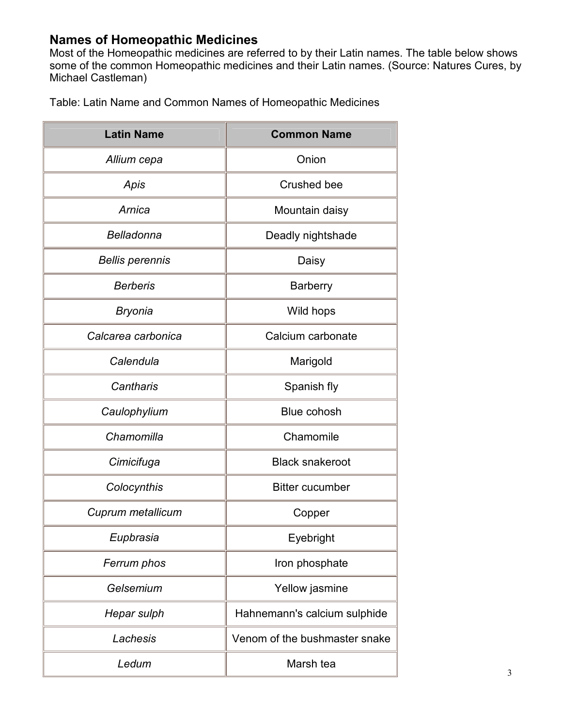# **Names of Homeopathic Medicines**

Most of the Homeopathic medicines are referred to by their Latin names. The table below shows some of the common Homeopathic medicines and their Latin names. (Source: Natures Cures, by Michael Castleman)

Table: Latin Name and Common Names of Homeopathic Medicines

| <b>Latin Name</b>      | <b>Common Name</b>            |
|------------------------|-------------------------------|
| Allium cepa            | Onion                         |
| Apis                   | <b>Crushed bee</b>            |
| Arnica                 | Mountain daisy                |
| Belladonna             | Deadly nightshade             |
| <b>Bellis perennis</b> | Daisy                         |
| <b>Berberis</b>        | <b>Barberry</b>               |
| Bryonia                | Wild hops                     |
| Calcarea carbonica     | Calcium carbonate             |
| Calendula              | Marigold                      |
| Cantharis              | Spanish fly                   |
| Caulophylium           | Blue cohosh                   |
| Chamomilla             | Chamomile                     |
| Cimicifuga             | <b>Black snakeroot</b>        |
| Colocynthis            | <b>Bitter cucumber</b>        |
| Cuprum metallicum      | Copper                        |
| Eupbrasia              | Eyebright                     |
| Ferrum phos            | Iron phosphate                |
| Gelsemium              | Yellow jasmine                |
| Hepar sulph            | Hahnemann's calcium sulphide  |
| Lachesis               | Venom of the bushmaster snake |
| Ledum                  | Marsh tea                     |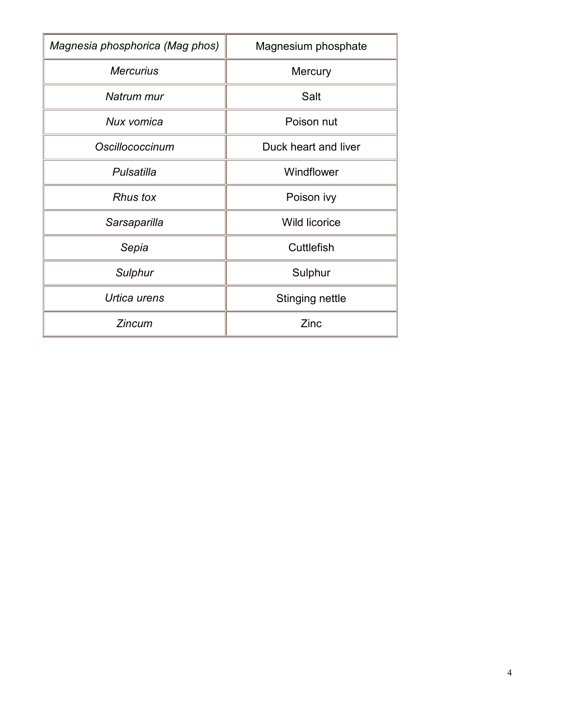| Magnesia phosphorica (Mag phos) | Magnesium phosphate  |
|---------------------------------|----------------------|
| <b>Mercurius</b>                | Mercury              |
| Natrum mur                      | Salt                 |
| Nux vomica                      | Poison nut           |
| Oscillococcinum                 | Duck heart and liver |
| Pulsatilla                      | Windflower           |
| Rhus tox                        | Poison ivy           |
| Sarsaparilla                    | <b>Wild licorice</b> |
| Sepia                           | Cuttlefish           |
| Sulphur                         | Sulphur              |
| Urtica urens                    | Stinging nettle      |
| Zincum                          | Zinc                 |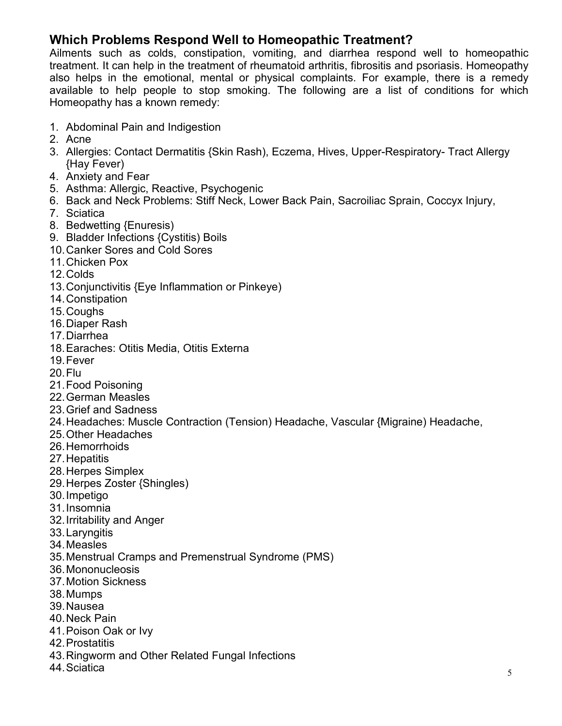# **Which Problems Respond Well to Homeopathic Treatment?**

Ailments such as colds, constipation, vomiting, and diarrhea respond well to homeopathic treatment. It can help in the treatment of rheumatoid arthritis, fibrositis and psoriasis. Homeopathy also helps in the emotional, mental or physical complaints. For example, there is a remedy available to help people to stop smoking. The following are a list of conditions for which Homeopathy has a known remedy:

- 1. Abdominal Pain and Indigestion
- 2. Acne
- 3. Allergies: Contact Dermatitis {Skin Rash), Eczema, Hives, Upper-Respiratory- Tract Allergy {Hay Fever)
- 4. Anxiety and Fear
- 5. Asthma: Allergic, Reactive, Psychogenic
- 6. Back and Neck Problems: Stiff Neck, Lower Back Pain, Sacroiliac Sprain, Coccyx Injury,
- 7. Sciatica
- 8. Bedwetting {Enuresis)
- 9. Bladder Infections {Cystitis) Boils
- 10. Canker Sores and Cold Sores
- 11. Chicken Pox
- 12. Colds
- 13. Conjunctivitis {Eye Inflammation or Pinkeye)
- 14. Constipation
- 15. Coughs
- 16. Diaper Rash
- 17. Diarrhea
- 18. Earaches: Otitis Media, Otitis Externa
- 19. Fever
- 20. Flu
- 21. Food Poisoning
- 22. German Measles
- 23. Grief and Sadness
- 24. Headaches: Muscle Contraction (Tension) Headache, Vascular {Migraine) Headache,
- 25. Other Headaches
- 26. Hemorrhoids
- 27. Hepatitis
- 28. Herpes Simplex
- 29. Herpes Zoster {Shingles)
- 30. Impetigo
- 31. Insomnia
- 32. Irritability and Anger
- 33. Laryngitis
- 34. Measles
- 35. Menstrual Cramps and Premenstrual Syndrome (PMS)
- 36. Mononucleosis
- 37. Motion Sickness
- 38. Mumps
- 39. Nausea
- 40. Neck Pain
- 41. Poison Oak or Ivy
- 42. Prostatitis
- 43. Ringworm and Other Related Fungal Infections
- 44. Sciatica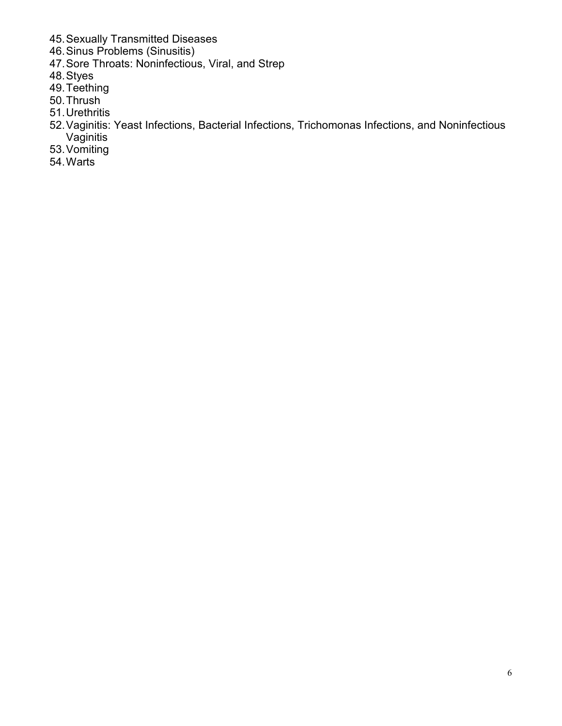- 45. Sexually Transmitted Diseases
- 46. Sinus Problems (Sinusitis)
- 47. Sore Throats: Noninfectious, Viral, and Strep
- 48. Styes
- 49. Teething
- 50. Thrush
- 51. Urethritis
- 52. Vaginitis: Yeast Infections, Bacterial Infections, Trichomonas Infections, and Noninfectious Vaginitis
- 53. Vomiting
- 54. Warts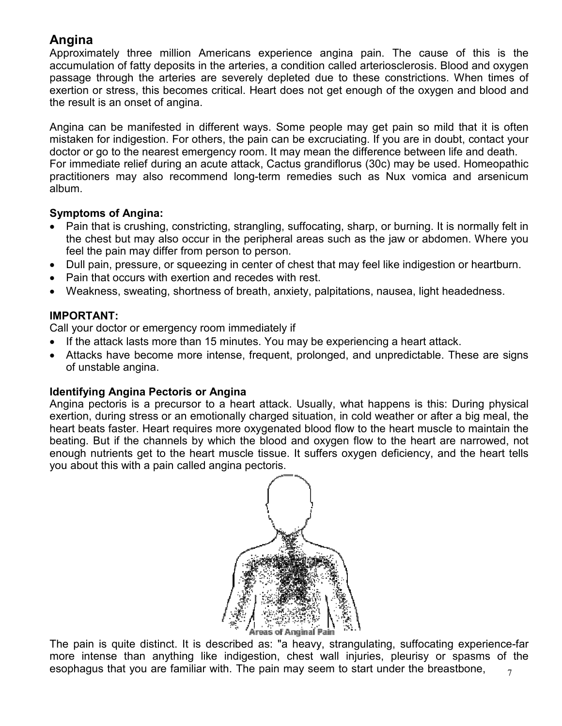# **Angina**

Approximately three million Americans experience angina pain. The cause of this is the accumulation of fatty deposits in the arteries, a condition called arteriosclerosis. Blood and oxygen passage through the arteries are severely depleted due to these constrictions. When times of exertion or stress, this becomes critical. Heart does not get enough of the oxygen and blood and the result is an onset of angina.

Angina can be manifested in different ways. Some people may get pain so mild that it is often mistaken for indigestion. For others, the pain can be excruciating. If you are in doubt, contact your doctor or go to the nearest emergency room. It may mean the difference between life and death. For immediate relief during an acute attack, Cactus grandiflorus (30c) may be used. Homeopathic practitioners may also recommend long-term remedies such as Nux vomica and arsenicum album.

## **Symptoms of Angina:**

- Pain that is crushing, constricting, strangling, suffocating, sharp, or burning. It is normally felt in the chest but may also occur in the peripheral areas such as the jaw or abdomen. Where you feel the pain may differ from person to person.
- Dull pain, pressure, or squeezing in center of chest that may feel like indigestion or heartburn.
- Pain that occurs with exertion and recedes with rest.
- Weakness, sweating, shortness of breath, anxiety, palpitations, nausea, light headedness.

## **IMPORTANT:**

Call your doctor or emergency room immediately if

- If the attack lasts more than 15 minutes. You may be experiencing a heart attack.
- Attacks have become more intense, frequent, prolonged, and unpredictable. These are signs of unstable angina.

## **Identifying Angina Pectoris or Angina**

Angina pectoris is a precursor to a heart attack. Usually, what happens is this: During physical exertion, during stress or an emotionally charged situation, in cold weather or after a big meal, the heart beats faster. Heart requires more oxygenated blood flow to the heart muscle to maintain the beating. But if the channels by which the blood and oxygen flow to the heart are narrowed, not enough nutrients get to the heart muscle tissue. It suffers oxygen deficiency, and the heart tells you about this with a pain called angina pectoris.



7 The pain is quite distinct. It is described as: "a heavy, strangulating, suffocating experience-far more intense than anything like indigestion, chest wall injuries, pleurisy or spasms of the esophagus that you are familiar with. The pain may seem to start under the breastbone,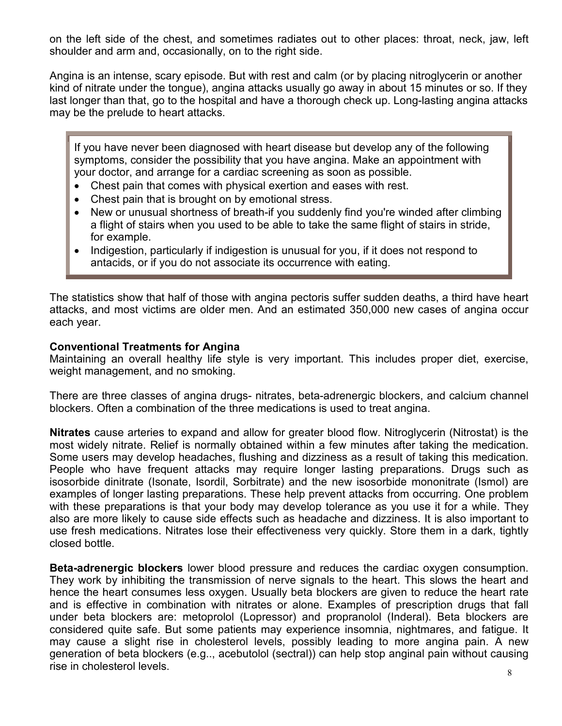on the left side of the chest, and sometimes radiates out to other places: throat, neck, jaw, left shoulder and arm and, occasionally, on to the right side.

Angina is an intense, scary episode. But with rest and calm (or by placing nitroglycerin or another kind of nitrate under the tongue), angina attacks usually go away in about 15 minutes or so. If they last longer than that, go to the hospital and have a thorough check up. Long-lasting angina attacks may be the prelude to heart attacks.

If you have never been diagnosed with heart disease but develop any of the following symptoms, consider the possibility that you have angina. Make an appointment with your doctor, and arrange for a cardiac screening as soon as possible.

- Chest pain that comes with physical exertion and eases with rest.
- Chest pain that is brought on by emotional stress.
- New or unusual shortness of breath-if you suddenly find you're winded after climbing a flight of stairs when you used to be able to take the same flight of stairs in stride, for example.
- Indigestion, particularly if indigestion is unusual for you, if it does not respond to antacids, or if you do not associate its occurrence with eating.

The statistics show that half of those with angina pectoris suffer sudden deaths, a third have heart attacks, and most victims are older men. And an estimated 350,000 new cases of angina occur each year.

#### **Conventional Treatments for Angina**

Maintaining an overall healthy life style is very important. This includes proper diet, exercise, weight management, and no smoking.

There are three classes of angina drugs- nitrates, beta-adrenergic blockers, and calcium channel blockers. Often a combination of the three medications is used to treat angina.

**Nitrates** cause arteries to expand and allow for greater blood flow. Nitroglycerin (Nitrostat) is the most widely nitrate. Relief is normally obtained within a few minutes after taking the medication. Some users may develop headaches, flushing and dizziness as a result of taking this medication. People who have frequent attacks may require longer lasting preparations. Drugs such as isosorbide dinitrate (Isonate, Isordil, Sorbitrate) and the new isosorbide mononitrate (Ismol) are examples of longer lasting preparations. These help prevent attacks from occurring. One problem with these preparations is that your body may develop tolerance as you use it for a while. They also are more likely to cause side effects such as headache and dizziness. It is also important to use fresh medications. Nitrates lose their effectiveness very quickly. Store them in a dark, tightly closed bottle.

**Beta-adrenergic blockers** lower blood pressure and reduces the cardiac oxygen consumption. They work by inhibiting the transmission of nerve signals to the heart. This slows the heart and hence the heart consumes less oxygen. Usually beta blockers are given to reduce the heart rate and is effective in combination with nitrates or alone. Examples of prescription drugs that fall under beta blockers are: metoprolol (Lopressor) and propranolol (Inderal). Beta blockers are considered quite safe. But some patients may experience insomnia, nightmares, and fatigue. It may cause a slight rise in cholesterol levels, possibly leading to more angina pain. A new generation of beta blockers (e.g.., acebutolol (sectral)) can help stop anginal pain without causing rise in cholesterol levels.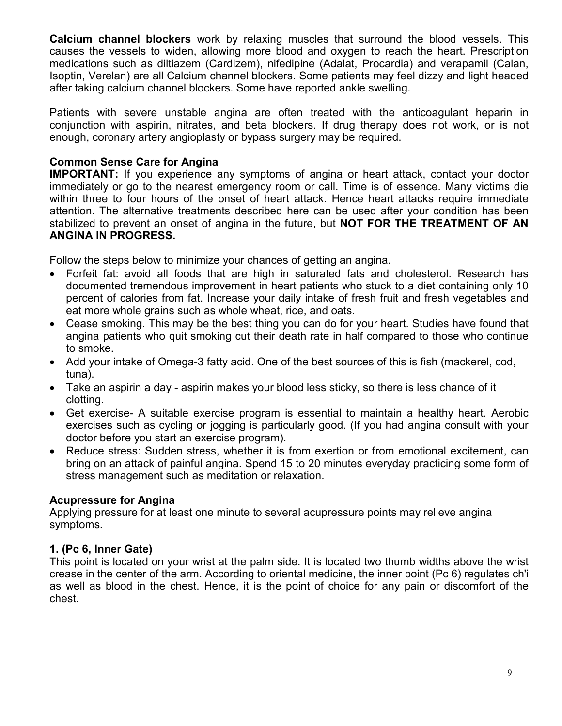**Calcium channel blockers** work by relaxing muscles that surround the blood vessels. This causes the vessels to widen, allowing more blood and oxygen to reach the heart. Prescription medications such as diltiazem (Cardizem), nifedipine (Adalat, Procardia) and verapamil (Calan, Isoptin, Verelan) are all Calcium channel blockers. Some patients may feel dizzy and light headed after taking calcium channel blockers. Some have reported ankle swelling.

Patients with severe unstable angina are often treated with the anticoagulant heparin in conjunction with aspirin, nitrates, and beta blockers. If drug therapy does not work, or is not enough, coronary artery angioplasty or bypass surgery may be required.

#### **Common Sense Care for Angina**

**IMPORTANT:** If you experience any symptoms of angina or heart attack, contact your doctor immediately or go to the nearest emergency room or call. Time is of essence. Many victims die within three to four hours of the onset of heart attack. Hence heart attacks require immediate attention. The alternative treatments described here can be used after your condition has been stabilized to prevent an onset of angina in the future, but **NOT FOR THE TREATMENT OF AN ANGINA IN PROGRESS.** 

Follow the steps below to minimize your chances of getting an angina.

- Forfeit fat: avoid all foods that are high in saturated fats and cholesterol. Research has documented tremendous improvement in heart patients who stuck to a diet containing only 10 percent of calories from fat. Increase your daily intake of fresh fruit and fresh vegetables and eat more whole grains such as whole wheat, rice, and oats.
- Cease smoking. This may be the best thing you can do for your heart. Studies have found that angina patients who quit smoking cut their death rate in half compared to those who continue to smoke.
- Add your intake of Omega-3 fatty acid. One of the best sources of this is fish (mackerel, cod, tuna).
- Take an aspirin a day aspirin makes your blood less sticky, so there is less chance of it clotting.
- Get exercise- A suitable exercise program is essential to maintain a healthy heart. Aerobic exercises such as cycling or jogging is particularly good. (If you had angina consult with your doctor before you start an exercise program).
- Reduce stress: Sudden stress, whether it is from exertion or from emotional excitement, can bring on an attack of painful angina. Spend 15 to 20 minutes everyday practicing some form of stress management such as meditation or relaxation.

#### **Acupressure for Angina**

Applying pressure for at least one minute to several acupressure points may relieve angina symptoms.

#### **1. (Pc 6, Inner Gate)**

This point is located on your wrist at the palm side. It is located two thumb widths above the wrist crease in the center of the arm. According to oriental medicine, the inner point (Pc 6) regulates ch'i as well as blood in the chest. Hence, it is the point of choice for any pain or discomfort of the chest.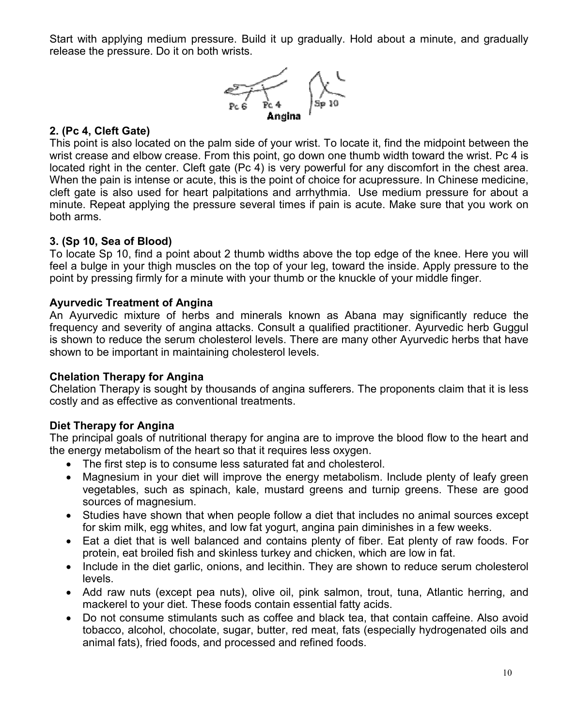Start with applying medium pressure. Build it up gradually. Hold about a minute, and gradually release the pressure. Do it on both wrists.



### **2. (Pc 4, Cleft Gate)**

This point is also located on the palm side of your wrist. To locate it, find the midpoint between the wrist crease and elbow crease. From this point, go down one thumb width toward the wrist. Pc 4 is located right in the center. Cleft gate (Pc 4) is very powerful for any discomfort in the chest area. When the pain is intense or acute, this is the point of choice for acupressure. In Chinese medicine, cleft gate is also used for heart palpitations and arrhythmia. Use medium pressure for about a minute. Repeat applying the pressure several times if pain is acute. Make sure that you work on both arms.

### **3. (Sp 10, Sea of Blood)**

To locate Sp 10, find a point about 2 thumb widths above the top edge of the knee. Here you will feel a bulge in your thigh muscles on the top of your leg, toward the inside. Apply pressure to the point by pressing firmly for a minute with your thumb or the knuckle of your middle finger.

### **Ayurvedic Treatment of Angina**

An Ayurvedic mixture of herbs and minerals known as Abana may significantly reduce the frequency and severity of angina attacks. Consult a qualified practitioner. Ayurvedic herb Guggul is shown to reduce the serum cholesterol levels. There are many other Ayurvedic herbs that have shown to be important in maintaining cholesterol levels.

## **Chelation Therapy for Angina**

Chelation Therapy is sought by thousands of angina sufferers. The proponents claim that it is less costly and as effective as conventional treatments.

## **Diet Therapy for Angina**

The principal goals of nutritional therapy for angina are to improve the blood flow to the heart and the energy metabolism of the heart so that it requires less oxygen.

- The first step is to consume less saturated fat and cholesterol.
- Magnesium in your diet will improve the energy metabolism. Include plenty of leafy green vegetables, such as spinach, kale, mustard greens and turnip greens. These are good sources of magnesium.
- Studies have shown that when people follow a diet that includes no animal sources except for skim milk, egg whites, and low fat yogurt, angina pain diminishes in a few weeks.
- Eat a diet that is well balanced and contains plenty of fiber. Eat plenty of raw foods. For protein, eat broiled fish and skinless turkey and chicken, which are low in fat.
- Include in the diet garlic, onions, and lecithin. They are shown to reduce serum cholesterol levels.
- Add raw nuts (except pea nuts), olive oil, pink salmon, trout, tuna, Atlantic herring, and mackerel to your diet. These foods contain essential fatty acids.
- Do not consume stimulants such as coffee and black tea, that contain caffeine. Also avoid tobacco, alcohol, chocolate, sugar, butter, red meat, fats (especially hydrogenated oils and animal fats), fried foods, and processed and refined foods.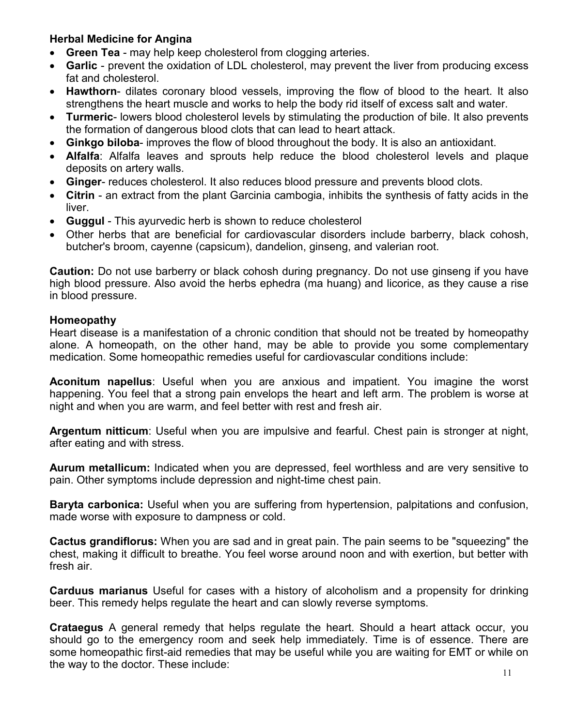### **Herbal Medicine for Angina**

- **Green Tea** may help keep cholesterol from clogging arteries.
- **Garlic** prevent the oxidation of LDL cholesterol, may prevent the liver from producing excess fat and cholesterol.
- **Hawthorn** dilates coronary blood vessels, improving the flow of blood to the heart. It also strengthens the heart muscle and works to help the body rid itself of excess salt and water.
- **Turmeric** lowers blood cholesterol levels by stimulating the production of bile. It also prevents the formation of dangerous blood clots that can lead to heart attack.
- **Ginkgo biloba** improves the flow of blood throughout the body. It is also an antioxidant.
- **Alfalfa**: Alfalfa leaves and sprouts help reduce the blood cholesterol levels and plaque deposits on artery walls.
- **Ginger** reduces cholesterol. It also reduces blood pressure and prevents blood clots.
- **Citrin** an extract from the plant Garcinia cambogia, inhibits the synthesis of fatty acids in the liver.
- **Guggul** This ayurvedic herb is shown to reduce cholesterol
- Other herbs that are beneficial for cardiovascular disorders include barberry, black cohosh, butcher's broom, cayenne (capsicum), dandelion, ginseng, and valerian root.

**Caution:** Do not use barberry or black cohosh during pregnancy. Do not use ginseng if you have high blood pressure. Also avoid the herbs ephedra (ma huang) and licorice, as they cause a rise in blood pressure.

### **Homeopathy**

Heart disease is a manifestation of a chronic condition that should not be treated by homeopathy alone. A homeopath, on the other hand, may be able to provide you some complementary medication. Some homeopathic remedies useful for cardiovascular conditions include:

**Aconitum napellus**: Useful when you are anxious and impatient. You imagine the worst happening. You feel that a strong pain envelops the heart and left arm. The problem is worse at night and when you are warm, and feel better with rest and fresh air.

**Argentum nitticum**: Useful when you are impulsive and fearful. Chest pain is stronger at night, after eating and with stress.

**Aurum metallicum:** Indicated when you are depressed, feel worthless and are very sensitive to pain. Other symptoms include depression and night-time chest pain.

**Baryta carbonica:** Useful when you are suffering from hypertension, palpitations and confusion, made worse with exposure to dampness or cold.

**Cactus grandiflorus:** When you are sad and in great pain. The pain seems to be "squeezing" the chest, making it difficult to breathe. You feel worse around noon and with exertion, but better with fresh air.

**Carduus marianus** Useful for cases with a history of alcoholism and a propensity for drinking beer. This remedy helps regulate the heart and can slowly reverse symptoms.

**Crataegus** A general remedy that helps regulate the heart. Should a heart attack occur, you should go to the emergency room and seek help immediately. Time is of essence. There are some homeopathic first-aid remedies that may be useful while you are waiting for EMT or while on the way to the doctor. These include: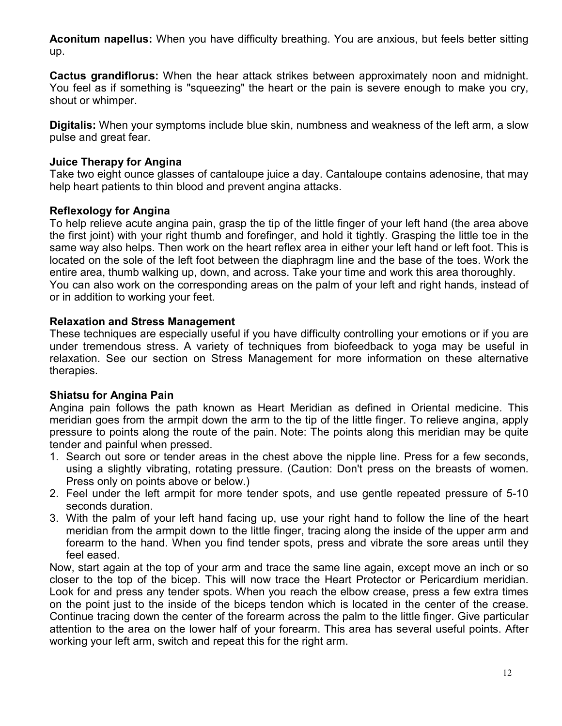**Aconitum napellus:** When you have difficulty breathing. You are anxious, but feels better sitting up.

**Cactus grandiflorus:** When the hear attack strikes between approximately noon and midnight. You feel as if something is "squeezing" the heart or the pain is severe enough to make you cry, shout or whimper.

**Digitalis:** When your symptoms include blue skin, numbness and weakness of the left arm, a slow pulse and great fear.

#### **Juice Therapy for Angina**

Take two eight ounce glasses of cantaloupe juice a day. Cantaloupe contains adenosine, that may help heart patients to thin blood and prevent angina attacks.

### **Reflexology for Angina**

To help relieve acute angina pain, grasp the tip of the little finger of your left hand (the area above the first joint) with your right thumb and forefinger, and hold it tightly. Grasping the little toe in the same way also helps. Then work on the heart reflex area in either your left hand or left foot. This is located on the sole of the left foot between the diaphragm line and the base of the toes. Work the entire area, thumb walking up, down, and across. Take your time and work this area thoroughly. You can also work on the corresponding areas on the palm of your left and right hands, instead of or in addition to working your feet.

#### **Relaxation and Stress Management**

These techniques are especially useful if you have difficulty controlling your emotions or if you are under tremendous stress. A variety of techniques from biofeedback to yoga may be useful in relaxation. See our section on Stress Management for more information on these alternative therapies.

#### **Shiatsu for Angina Pain**

Angina pain follows the path known as Heart Meridian as defined in Oriental medicine. This meridian goes from the armpit down the arm to the tip of the little finger. To relieve angina, apply pressure to points along the route of the pain. Note: The points along this meridian may be quite tender and painful when pressed.

- 1. Search out sore or tender areas in the chest above the nipple line. Press for a few seconds, using a slightly vibrating, rotating pressure. (Caution: Don't press on the breasts of women. Press only on points above or below.)
- 2. Feel under the left armpit for more tender spots, and use gentle repeated pressure of 5-10 seconds duration.
- 3. With the palm of your left hand facing up, use your right hand to follow the line of the heart meridian from the armpit down to the little finger, tracing along the inside of the upper arm and forearm to the hand. When you find tender spots, press and vibrate the sore areas until they feel eased.

Now, start again at the top of your arm and trace the same line again, except move an inch or so closer to the top of the bicep. This will now trace the Heart Protector or Pericardium meridian. Look for and press any tender spots. When you reach the elbow crease, press a few extra times on the point just to the inside of the biceps tendon which is located in the center of the crease. Continue tracing down the center of the forearm across the palm to the little finger. Give particular attention to the area on the lower half of your forearm. This area has several useful points. After working your left arm, switch and repeat this for the right arm.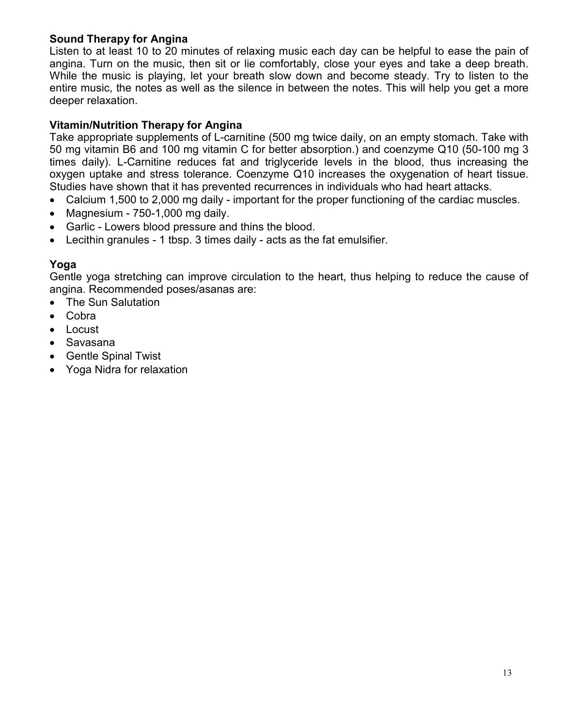## **Sound Therapy for Angina**

Listen to at least 10 to 20 minutes of relaxing music each day can be helpful to ease the pain of angina. Turn on the music, then sit or lie comfortably, close your eyes and take a deep breath. While the music is playing, let your breath slow down and become steady. Try to listen to the entire music, the notes as well as the silence in between the notes. This will help you get a more deeper relaxation.

### **Vitamin/Nutrition Therapy for Angina**

Take appropriate supplements of L-carnitine (500 mg twice daily, on an empty stomach. Take with 50 mg vitamin B6 and 100 mg vitamin C for better absorption.) and coenzyme Q10 (50-100 mg 3 times daily). L-Carnitine reduces fat and triglyceride levels in the blood, thus increasing the oxygen uptake and stress tolerance. Coenzyme Q10 increases the oxygenation of heart tissue. Studies have shown that it has prevented recurrences in individuals who had heart attacks.

- Calcium 1,500 to 2,000 mg daily important for the proper functioning of the cardiac muscles.
- Magnesium 750-1,000 mg daily.
- Garlic Lowers blood pressure and thins the blood.
- Lecithin granules 1 tbsp. 3 times daily acts as the fat emulsifier.

#### **Yoga**

Gentle yoga stretching can improve circulation to the heart, thus helping to reduce the cause of angina. Recommended poses/asanas are:

- The Sun Salutation
- Cobra
- Locust
- Savasana
- Gentle Spinal Twist
- Yoga Nidra for relaxation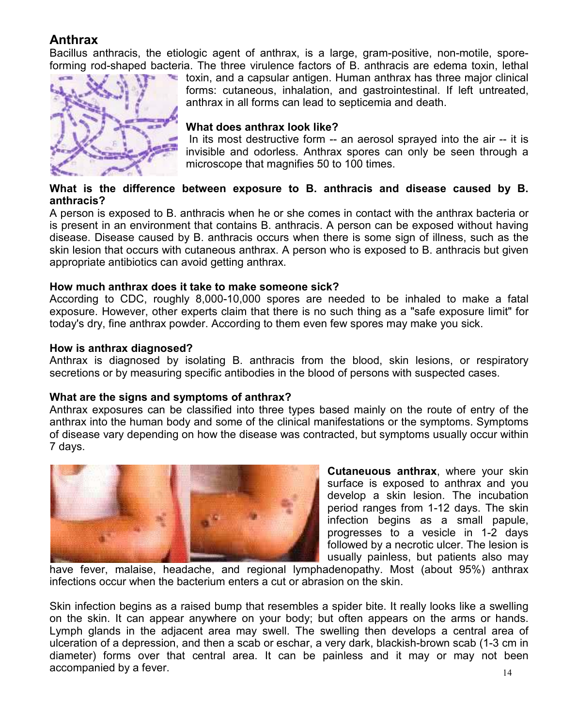## **Anthrax**

Bacillus anthracis, the etiologic agent of anthrax, is a large, gram-positive, non-motile, sporeforming rod-shaped bacteria. The three virulence factors of B. anthracis are edema toxin, lethal



toxin, and a capsular antigen. Human anthrax has three major clinical forms: cutaneous, inhalation, and gastrointestinal. If left untreated, anthrax in all forms can lead to septicemia and death.

#### **What does anthrax look like?**

In its most destructive form -- an aerosol sprayed into the air -- it is invisible and odorless. Anthrax spores can only be seen through a microscope that magnifies 50 to 100 times.

### **What is the difference between exposure to B. anthracis and disease caused by B. anthracis?**

A person is exposed to B. anthracis when he or she comes in contact with the anthrax bacteria or is present in an environment that contains B. anthracis. A person can be exposed without having disease. Disease caused by B. anthracis occurs when there is some sign of illness, such as the skin lesion that occurs with cutaneous anthrax. A person who is exposed to B. anthracis but given appropriate antibiotics can avoid getting anthrax.

### **How much anthrax does it take to make someone sick?**

According to CDC, roughly 8,000-10,000 spores are needed to be inhaled to make a fatal exposure. However, other experts claim that there is no such thing as a "safe exposure limit" for today's dry, fine anthrax powder. According to them even few spores may make you sick.

### **How is anthrax diagnosed?**

Anthrax is diagnosed by isolating B. anthracis from the blood, skin lesions, or respiratory secretions or by measuring specific antibodies in the blood of persons with suspected cases.

## **What are the signs and symptoms of anthrax?**

Anthrax exposures can be classified into three types based mainly on the route of entry of the anthrax into the human body and some of the clinical manifestations or the symptoms. Symptoms of disease vary depending on how the disease was contracted, but symptoms usually occur within 7 days.



**Cutaneuous anthrax**, where your skin surface is exposed to anthrax and you develop a skin lesion. The incubation period ranges from 1-12 days. The skin infection begins as a small papule, progresses to a vesicle in 1-2 days followed by a necrotic ulcer. The lesion is usually painless, but patients also may

have fever, malaise, headache, and regional lymphadenopathy. Most (about 95%) anthrax infections occur when the bacterium enters a cut or abrasion on the skin.

Skin infection begins as a raised bump that resembles a spider bite. It really looks like a swelling on the skin. It can appear anywhere on your body; but often appears on the arms or hands. Lymph glands in the adjacent area may swell. The swelling then develops a central area of ulceration of a depression, and then a scab or eschar, a very dark, blackish-brown scab (1-3 cm in diameter) forms over that central area. It can be painless and it may or may not been accompanied by a fever.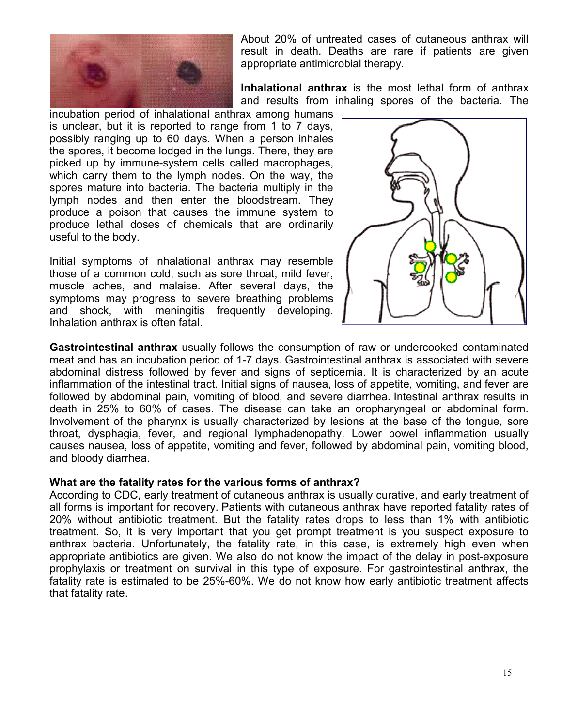

About 20% of untreated cases of cutaneous anthrax will result in death. Deaths are rare if patients are given appropriate antimicrobial therapy.

**Inhalational anthrax** is the most lethal form of anthrax and results from inhaling spores of the bacteria. The

incubation period of inhalational anthrax among humans is unclear, but it is reported to range from 1 to 7 days, possibly ranging up to 60 days. When a person inhales the spores, it become lodged in the lungs. There, they are picked up by immune-system cells called macrophages, which carry them to the lymph nodes. On the way, the spores mature into bacteria. The bacteria multiply in the lymph nodes and then enter the bloodstream. They produce a poison that causes the immune system to produce lethal doses of chemicals that are ordinarily useful to the body.

Initial symptoms of inhalational anthrax may resemble those of a common cold, such as sore throat, mild fever, muscle aches, and malaise. After several days, the symptoms may progress to severe breathing problems and shock, with meningitis frequently developing. Inhalation anthrax is often fatal.



**Gastrointestinal anthrax** usually follows the consumption of raw or undercooked contaminated meat and has an incubation period of 1-7 days. Gastrointestinal anthrax is associated with severe abdominal distress followed by fever and signs of septicemia. It is characterized by an acute inflammation of the intestinal tract. Initial signs of nausea, loss of appetite, vomiting, and fever are followed by abdominal pain, vomiting of blood, and severe diarrhea. Intestinal anthrax results in death in 25% to 60% of cases. The disease can take an oropharyngeal or abdominal form. Involvement of the pharynx is usually characterized by lesions at the base of the tongue, sore throat, dysphagia, fever, and regional lymphadenopathy. Lower bowel inflammation usually causes nausea, loss of appetite, vomiting and fever, followed by abdominal pain, vomiting blood, and bloody diarrhea.

#### **What are the fatality rates for the various forms of anthrax?**

According to CDC, early treatment of cutaneous anthrax is usually curative, and early treatment of all forms is important for recovery. Patients with cutaneous anthrax have reported fatality rates of 20% without antibiotic treatment. But the fatality rates drops to less than 1% with antibiotic treatment. So, it is very important that you get prompt treatment is you suspect exposure to anthrax bacteria. Unfortunately, the fatality rate, in this case, is extremely high even when appropriate antibiotics are given. We also do not know the impact of the delay in post-exposure prophylaxis or treatment on survival in this type of exposure. For gastrointestinal anthrax, the fatality rate is estimated to be 25%-60%. We do not know how early antibiotic treatment affects that fatality rate.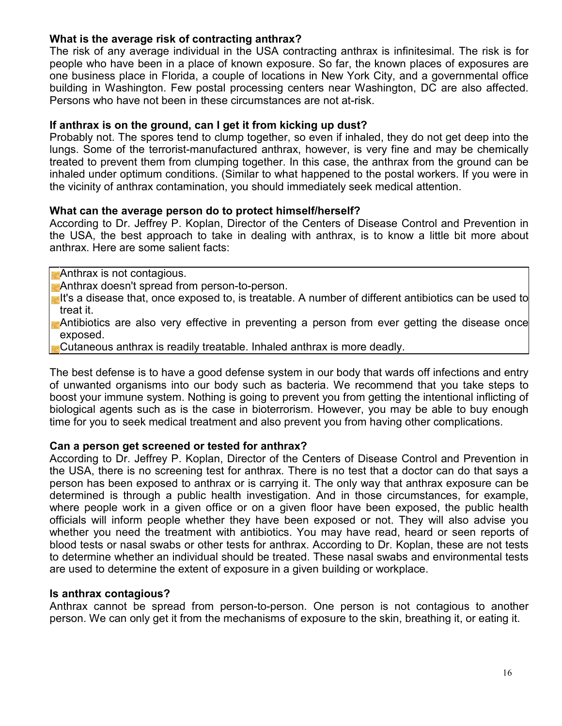#### **What is the average risk of contracting anthrax?**

The risk of any average individual in the USA contracting anthrax is infinitesimal. The risk is for people who have been in a place of known exposure. So far, the known places of exposures are one business place in Florida, a couple of locations in New York City, and a governmental office building in Washington. Few postal processing centers near Washington, DC are also affected. Persons who have not been in these circumstances are not at-risk.

### **If anthrax is on the ground, can I get it from kicking up dust?**

Probably not. The spores tend to clump together, so even if inhaled, they do not get deep into the lungs. Some of the terrorist-manufactured anthrax, however, is very fine and may be chemically treated to prevent them from clumping together. In this case, the anthrax from the ground can be inhaled under optimum conditions. (Similar to what happened to the postal workers. If you were in the vicinity of anthrax contamination, you should immediately seek medical attention.

#### **What can the average person do to protect himself/herself?**

According to Dr. Jeffrey P. Koplan, Director of the Centers of Disease Control and Prevention in the USA, the best approach to take in dealing with anthrax, is to know a little bit more about anthrax. Here are some salient facts:

Anthrax is not contagious.

Anthrax doesn't spread from person-to-person.

- It's a disease that, once exposed to, is treatable. A number of different antibiotics can be used to treat it.
- Antibiotics are also very effective in preventing a person from ever getting the disease once exposed.
- Cutaneous anthrax is readily treatable. Inhaled anthrax is more deadly.

The best defense is to have a good defense system in our body that wards off infections and entry of unwanted organisms into our body such as bacteria. We recommend that you take steps to boost your immune system. Nothing is going to prevent you from getting the intentional inflicting of biological agents such as is the case in bioterrorism. However, you may be able to buy enough time for you to seek medical treatment and also prevent you from having other complications.

#### **Can a person get screened or tested for anthrax?**

According to Dr. Jeffrey P. Koplan, Director of the Centers of Disease Control and Prevention in the USA, there is no screening test for anthrax. There is no test that a doctor can do that says a person has been exposed to anthrax or is carrying it. The only way that anthrax exposure can be determined is through a public health investigation. And in those circumstances, for example, where people work in a given office or on a given floor have been exposed, the public health officials will inform people whether they have been exposed or not. They will also advise you whether you need the treatment with antibiotics. You may have read, heard or seen reports of blood tests or nasal swabs or other tests for anthrax. According to Dr. Koplan, these are not tests to determine whether an individual should be treated. These nasal swabs and environmental tests are used to determine the extent of exposure in a given building or workplace.

#### **Is anthrax contagious?**

Anthrax cannot be spread from person-to-person. One person is not contagious to another person. We can only get it from the mechanisms of exposure to the skin, breathing it, or eating it.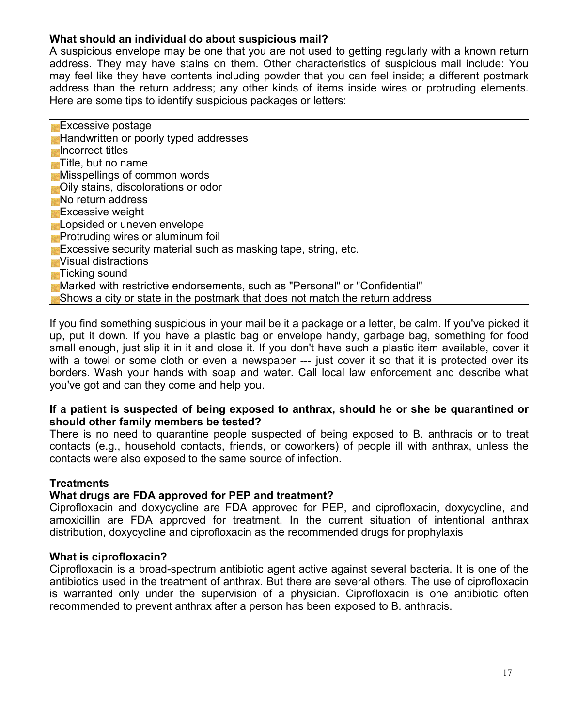#### **What should an individual do about suspicious mail?**

A suspicious envelope may be one that you are not used to getting regularly with a known return address. They may have stains on them. Other characteristics of suspicious mail include: You may feel like they have contents including powder that you can feel inside; a different postmark address than the return address; any other kinds of items inside wires or protruding elements. Here are some tips to identify suspicious packages or letters:

Excessive postage Handwritten or poorly typed addresses Incorrect titles Title, but no name Misspellings of common words Oily stains, discolorations or odor No return address Excessive weight Lopsided or uneven envelope Protruding wires or aluminum foil Excessive security material such as masking tape, string, etc. Visual distractions Ticking sound Marked with restrictive endorsements, such as "Personal" or "Confidential" Shows a city or state in the postmark that does not match the return address

If you find something suspicious in your mail be it a package or a letter, be calm. If you've picked it up, put it down. If you have a plastic bag or envelope handy, garbage bag, something for food small enough, just slip it in it and close it. If you don't have such a plastic item available, cover it with a towel or some cloth or even a newspaper --- just cover it so that it is protected over its borders. Wash your hands with soap and water. Call local law enforcement and describe what you've got and can they come and help you.

#### **If a patient is suspected of being exposed to anthrax, should he or she be quarantined or should other family members be tested?**

There is no need to quarantine people suspected of being exposed to B. anthracis or to treat contacts (e.g., household contacts, friends, or coworkers) of people ill with anthrax, unless the contacts were also exposed to the same source of infection.

## **Treatments**

#### **What drugs are FDA approved for PEP and treatment?**

Ciprofloxacin and doxycycline are FDA approved for PEP, and ciprofloxacin, doxycycline, and amoxicillin are FDA approved for treatment. In the current situation of intentional anthrax distribution, doxycycline and ciprofloxacin as the recommended drugs for prophylaxis

#### **What is ciprofloxacin?**

Ciprofloxacin is a broad-spectrum antibiotic agent active against several bacteria. It is one of the antibiotics used in the treatment of anthrax. But there are several others. The use of ciprofloxacin is warranted only under the supervision of a physician. Ciprofloxacin is one antibiotic often recommended to prevent anthrax after a person has been exposed to B. anthracis.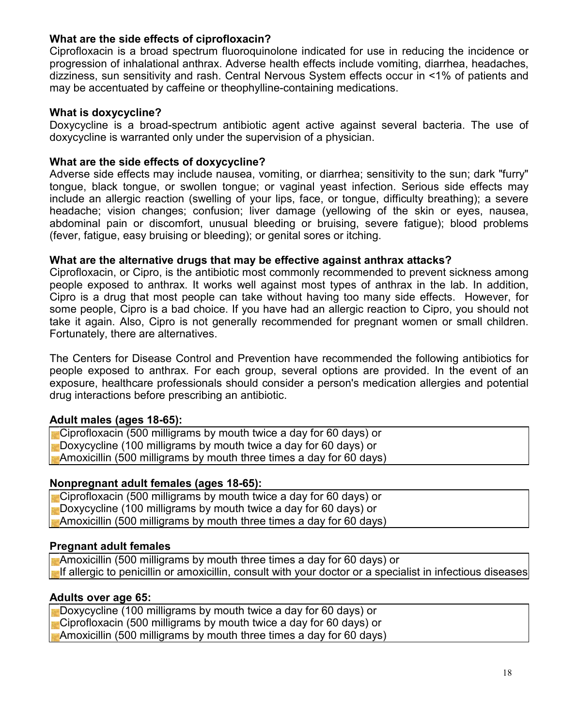#### **What are the side effects of ciprofloxacin?**

Ciprofloxacin is a broad spectrum fluoroquinolone indicated for use in reducing the incidence or progression of inhalational anthrax. Adverse health effects include vomiting, diarrhea, headaches, dizziness, sun sensitivity and rash. Central Nervous System effects occur in <1% of patients and may be accentuated by caffeine or theophylline-containing medications.

#### **What is doxycycline?**

Doxycycline is a broad-spectrum antibiotic agent active against several bacteria. The use of doxycycline is warranted only under the supervision of a physician.

### **What are the side effects of doxycycline?**

Adverse side effects may include nausea, vomiting, or diarrhea; sensitivity to the sun; dark "furry" tongue, black tongue, or swollen tongue; or vaginal yeast infection. Serious side effects may include an allergic reaction (swelling of your lips, face, or tongue, difficulty breathing); a severe headache; vision changes; confusion; liver damage (yellowing of the skin or eyes, nausea, abdominal pain or discomfort, unusual bleeding or bruising, severe fatigue); blood problems (fever, fatigue, easy bruising or bleeding); or genital sores or itching.

### **What are the alternative drugs that may be effective against anthrax attacks?**

Ciprofloxacin, or Cipro, is the antibiotic most commonly recommended to prevent sickness among people exposed to anthrax. It works well against most types of anthrax in the lab. In addition, Cipro is a drug that most people can take without having too many side effects. However, for some people, Cipro is a bad choice. If you have had an allergic reaction to Cipro, you should not take it again. Also, Cipro is not generally recommended for pregnant women or small children. Fortunately, there are alternatives.

The Centers for Disease Control and Prevention have recommended the following antibiotics for people exposed to anthrax. For each group, several options are provided. In the event of an exposure, healthcare professionals should consider a person's medication allergies and potential drug interactions before prescribing an antibiotic.

## **Adult males (ages 18-65):**

Ciprofloxacin (500 milligrams by mouth twice a day for 60 days) or Doxycycline (100 milligrams by mouth twice a day for 60 days) or Amoxicillin (500 milligrams by mouth three times a day for 60 days)

#### **Nonpregnant adult females (ages 18-65):**

Ciprofloxacin (500 milligrams by mouth twice a day for 60 days) or Doxycycline (100 milligrams by mouth twice a day for 60 days) or Amoxicillin (500 milligrams by mouth three times a day for 60 days)

## **Pregnant adult females**

Amoxicillin (500 milligrams by mouth three times a day for 60 days) or If allergic to penicillin or amoxicillin, consult with your doctor or a specialist in infectious diseases

## **Adults over age 65:**

Doxycycline (100 milligrams by mouth twice a day for 60 days) or Ciprofloxacin (500 milligrams by mouth twice a day for 60 days) or Amoxicillin (500 milligrams by mouth three times a day for 60 days)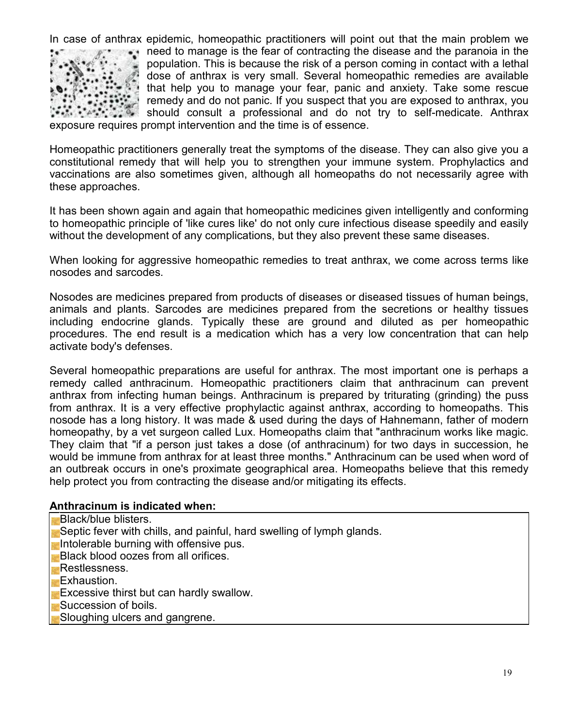In case of anthrax epidemic, homeopathic practitioners will point out that the main problem we



need to manage is the fear of contracting the disease and the paranoia in the population. This is because the risk of a person coming in contact with a lethal dose of anthrax is very small. Several homeopathic remedies are available that help you to manage your fear, panic and anxiety. Take some rescue remedy and do not panic. If you suspect that you are exposed to anthrax, you should consult a professional and do not try to self-medicate. Anthrax exposure requires prompt intervention and the time is of essence.

Homeopathic practitioners generally treat the symptoms of the disease. They can also give you a constitutional remedy that will help you to strengthen your immune system. Prophylactics and vaccinations are also sometimes given, although all homeopaths do not necessarily agree with these approaches.

It has been shown again and again that homeopathic medicines given intelligently and conforming to homeopathic principle of 'like cures like' do not only cure infectious disease speedily and easily without the development of any complications, but they also prevent these same diseases.

When looking for aggressive homeopathic remedies to treat anthrax, we come across terms like nosodes and sarcodes.

Nosodes are medicines prepared from products of diseases or diseased tissues of human beings, animals and plants. Sarcodes are medicines prepared from the secretions or healthy tissues including endocrine glands. Typically these are ground and diluted as per homeopathic procedures. The end result is a medication which has a very low concentration that can help activate body's defenses.

Several homeopathic preparations are useful for anthrax. The most important one is perhaps a remedy called anthracinum. Homeopathic practitioners claim that anthracinum can prevent anthrax from infecting human beings. Anthracinum is prepared by triturating (grinding) the puss from anthrax. It is a very effective prophylactic against anthrax, according to homeopaths. This nosode has a long history. It was made & used during the days of Hahnemann, father of modern homeopathy, by a vet surgeon called Lux. Homeopaths claim that "anthracinum works like magic. They claim that "if a person just takes a dose (of anthracinum) for two days in succession, he would be immune from anthrax for at least three months." Anthracinum can be used when word of an outbreak occurs in one's proximate geographical area. Homeopaths believe that this remedy help protect you from contracting the disease and/or mitigating its effects.

#### **Anthracinum is indicated when:**

- Black/blue blisters.
- Septic fever with chills, and painful, hard swelling of lymph glands.
- Intolerable burning with offensive pus.
- Black blood oozes from all orifices.
- Restlessness.
- Exhaustion.
- Excessive thirst but can hardly swallow.
- Succession of boils.
- Sloughing ulcers and gangrene.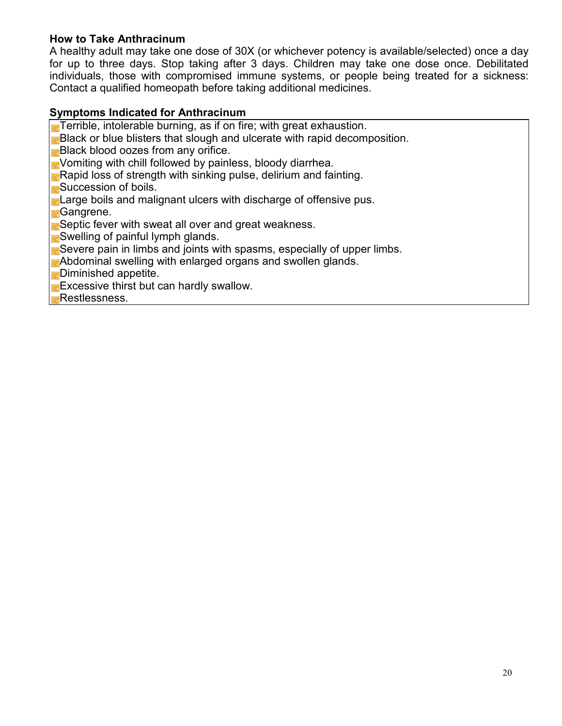#### **How to Take Anthracinum**

A healthy adult may take one dose of 30X (or whichever potency is available/selected) once a day for up to three days. Stop taking after 3 days. Children may take one dose once. Debilitated individuals, those with compromised immune systems, or people being treated for a sickness: Contact a qualified homeopath before taking additional medicines.

#### **Symptoms Indicated for Anthracinum**

Terrible, intolerable burning, as if on fire; with great exhaustion.

Black or blue blisters that slough and ulcerate with rapid decomposition.

Black blood oozes from any orifice.

Vomiting with chill followed by painless, bloody diarrhea.

Rapid loss of strength with sinking pulse, delirium and fainting.

Succession of boils.

Large boils and malignant ulcers with discharge of offensive pus.

Gangrene.

Septic fever with sweat all over and great weakness.

Swelling of painful lymph glands.

Severe pain in limbs and joints with spasms, especially of upper limbs.

Abdominal swelling with enlarged organs and swollen glands.

Diminished appetite.

Excessive thirst but can hardly swallow.

Restlessness.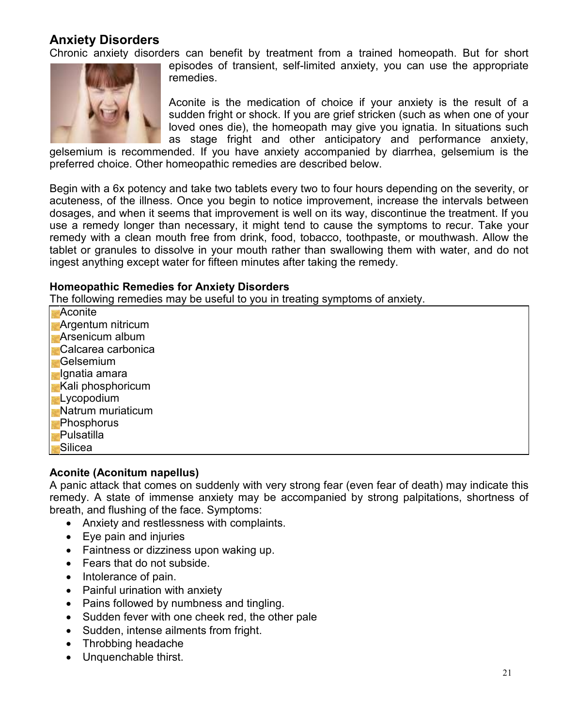# **Anxiety Disorders**

Chronic anxiety disorders can benefit by treatment from a trained homeopath. But for short



episodes of transient, self-limited anxiety, you can use the appropriate remedies.

Aconite is the medication of choice if your anxiety is the result of a sudden fright or shock. If you are grief stricken (such as when one of your loved ones die), the homeopath may give you ignatia. In situations such as stage fright and other anticipatory and performance anxiety,

gelsemium is recommended. If you have anxiety accompanied by diarrhea, gelsemium is the preferred choice. Other homeopathic remedies are described below.

Begin with a 6x potency and take two tablets every two to four hours depending on the severity, or acuteness, of the illness. Once you begin to notice improvement, increase the intervals between dosages, and when it seems that improvement is well on its way, discontinue the treatment. If you use a remedy longer than necessary, it might tend to cause the symptoms to recur. Take your remedy with a clean mouth free from drink, food, tobacco, toothpaste, or mouthwash. Allow the tablet or granules to dissolve in your mouth rather than swallowing them with water, and do not ingest anything except water for fifteen minutes after taking the remedy.

#### **Homeopathic Remedies for Anxiety Disorders**

The following remedies may be useful to you in treating symptoms of anxiety.

**Aconite** Argentum nitricum Arsenicum album Calcarea carbonica Gelsemium Ignatia amara Kali phosphoricum Lycopodium Natrum muriaticum **Phosphorus** Pulsatilla Silicea

## **Aconite (Aconitum napellus)**

A panic attack that comes on suddenly with very strong fear (even fear of death) may indicate this remedy. A state of immense anxiety may be accompanied by strong palpitations, shortness of breath, and flushing of the face. Symptoms:

- Anxiety and restlessness with complaints.
- Eye pain and injuries
- Faintness or dizziness upon waking up.
- Fears that do not subside.
- Intolerance of pain.
- Painful urination with anxiety
- Pains followed by numbness and tingling.
- Sudden fever with one cheek red, the other pale
- Sudden, intense ailments from fright.
- Throbbing headache
- Unquenchable thirst.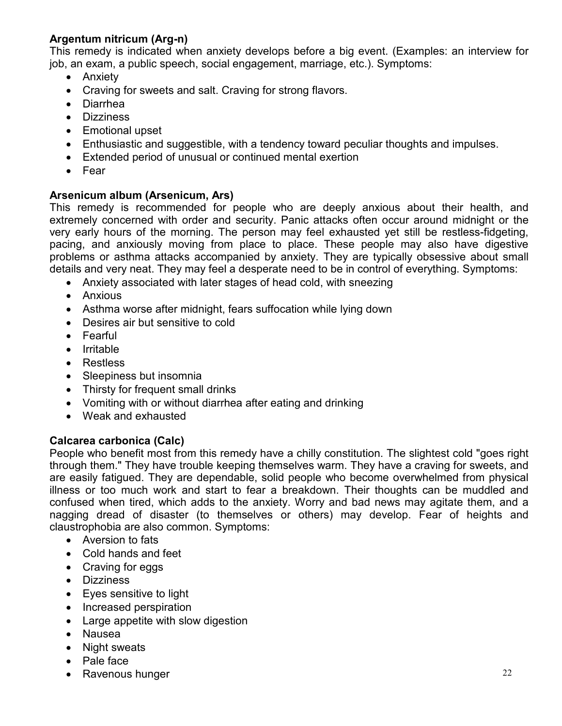## **Argentum nitricum (Arg-n)**

This remedy is indicated when anxiety develops before a big event. (Examples: an interview for job, an exam, a public speech, social engagement, marriage, etc.). Symptoms:

- Anxiety
- Craving for sweets and salt. Craving for strong flavors.
- Diarrhea
- Dizziness
- Emotional upset
- Enthusiastic and suggestible, with a tendency toward peculiar thoughts and impulses.
- Extended period of unusual or continued mental exertion
- Fear

#### **Arsenicum album (Arsenicum, Ars)**

This remedy is recommended for people who are deeply anxious about their health, and extremely concerned with order and security. Panic attacks often occur around midnight or the very early hours of the morning. The person may feel exhausted yet still be restless-fidgeting, pacing, and anxiously moving from place to place. These people may also have digestive problems or asthma attacks accompanied by anxiety. They are typically obsessive about small details and very neat. They may feel a desperate need to be in control of everything. Symptoms:

- Anxiety associated with later stages of head cold, with sneezing
- Anxious
- Asthma worse after midnight, fears suffocation while lying down
- Desires air but sensitive to cold
- Fearful
- Irritable
- Restless
- Sleepiness but insomnia
- Thirsty for frequent small drinks
- Vomiting with or without diarrhea after eating and drinking
- Weak and exhausted

#### **Calcarea carbonica (Calc)**

People who benefit most from this remedy have a chilly constitution. The slightest cold "goes right through them." They have trouble keeping themselves warm. They have a craving for sweets, and are easily fatigued. They are dependable, solid people who become overwhelmed from physical illness or too much work and start to fear a breakdown. Their thoughts can be muddled and confused when tired, which adds to the anxiety. Worry and bad news may agitate them, and a nagging dread of disaster (to themselves or others) may develop. Fear of heights and claustrophobia are also common. Symptoms:

- Aversion to fats
- Cold hands and feet
- Craving for eggs
- Dizziness
- Eyes sensitive to light
- Increased perspiration
- Large appetite with slow digestion
- Nausea
- Night sweats
- Pale face
- Ravenous hunger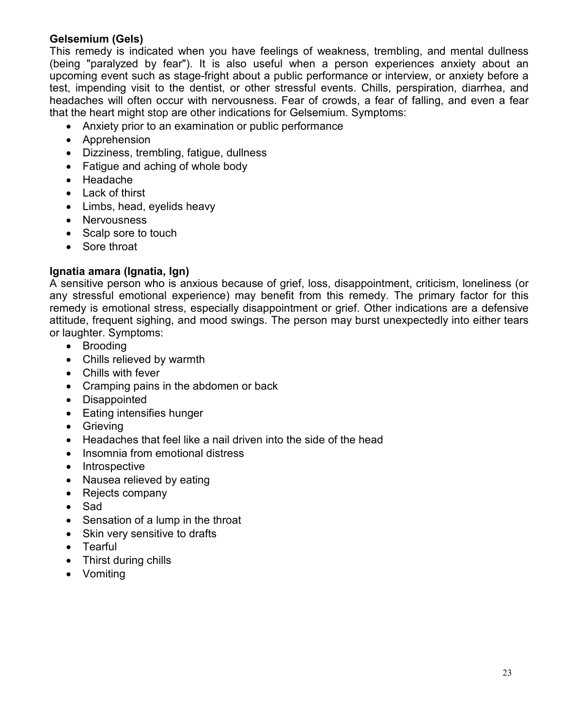## **Gelsemium (Gels)**

This remedy is indicated when you have feelings of weakness, trembling, and mental dullness (being "paralyzed by fear"). It is also useful when a person experiences anxiety about an upcoming event such as stage-fright about a public performance or interview, or anxiety before a test, impending visit to the dentist, or other stressful events. Chills, perspiration, diarrhea, and headaches will often occur with nervousness. Fear of crowds, a fear of falling, and even a fear that the heart might stop are other indications for Gelsemium. Symptoms:

- Anxiety prior to an examination or public performance
- Apprehension
- Dizziness, trembling, fatigue, dullness
- Fatique and aching of whole body
- Headache
- Lack of thirst
- Limbs, head, eyelids heavy
- Nervousness
- Scalp sore to touch
- Sore throat

### **Ignatia amara (Ignatia, Ign)**

A sensitive person who is anxious because of grief, loss, disappointment, criticism, loneliness (or any stressful emotional experience) may benefit from this remedy. The primary factor for this remedy is emotional stress, especially disappointment or grief. Other indications are a defensive attitude, frequent sighing, and mood swings. The person may burst unexpectedly into either tears or laughter. Symptoms:

- Brooding
- Chills relieved by warmth
- Chills with fever
- Cramping pains in the abdomen or back
- Disappointed
- Eating intensifies hunger
- Grieving
- Headaches that feel like a nail driven into the side of the head
- Insomnia from emotional distress
- Introspective
- Nausea relieved by eating
- Rejects company
- Sad
- Sensation of a lump in the throat
- Skin very sensitive to drafts
- Tearful
- Thirst during chills
- Vomiting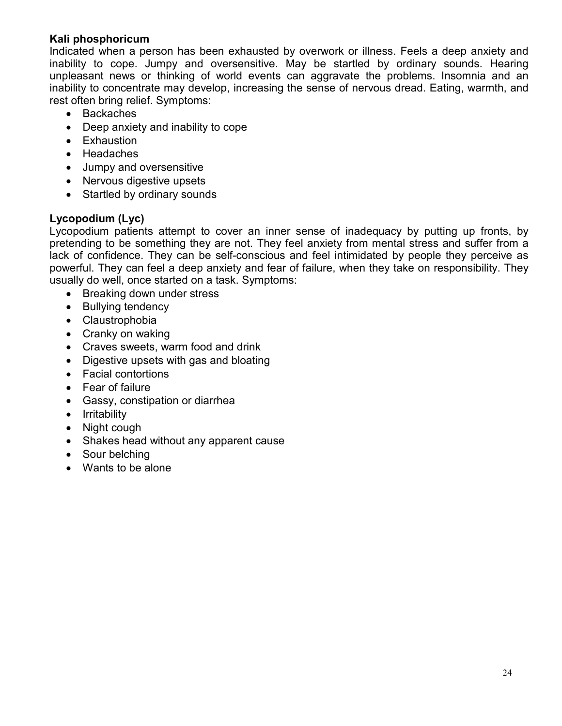### **Kali phosphoricum**

Indicated when a person has been exhausted by overwork or illness. Feels a deep anxiety and inability to cope. Jumpy and oversensitive. May be startled by ordinary sounds. Hearing unpleasant news or thinking of world events can aggravate the problems. Insomnia and an inability to concentrate may develop, increasing the sense of nervous dread. Eating, warmth, and rest often bring relief. Symptoms:

- Backaches
- Deep anxiety and inability to cope
- Exhaustion
- Headaches
- Jumpy and oversensitive
- Nervous digestive upsets
- Startled by ordinary sounds

### **Lycopodium (Lyc)**

Lycopodium patients attempt to cover an inner sense of inadequacy by putting up fronts, by pretending to be something they are not. They feel anxiety from mental stress and suffer from a lack of confidence. They can be self-conscious and feel intimidated by people they perceive as powerful. They can feel a deep anxiety and fear of failure, when they take on responsibility. They usually do well, once started on a task. Symptoms:

- Breaking down under stress
- Bullying tendency
- Claustrophobia
- Cranky on waking
- Craves sweets, warm food and drink
- Digestive upsets with gas and bloating
- Facial contortions
- Fear of failure
- Gassy, constipation or diarrhea
- Irritability
- Night cough
- Shakes head without any apparent cause
- Sour belching
- Wants to be alone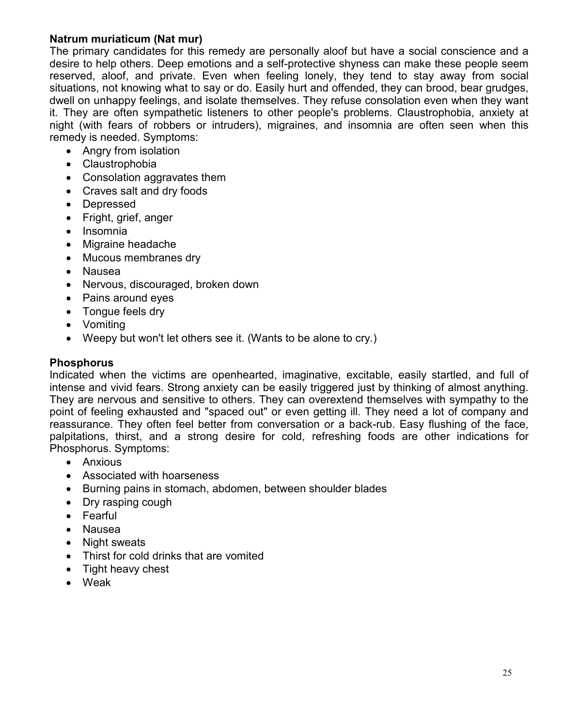### **Natrum muriaticum (Nat mur)**

The primary candidates for this remedy are personally aloof but have a social conscience and a desire to help others. Deep emotions and a self-protective shyness can make these people seem reserved, aloof, and private. Even when feeling lonely, they tend to stay away from social situations, not knowing what to say or do. Easily hurt and offended, they can brood, bear grudges, dwell on unhappy feelings, and isolate themselves. They refuse consolation even when they want it. They are often sympathetic listeners to other people's problems. Claustrophobia, anxiety at night (with fears of robbers or intruders), migraines, and insomnia are often seen when this remedy is needed. Symptoms:

- Angry from isolation
- Claustrophobia
- Consolation aggravates them
- Craves salt and dry foods
- Depressed
- Fright, grief, anger
- Insomnia
- Migraine headache
- Mucous membranes dry
- Nausea
- Nervous, discouraged, broken down
- Pains around eyes
- Tongue feels dry
- Vomiting
- Weepy but won't let others see it. (Wants to be alone to cry.)

#### **Phosphorus**

Indicated when the victims are openhearted, imaginative, excitable, easily startled, and full of intense and vivid fears. Strong anxiety can be easily triggered just by thinking of almost anything. They are nervous and sensitive to others. They can overextend themselves with sympathy to the point of feeling exhausted and "spaced out" or even getting ill. They need a lot of company and reassurance. They often feel better from conversation or a back-rub. Easy flushing of the face, palpitations, thirst, and a strong desire for cold, refreshing foods are other indications for Phosphorus. Symptoms:

- Anxious
- Associated with hoarseness
- Burning pains in stomach, abdomen, between shoulder blades
- Dry rasping cough
- Fearful
- Nausea
- Night sweats
- Thirst for cold drinks that are vomited
- Tight heavy chest
- Weak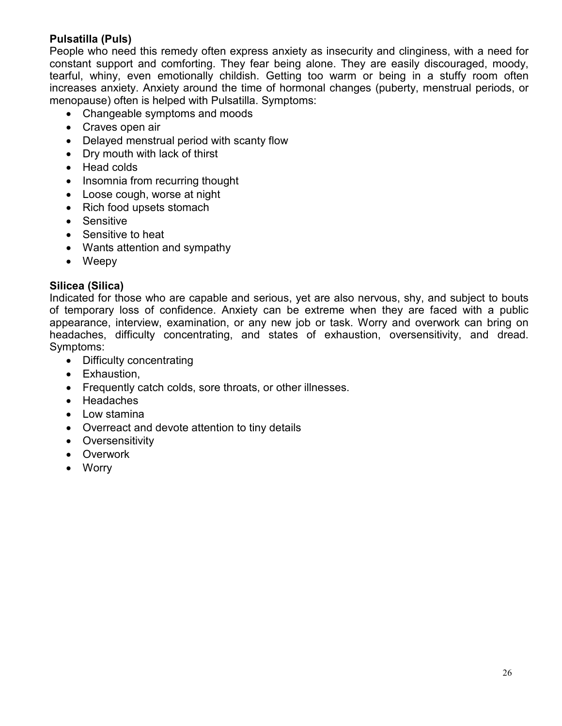## **Pulsatilla (Puls)**

People who need this remedy often express anxiety as insecurity and clinginess, with a need for constant support and comforting. They fear being alone. They are easily discouraged, moody, tearful, whiny, even emotionally childish. Getting too warm or being in a stuffy room often increases anxiety. Anxiety around the time of hormonal changes (puberty, menstrual periods, or menopause) often is helped with Pulsatilla. Symptoms:

- Changeable symptoms and moods
- Craves open air
- Delayed menstrual period with scanty flow
- Dry mouth with lack of thirst
- Head colds
- Insomnia from recurring thought
- Loose cough, worse at night
- Rich food upsets stomach
- Sensitive
- Sensitive to heat
- Wants attention and sympathy
- Weepy

### **Silicea (Silica)**

Indicated for those who are capable and serious, yet are also nervous, shy, and subject to bouts of temporary loss of confidence. Anxiety can be extreme when they are faced with a public appearance, interview, examination, or any new job or task. Worry and overwork can bring on headaches, difficulty concentrating, and states of exhaustion, oversensitivity, and dread. Symptoms:

- Difficulty concentrating
- Exhaustion,
- Frequently catch colds, sore throats, or other illnesses.
- Headaches
- Low stamina
- Overreact and devote attention to tiny details
- Oversensitivity
- Overwork
- Worry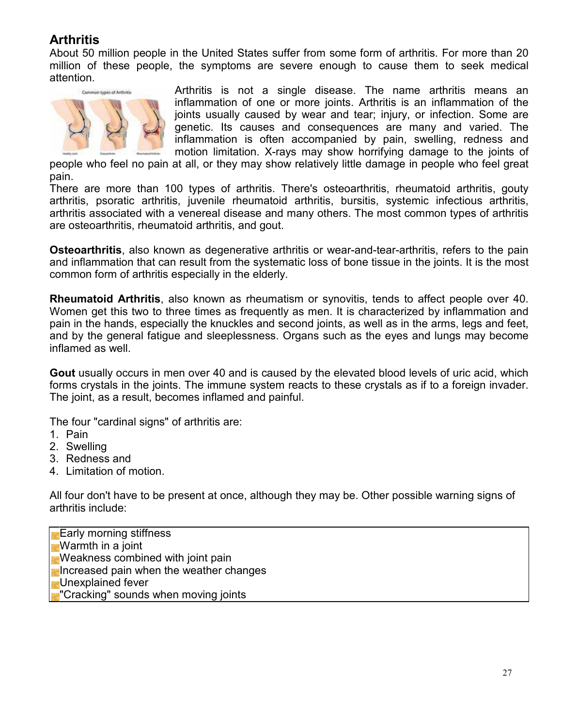# **Arthritis**

About 50 million people in the United States suffer from some form of arthritis. For more than 20 million of these people, the symptoms are severe enough to cause them to seek medical attention.



Arthritis is not a single disease. The name arthritis means an inflammation of one or more joints. Arthritis is an inflammation of the joints usually caused by wear and tear; injury, or infection. Some are genetic. Its causes and consequences are many and varied. The inflammation is often accompanied by pain, swelling, redness and motion limitation. X-rays may show horrifying damage to the joints of

people who feel no pain at all, or they may show relatively little damage in people who feel great pain.

There are more than 100 types of arthritis. There's osteoarthritis, rheumatoid arthritis, gouty arthritis, psoratic arthritis, juvenile rheumatoid arthritis, bursitis, systemic infectious arthritis, arthritis associated with a venereal disease and many others. The most common types of arthritis are osteoarthritis, rheumatoid arthritis, and gout.

**Osteoarthritis**, also known as degenerative arthritis or wear-and-tear-arthritis, refers to the pain and inflammation that can result from the systematic loss of bone tissue in the joints. It is the most common form of arthritis especially in the elderly.

**Rheumatoid Arthritis**, also known as rheumatism or synovitis, tends to affect people over 40. Women get this two to three times as frequently as men. It is characterized by inflammation and pain in the hands, especially the knuckles and second joints, as well as in the arms, legs and feet, and by the general fatigue and sleeplessness. Organs such as the eyes and lungs may become inflamed as well.

Gout usually occurs in men over 40 and is caused by the elevated blood levels of uric acid, which forms crystals in the joints. The immune system reacts to these crystals as if to a foreign invader. The joint, as a result, becomes inflamed and painful.

The four "cardinal signs" of arthritis are:

- 1. Pain
- 2. Swelling
- 3. Redness and
- 4. Limitation of motion.

All four don't have to be present at once, although they may be. Other possible warning signs of arthritis include:

Early morning stiffness Warmth in a joint Weakness combined with joint pain Increased pain when the weather changes Unexplained fever "Cracking" sounds when moving joints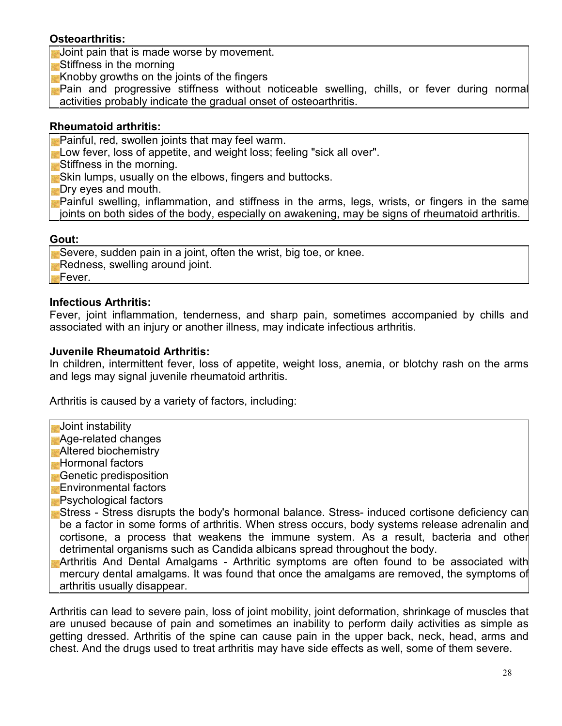## **Osteoarthritis:**

Joint pain that is made worse by movement.

Stiffness in the morning

Knobby growths on the joints of the fingers

Pain and progressive stiffness without noticeable swelling, chills, or fever during normal activities probably indicate the gradual onset of osteoarthritis.

#### **Rheumatoid arthritis:**

Painful, red, swollen joints that may feel warm.

Low fever, loss of appetite, and weight loss; feeling "sick all over".

Stiffness in the morning.

Skin lumps, usually on the elbows, fingers and buttocks.

Dry eyes and mouth.

Painful swelling, inflammation, and stiffness in the arms, legs, wrists, or fingers in the same joints on both sides of the body, especially on awakening, may be signs of rheumatoid arthritis.

#### **Gout:**

Severe, sudden pain in a joint, often the wrist, big toe, or knee. Redness, swelling around joint.

Fever.

#### **Infectious Arthritis:**

Fever, joint inflammation, tenderness, and sharp pain, sometimes accompanied by chills and associated with an injury or another illness, may indicate infectious arthritis.

#### **Juvenile Rheumatoid Arthritis:**

In children, intermittent fever, loss of appetite, weight loss, anemia, or blotchy rash on the arms and legs may signal juvenile rheumatoid arthritis.

Arthritis is caused by a variety of factors, including:

Joint instability Age-related changes Altered biochemistry Hormonal factors Genetic predisposition Environmental factors Psychological factors Stress - Stress disrupts the body's hormonal balance. Stress- induced cortisone deficiency can be a factor in some forms of arthritis. When stress occurs, body systems release adrenalin and cortisone, a process that weakens the immune system. As a result, bacteria and other detrimental organisms such as Candida albicans spread throughout the body. Arthritis And Dental Amalgams - Arthritic symptoms are often found to be associated with mercury dental amalgams. It was found that once the amalgams are removed, the symptoms of arthritis usually disappear.

Arthritis can lead to severe pain, loss of joint mobility, joint deformation, shrinkage of muscles that are unused because of pain and sometimes an inability to perform daily activities as simple as getting dressed. Arthritis of the spine can cause pain in the upper back, neck, head, arms and chest. And the drugs used to treat arthritis may have side effects as well, some of them severe.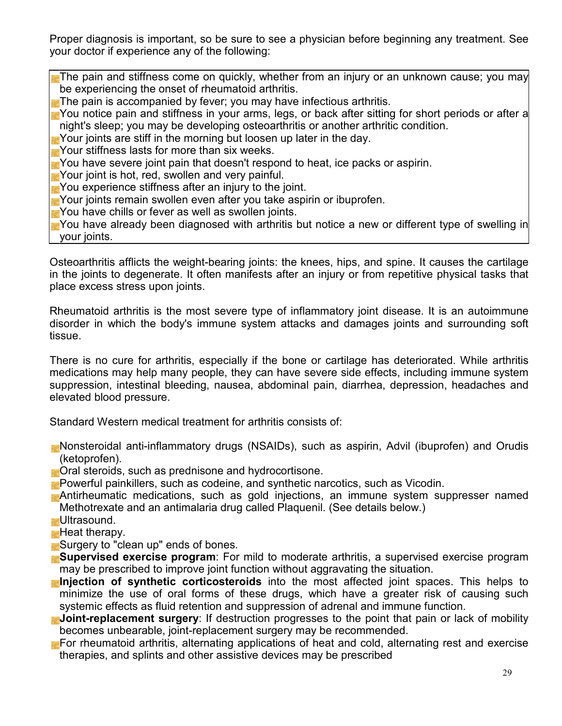Proper diagnosis is important, so be sure to see a physician before beginning any treatment. See your doctor if experience any of the following:

The pain and stiffness come on quickly, whether from an injury or an unknown cause; you may be experiencing the onset of rheumatoid arthritis.

The pain is accompanied by fever; you may have infectious arthritis.

You notice pain and stiffness in your arms, legs, or back after sitting for short periods or after a night's sleep; you may be developing osteoarthritis or another arthritic condition.

Your joints are stiff in the morning but loosen up later in the day.

Your stiffness lasts for more than six weeks.

You have severe joint pain that doesn't respond to heat, ice packs or aspirin.

Your joint is hot, red, swollen and very painful.

You experience stiffness after an injury to the joint.

Your joints remain swollen even after you take aspirin or ibuprofen.

You have chills or fever as well as swollen joints.

You have already been diagnosed with arthritis but notice a new or different type of swelling in your joints.

Osteoarthritis afflicts the weight-bearing joints: the knees, hips, and spine. It causes the cartilage in the joints to degenerate. It often manifests after an injury or from repetitive physical tasks that place excess stress upon joints.

Rheumatoid arthritis is the most severe type of inflammatory joint disease. It is an autoimmune disorder in which the body's immune system attacks and damages joints and surrounding soft tissue.

There is no cure for arthritis, especially if the bone or cartilage has deteriorated. While arthritis medications may help many people, they can have severe side effects, including immune system suppression, intestinal bleeding, nausea, abdominal pain, diarrhea, depression, headaches and elevated blood pressure.

Standard Western medical treatment for arthritis consists of:

Nonsteroidal anti-inflammatory drugs (NSAIDs), such as aspirin, Advil (ibuprofen) and Orudis (ketoprofen).

Oral steroids, such as prednisone and hydrocortisone.

Powerful painkillers, such as codeine, and synthetic narcotics, such as Vicodin.

Antirheumatic medications, such as gold injections, an immune system suppresser named Methotrexate and an antimalaria drug called Plaquenil. (See details below.)

Ultrasound.

Heat therapy.

Surgery to "clean up" ends of bones.

- **Supervised exercise program**: For mild to moderate arthritis, a supervised exercise program may be prescribed to improve joint function without aggravating the situation.
- **Injection of synthetic corticosteroids** into the most affected joint spaces. This helps to minimize the use of oral forms of these drugs, which have a greater risk of causing such systemic effects as fluid retention and suppression of adrenal and immune function.

**Joint-replacement surgery**: If destruction progresses to the point that pain or lack of mobility becomes unbearable, joint-replacement surgery may be recommended.

For rheumatoid arthritis, alternating applications of heat and cold, alternating rest and exercise therapies, and splints and other assistive devices may be prescribed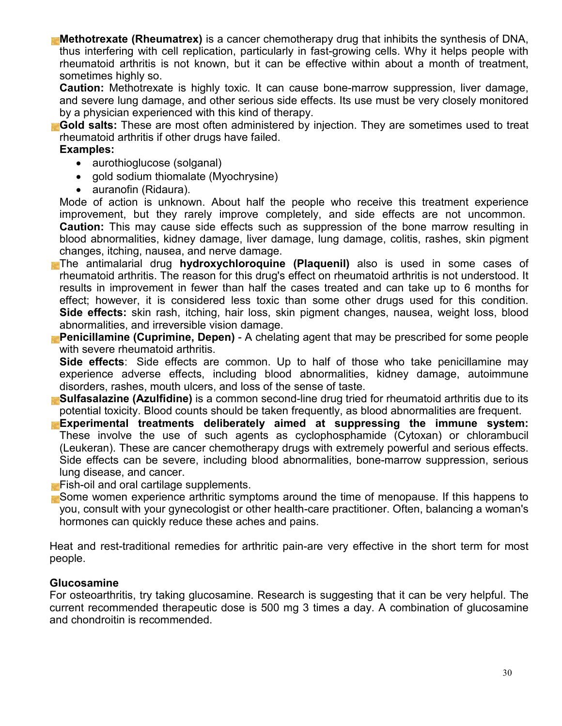**Methotrexate (Rheumatrex)** is a cancer chemotherapy drug that inhibits the synthesis of DNA, thus interfering with cell replication, particularly in fast-growing cells. Why it helps people with rheumatoid arthritis is not known, but it can be effective within about a month of treatment, sometimes highly so.

**Caution:** Methotrexate is highly toxic. It can cause bone-marrow suppression, liver damage, and severe lung damage, and other serious side effects. Its use must be very closely monitored by a physician experienced with this kind of therapy.

**Gold salts:** These are most often administered by injection. They are sometimes used to treat rheumatoid arthritis if other drugs have failed.

**Examples:**

- aurothioglucose (solganal)
- gold sodium thiomalate (Myochrysine)
- auranofin (Ridaura).

Mode of action is unknown. About half the people who receive this treatment experience improvement, but they rarely improve completely, and side effects are not uncommon. **Caution:** This may cause side effects such as suppression of the bone marrow resulting in blood abnormalities, kidney damage, liver damage, lung damage, colitis, rashes, skin pigment changes, itching, nausea, and nerve damage.

The antimalarial drug **hydroxychloroquine (Plaquenil)** also is used in some cases of rheumatoid arthritis. The reason for this drug's effect on rheumatoid arthritis is not understood. It results in improvement in fewer than half the cases treated and can take up to 6 months for effect; however, it is considered less toxic than some other drugs used for this condition. **Side effects:** skin rash, itching, hair loss, skin pigment changes, nausea, weight loss, blood abnormalities, and irreversible vision damage.

**Penicillamine (Cuprimine, Depen)** - A chelating agent that may be prescribed for some people with severe rheumatoid arthritis.

**Side effects**: Side effects are common. Up to half of those who take penicillamine may experience adverse effects, including blood abnormalities, kidney damage, autoimmune disorders, rashes, mouth ulcers, and loss of the sense of taste.

**Sulfasalazine (Azulfidine)** is a common second-line drug tried for rheumatoid arthritis due to its potential toxicity. Blood counts should be taken frequently, as blood abnormalities are frequent.

**Experimental treatments deliberately aimed at suppressing the immune system:** These involve the use of such agents as cyclophosphamide (Cytoxan) or chlorambucil (Leukeran). These are cancer chemotherapy drugs with extremely powerful and serious effects. Side effects can be severe, including blood abnormalities, bone-marrow suppression, serious lung disease, and cancer.

Fish-oil and oral cartilage supplements.

Some women experience arthritic symptoms around the time of menopause. If this happens to you, consult with your gynecologist or other health-care practitioner. Often, balancing a woman's hormones can quickly reduce these aches and pains.

Heat and rest-traditional remedies for arthritic pain-are very effective in the short term for most people.

#### **Glucosamine**

For osteoarthritis, try taking glucosamine. Research is suggesting that it can be very helpful. The current recommended therapeutic dose is 500 mg 3 times a day. A combination of glucosamine and chondroitin is recommended.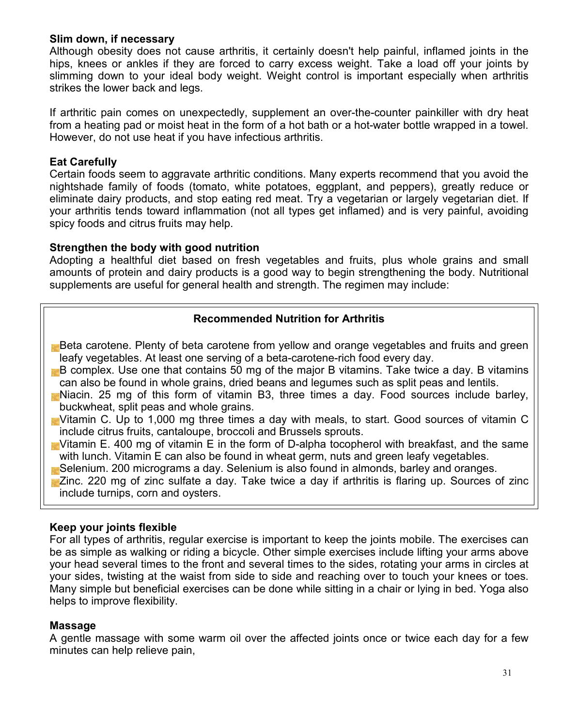#### **Slim down, if necessary**

Although obesity does not cause arthritis, it certainly doesn't help painful, inflamed joints in the hips, knees or ankles if they are forced to carry excess weight. Take a load off your joints by slimming down to your ideal body weight. Weight control is important especially when arthritis strikes the lower back and legs.

If arthritic pain comes on unexpectedly, supplement an over-the-counter painkiller with dry heat from a heating pad or moist heat in the form of a hot bath or a hot-water bottle wrapped in a towel. However, do not use heat if you have infectious arthritis.

### **Eat Carefully**

Certain foods seem to aggravate arthritic conditions. Many experts recommend that you avoid the nightshade family of foods (tomato, white potatoes, eggplant, and peppers), greatly reduce or eliminate dairy products, and stop eating red meat. Try a vegetarian or largely vegetarian diet. If your arthritis tends toward inflammation (not all types get inflamed) and is very painful, avoiding spicy foods and citrus fruits may help.

### **Strengthen the body with good nutrition**

Adopting a healthful diet based on fresh vegetables and fruits, plus whole grains and small amounts of protein and dairy products is a good way to begin strengthening the body. Nutritional supplements are useful for general health and strength. The regimen may include:

## **Recommended Nutrition for Arthritis**

- Beta carotene. Plenty of beta carotene from yellow and orange vegetables and fruits and green leafy vegetables. At least one serving of a beta-carotene-rich food every day.
- **B** complex. Use one that contains 50 mg of the major B vitamins. Take twice a day. B vitamins can also be found in whole grains, dried beans and legumes such as split peas and lentils.
- Niacin. 25 mg of this form of vitamin B3, three times a day. Food sources include barley, buckwheat, split peas and whole grains.
- Vitamin C. Up to 1,000 mg three times a day with meals, to start. Good sources of vitamin C include citrus fruits, cantaloupe, broccoli and Brussels sprouts.
- Vitamin E. 400 mg of vitamin E in the form of D-alpha tocopherol with breakfast, and the same with lunch. Vitamin E can also be found in wheat germ, nuts and green leafy vegetables.

Selenium. 200 micrograms a day. Selenium is also found in almonds, barley and oranges.

Zinc. 220 mg of zinc sulfate a day. Take twice a day if arthritis is flaring up. Sources of zinc include turnips, corn and oysters.

#### **Keep your joints flexible**

For all types of arthritis, regular exercise is important to keep the joints mobile. The exercises can be as simple as walking or riding a bicycle. Other simple exercises include lifting your arms above your head several times to the front and several times to the sides, rotating your arms in circles at your sides, twisting at the waist from side to side and reaching over to touch your knees or toes. Many simple but beneficial exercises can be done while sitting in a chair or lying in bed. Yoga also helps to improve flexibility.

#### **Massage**

A gentle massage with some warm oil over the affected joints once or twice each day for a few minutes can help relieve pain,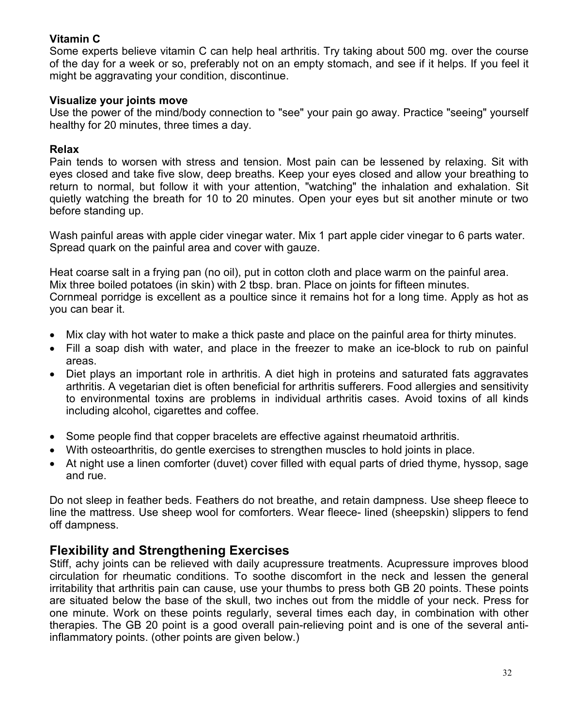### **Vitamin C**

Some experts believe vitamin C can help heal arthritis. Try taking about 500 mg. over the course of the day for a week or so, preferably not on an empty stomach, and see if it helps. If you feel it might be aggravating your condition, discontinue.

#### **Visualize your joints move**

Use the power of the mind/body connection to "see" your pain go away. Practice "seeing" yourself healthy for 20 minutes, three times a day.

### **Relax**

Pain tends to worsen with stress and tension. Most pain can be lessened by relaxing. Sit with eyes closed and take five slow, deep breaths. Keep your eyes closed and allow your breathing to return to normal, but follow it with your attention, "watching" the inhalation and exhalation. Sit quietly watching the breath for 10 to 20 minutes. Open your eyes but sit another minute or two before standing up.

Wash painful areas with apple cider vinegar water. Mix 1 part apple cider vinegar to 6 parts water. Spread quark on the painful area and cover with gauze.

Heat coarse salt in a frying pan (no oil), put in cotton cloth and place warm on the painful area. Mix three boiled potatoes (in skin) with 2 tbsp. bran. Place on joints for fifteen minutes. Cornmeal porridge is excellent as a poultice since it remains hot for a long time. Apply as hot as you can bear it.

- Mix clay with hot water to make a thick paste and place on the painful area for thirty minutes.
- Fill a soap dish with water, and place in the freezer to make an ice-block to rub on painful areas.
- Diet plays an important role in arthritis. A diet high in proteins and saturated fats aggravates arthritis. A vegetarian diet is often beneficial for arthritis sufferers. Food allergies and sensitivity to environmental toxins are problems in individual arthritis cases. Avoid toxins of all kinds including alcohol, cigarettes and coffee.
- Some people find that copper bracelets are effective against rheumatoid arthritis.
- With osteoarthritis, do gentle exercises to strengthen muscles to hold joints in place.
- At night use a linen comforter (duvet) cover filled with equal parts of dried thyme, hyssop, sage and rue.

Do not sleep in feather beds. Feathers do not breathe, and retain dampness. Use sheep fleece to line the mattress. Use sheep wool for comforters. Wear fleece- lined (sheepskin) slippers to fend off dampness.

# **Flexibility and Strengthening Exercises**

Stiff, achy joints can be relieved with daily acupressure treatments. Acupressure improves blood circulation for rheumatic conditions. To soothe discomfort in the neck and lessen the general irritability that arthritis pain can cause, use your thumbs to press both GB 20 points. These points are situated below the base of the skull, two inches out from the middle of your neck. Press for one minute. Work on these points regularly, several times each day, in combination with other therapies. The GB 20 point is a good overall pain-relieving point and is one of the several antiinflammatory points. (other points are given below.)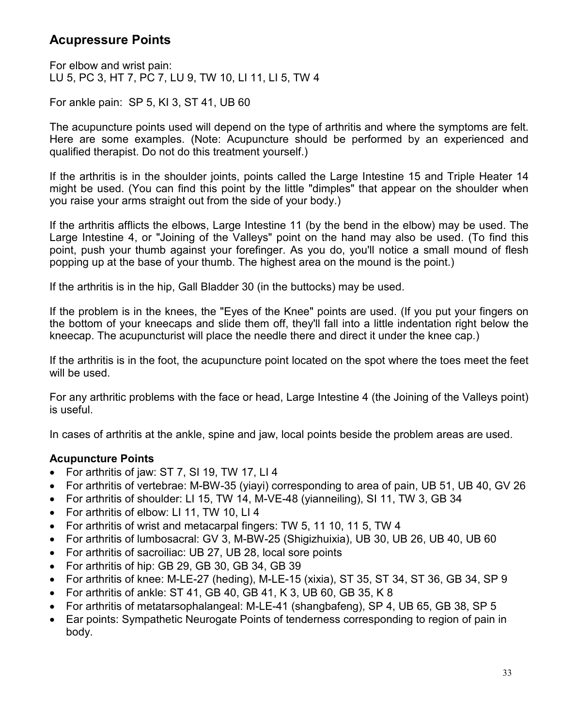# **Acupressure Points**

For elbow and wrist pain: LU 5, PC 3, HT 7, PC 7, LU 9, TW 10, LI 11, LI 5, TW 4

For ankle pain: SP 5, KI 3, ST 41, UB 60

The acupuncture points used will depend on the type of arthritis and where the symptoms are felt. Here are some examples. (Note: Acupuncture should be performed by an experienced and qualified therapist. Do not do this treatment yourself.)

If the arthritis is in the shoulder joints, points called the Large Intestine 15 and Triple Heater 14 might be used. (You can find this point by the little "dimples" that appear on the shoulder when you raise your arms straight out from the side of your body.)

If the arthritis afflicts the elbows, Large Intestine 11 (by the bend in the elbow) may be used. The Large Intestine 4, or "Joining of the Valleys" point on the hand may also be used. (To find this point, push your thumb against your forefinger. As you do, you'll notice a small mound of flesh popping up at the base of your thumb. The highest area on the mound is the point.)

If the arthritis is in the hip, Gall Bladder 30 (in the buttocks) may be used.

If the problem is in the knees, the "Eyes of the Knee" points are used. (If you put your fingers on the bottom of your kneecaps and slide them off, they'll fall into a little indentation right below the kneecap. The acupuncturist will place the needle there and direct it under the knee cap.)

If the arthritis is in the foot, the acupuncture point located on the spot where the toes meet the feet will be used.

For any arthritic problems with the face or head, Large Intestine 4 (the Joining of the Valleys point) is useful.

In cases of arthritis at the ankle, spine and jaw, local points beside the problem areas are used.

## **Acupuncture Points**

- For arthritis of jaw: ST 7, SI 19, TW 17, LI 4
- For arthritis of vertebrae: M-BW-35 (yiayi) corresponding to area of pain, UB 51, UB 40, GV 26
- For arthritis of shoulder: LI 15, TW 14, M-VE-48 (yianneiling), SI 11, TW 3, GB 34
- For arthritis of elbow: LI 11, TW 10, LI 4
- For arthritis of wrist and metacarpal fingers: TW 5, 11 10, 11 5, TW 4
- For arthritis of lumbosacral: GV 3, M-BW-25 (Shigizhuixia), UB 30, UB 26, UB 40, UB 60
- For arthritis of sacroiliac: UB 27, UB 28, local sore points
- For arthritis of hip: GB 29, GB 30, GB 34, GB 39
- For arthritis of knee: M-LE-27 (heding), M-LE-15 (xixia), ST 35, ST 34, ST 36, GB 34, SP 9
- For arthritis of ankle: ST 41, GB 40, GB 41, K 3, UB 60, GB 35, K 8
- For arthritis of metatarsophalangeal: M-LE-41 (shangbafeng), SP 4, UB 65, GB 38, SP 5
- Ear points: Sympathetic Neurogate Points of tenderness corresponding to region of pain in body.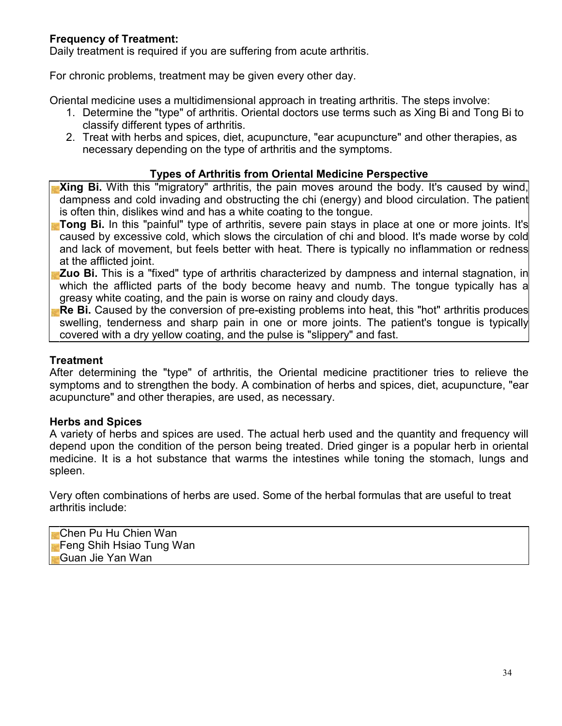### **Frequency of Treatment:**

Daily treatment is required if you are suffering from acute arthritis.

For chronic problems, treatment may be given every other day.

Oriental medicine uses a multidimensional approach in treating arthritis. The steps involve:

- 1. Determine the "type" of arthritis. Oriental doctors use terms such as Xing Bi and Tong Bi to classify different types of arthritis.
- 2. Treat with herbs and spices, diet, acupuncture, "ear acupuncture" and other therapies, as necessary depending on the type of arthritis and the symptoms.

#### **Types of Arthritis from Oriental Medicine Perspective**

- **Xing Bi.** With this "migratory" arthritis, the pain moves around the body. It's caused by wind, dampness and cold invading and obstructing the chi (energy) and blood circulation. The patient is often thin, dislikes wind and has a white coating to the tongue.
- **Tong Bi.** In this "painful" type of arthritis, severe pain stays in place at one or more joints. It's caused by excessive cold, which slows the circulation of chi and blood. It's made worse by cold and lack of movement, but feels better with heat. There is typically no inflammation or redness at the afflicted joint.
- **Zuo Bi.** This is a "fixed" type of arthritis characterized by dampness and internal stagnation, in which the afflicted parts of the body become heavy and numb. The tongue typically has a greasy white coating, and the pain is worse on rainy and cloudy days.
- **Re Bi.** Caused by the conversion of pre-existing problems into heat, this "hot" arthritis produces swelling, tenderness and sharp pain in one or more joints. The patient's tongue is typically covered with a dry yellow coating, and the pulse is "slippery" and fast.

#### **Treatment**

After determining the "type" of arthritis, the Oriental medicine practitioner tries to relieve the symptoms and to strengthen the body. A combination of herbs and spices, diet, acupuncture, "ear acupuncture" and other therapies, are used, as necessary.

#### **Herbs and Spices**

A variety of herbs and spices are used. The actual herb used and the quantity and frequency will depend upon the condition of the person being treated. Dried ginger is a popular herb in oriental medicine. It is a hot substance that warms the intestines while toning the stomach, lungs and spleen.

Very often combinations of herbs are used. Some of the herbal formulas that are useful to treat arthritis include:

Chen Pu Hu Chien Wan Feng Shih Hsiao Tung Wan Guan Jie Yan Wan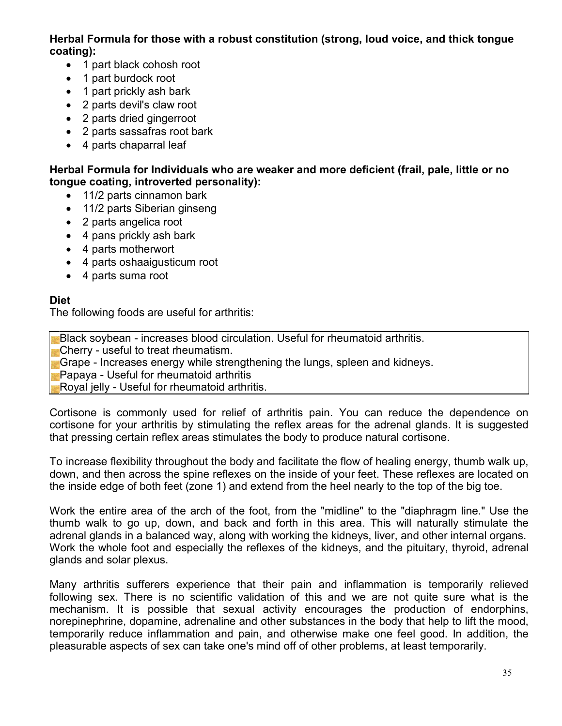### **Herbal Formula for those with a robust constitution (strong, loud voice, and thick tongue coating):**

- 1 part black cohosh root
- 1 part burdock root
- 1 part prickly ash bark
- 2 parts devil's claw root
- 2 parts dried gingerroot
- 2 parts sassafras root bark
- 4 parts chaparral leaf

**Herbal Formula for Individuals who are weaker and more deficient (frail, pale, little or no tongue coating, introverted personality):**

- 11/2 parts cinnamon bark
- 11/2 parts Siberian ginseng
- 2 parts angelica root
- 4 pans prickly ash bark
- 4 parts motherwort
- 4 parts oshaaigusticum root
- 4 parts suma root

#### **Diet**

The following foods are useful for arthritis:

Black soybean - increases blood circulation. Useful for rheumatoid arthritis.

Cherry - useful to treat rheumatism.

Grape - Increases energy while strengthening the lungs, spleen and kidneys.

Papaya - Useful for rheumatoid arthritis

Royal jelly - Useful for rheumatoid arthritis.

Cortisone is commonly used for relief of arthritis pain. You can reduce the dependence on cortisone for your arthritis by stimulating the reflex areas for the adrenal glands. It is suggested that pressing certain reflex areas stimulates the body to produce natural cortisone.

To increase flexibility throughout the body and facilitate the flow of healing energy, thumb walk up, down, and then across the spine reflexes on the inside of your feet. These reflexes are located on the inside edge of both feet (zone 1) and extend from the heel nearly to the top of the big toe.

Work the entire area of the arch of the foot, from the "midline" to the "diaphragm line." Use the thumb walk to go up, down, and back and forth in this area. This will naturally stimulate the adrenal glands in a balanced way, along with working the kidneys, liver, and other internal organs. Work the whole foot and especially the reflexes of the kidneys, and the pituitary, thyroid, adrenal glands and solar plexus.

Many arthritis sufferers experience that their pain and inflammation is temporarily relieved following sex. There is no scientific validation of this and we are not quite sure what is the mechanism. It is possible that sexual activity encourages the production of endorphins, norepinephrine, dopamine, adrenaline and other substances in the body that help to lift the mood, temporarily reduce inflammation and pain, and otherwise make one feel good. In addition, the pleasurable aspects of sex can take one's mind off of other problems, at least temporarily.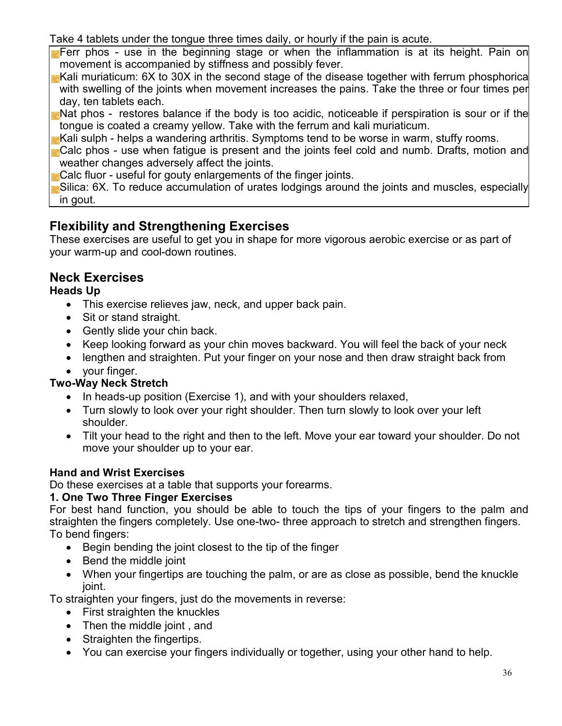Take 4 tablets under the tongue three times daily, or hourly if the pain is acute.

Ferr phos - use in the beginning stage or when the inflammation is at its height. Pain on movement is accompanied by stiffness and possibly fever.

Kali muriaticum: 6X to 30X in the second stage of the disease together with ferrum phosphorica with swelling of the joints when movement increases the pains. Take the three or four times per day, ten tablets each.

Nat phos - restores balance if the body is too acidic, noticeable if perspiration is sour or if the tongue is coated a creamy yellow. Take with the ferrum and kali muriaticum.

Kali sulph - helps a wandering arthritis. Symptoms tend to be worse in warm, stuffy rooms.

Calc phos - use when fatigue is present and the joints feel cold and numb. Drafts, motion and weather changes adversely affect the joints.

Calc fluor - useful for gouty enlargements of the finger joints.

Silica: 6X. To reduce accumulation of urates lodgings around the joints and muscles, especially in gout.

# **Flexibility and Strengthening Exercises**

These exercises are useful to get you in shape for more vigorous aerobic exercise or as part of your warm-up and cool-down routines.

# **Neck Exercises**

**Heads Up**

- This exercise relieves jaw, neck, and upper back pain.
- Sit or stand straight.
- Gently slide your chin back.
- Keep looking forward as your chin moves backward. You will feel the back of your neck
- lengthen and straighten. Put your finger on your nose and then draw straight back from
- your finger.

## **Two-Way Neck Stretch**

- In heads-up position (Exercise 1), and with your shoulders relaxed,
- Turn slowly to look over your right shoulder. Then turn slowly to look over your left shoulder.
- Tilt your head to the right and then to the left. Move your ear toward your shoulder. Do not move your shoulder up to your ear.

## **Hand and Wrist Exercises**

Do these exercises at a table that supports your forearms.

## **1. One Two Three Finger Exercises**

For best hand function, you should be able to touch the tips of your fingers to the palm and straighten the fingers completely. Use one-two- three approach to stretch and strengthen fingers. To bend fingers:

- Begin bending the joint closest to the tip of the finger
- Bend the middle joint
- When your fingertips are touching the palm, or are as close as possible, bend the knuckle joint.

To straighten your fingers, just do the movements in reverse:

- First straighten the knuckles
- Then the middle joint , and
- Straighten the fingertips.
- You can exercise your fingers individually or together, using your other hand to help.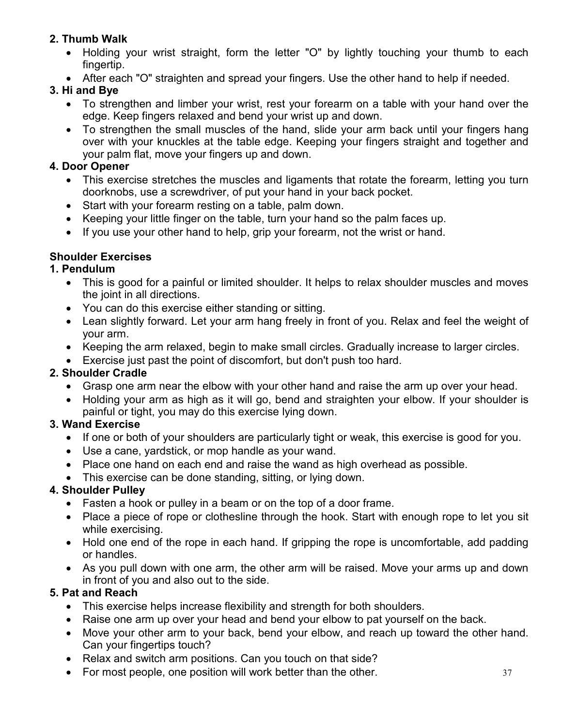## **2. Thumb Walk**

- Holding your wrist straight, form the letter "O" by lightly touching your thumb to each fingertip.
- After each "O" straighten and spread your fingers. Use the other hand to help if needed.

# **3. Hi and Bye**

- To strengthen and limber your wrist, rest your forearm on a table with your hand over the edge. Keep fingers relaxed and bend your wrist up and down.
- To strengthen the small muscles of the hand, slide your arm back until your fingers hang over with your knuckles at the table edge. Keeping your fingers straight and together and your palm flat, move your fingers up and down.

## **4. Door Opener**

- This exercise stretches the muscles and ligaments that rotate the forearm, letting you turn doorknobs, use a screwdriver, of put your hand in your back pocket.
- Start with your forearm resting on a table, palm down.
- Keeping your little finger on the table, turn your hand so the palm faces up.
- If you use your other hand to help, grip your forearm, not the wrist or hand.

# **Shoulder Exercises**

## **1. Pendulum**

- This is good for a painful or limited shoulder. It helps to relax shoulder muscles and moves the joint in all directions.
- You can do this exercise either standing or sitting.
- Lean slightly forward. Let your arm hang freely in front of you. Relax and feel the weight of your arm.
- Keeping the arm relaxed, begin to make small circles. Gradually increase to larger circles.
- Exercise just past the point of discomfort, but don't push too hard.

# **2. Shoulder Cradle**

- Grasp one arm near the elbow with your other hand and raise the arm up over your head.
- Holding your arm as high as it will go, bend and straighten your elbow. If your shoulder is painful or tight, you may do this exercise lying down.

# **3. Wand Exercise**

- If one or both of your shoulders are particularly tight or weak, this exercise is good for you.
- Use a cane, yardstick, or mop handle as your wand.
- Place one hand on each end and raise the wand as high overhead as possible.
- This exercise can be done standing, sitting, or lying down.

# **4. Shoulder Pulley**

- Fasten a hook or pulley in a beam or on the top of a door frame.
- Place a piece of rope or clothesline through the hook. Start with enough rope to let you sit while exercising.
- Hold one end of the rope in each hand. If gripping the rope is uncomfortable, add padding or handles.
- As you pull down with one arm, the other arm will be raised. Move your arms up and down in front of you and also out to the side.

# **5. Pat and Reach**

- This exercise helps increase flexibility and strength for both shoulders.
- Raise one arm up over your head and bend your elbow to pat yourself on the back.
- Move your other arm to your back, bend your elbow, and reach up toward the other hand. Can your fingertips touch?
- Relax and switch arm positions. Can you touch on that side?
- For most people, one position will work better than the other.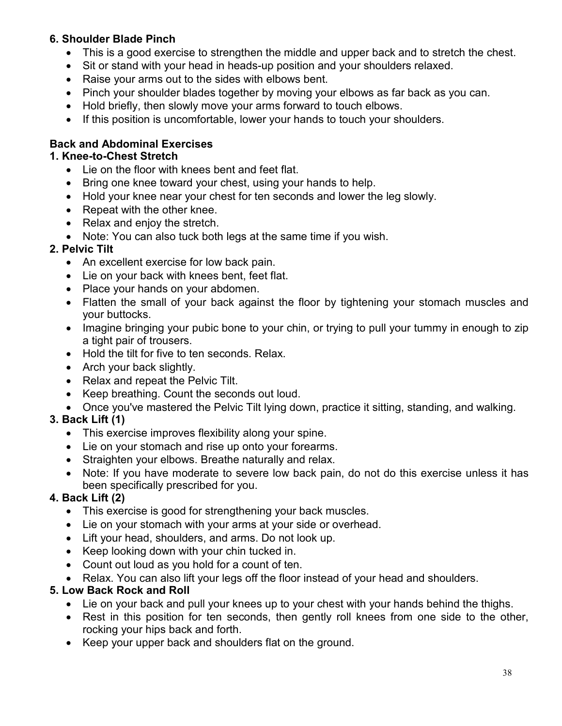## **6. Shoulder Blade Pinch**

- This is a good exercise to strengthen the middle and upper back and to stretch the chest.
- Sit or stand with your head in heads-up position and your shoulders relaxed.
- Raise your arms out to the sides with elbows bent.
- Pinch your shoulder blades together by moving your elbows as far back as you can.
- Hold briefly, then slowly move your arms forward to touch elbows.
- If this position is uncomfortable, lower your hands to touch your shoulders.

# **Back and Abdominal Exercises**

# **1. Knee-to-Chest Stretch**

- Lie on the floor with knees bent and feet flat.
- Bring one knee toward your chest, using your hands to help.
- Hold your knee near your chest for ten seconds and lower the leg slowly.
- Repeat with the other knee.
- Relax and enjoy the stretch.
- Note: You can also tuck both legs at the same time if you wish.

# **2. Pelvic Tilt**

- An excellent exercise for low back pain.
- Lie on your back with knees bent, feet flat.
- Place your hands on your abdomen.
- Flatten the small of your back against the floor by tightening your stomach muscles and your buttocks.
- Imagine bringing your pubic bone to your chin, or trying to pull your tummy in enough to zip a tight pair of trousers.
- Hold the tilt for five to ten seconds. Relax.
- Arch your back slightly.
- Relax and repeat the Pelvic Tilt.
- Keep breathing. Count the seconds out loud.
- Once you've mastered the Pelvic Tilt lying down, practice it sitting, standing, and walking.

# **3. Back Lift (1)**

- This exercise improves flexibility along your spine.
- Lie on your stomach and rise up onto your forearms.
- Straighten your elbows. Breathe naturally and relax.
- Note: If you have moderate to severe low back pain, do not do this exercise unless it has been specifically prescribed for you.

# **4. Back Lift (2)**

- This exercise is good for strengthening your back muscles.
- Lie on your stomach with your arms at your side or overhead.
- Lift your head, shoulders, and arms. Do not look up.
- Keep looking down with your chin tucked in.
- Count out loud as you hold for a count of ten.
- Relax. You can also lift your legs off the floor instead of your head and shoulders.

# **5. Low Back Rock and Roll**

- Lie on your back and pull your knees up to your chest with your hands behind the thighs.
- Rest in this position for ten seconds, then gently roll knees from one side to the other, rocking your hips back and forth.
- Keep your upper back and shoulders flat on the ground.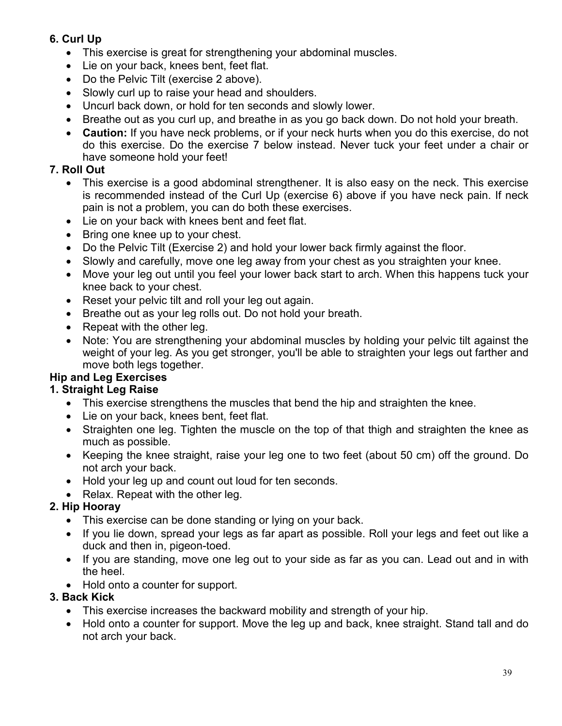# **6. Curl Up**

- This exercise is great for strengthening your abdominal muscles.
- Lie on your back, knees bent, feet flat.
- Do the Pelvic Tilt (exercise 2 above).
- Slowly curl up to raise your head and shoulders.
- Uncurl back down, or hold for ten seconds and slowly lower.
- Breathe out as you curl up, and breathe in as you go back down. Do not hold your breath.
- **Caution:** If you have neck problems, or if your neck hurts when you do this exercise, do not do this exercise. Do the exercise 7 below instead. Never tuck your feet under a chair or have someone hold your feet!

## **7. Roll Out**

- This exercise is a good abdominal strengthener. It is also easy on the neck. This exercise is recommended instead of the Curl Up (exercise 6) above if you have neck pain. If neck pain is not a problem, you can do both these exercises.
- Lie on your back with knees bent and feet flat.
- Bring one knee up to your chest.
- Do the Pelvic Tilt (Exercise 2) and hold your lower back firmly against the floor.
- Slowly and carefully, move one leg away from your chest as you straighten your knee.
- Move your leg out until you feel your lower back start to arch. When this happens tuck your knee back to your chest.
- Reset your pelvic tilt and roll your leg out again.
- Breathe out as your leg rolls out. Do not hold your breath.
- Repeat with the other leg.
- Note: You are strengthening your abdominal muscles by holding your pelvic tilt against the weight of your leg. As you get stronger, you'll be able to straighten your legs out farther and move both legs together.

# **Hip and Leg Exercises**

# **1. Straight Leg Raise**

- This exercise strengthens the muscles that bend the hip and straighten the knee.
- Lie on your back, knees bent, feet flat.
- Straighten one leg. Tighten the muscle on the top of that thigh and straighten the knee as much as possible.
- Keeping the knee straight, raise your leg one to two feet (about 50 cm) off the ground. Do not arch your back.
- Hold your leg up and count out loud for ten seconds.
- Relax. Repeat with the other leg.

# **2. Hip Hooray**

- This exercise can be done standing or lying on your back.
- If you lie down, spread your legs as far apart as possible. Roll your legs and feet out like a duck and then in, pigeon-toed.
- If you are standing, move one leg out to your side as far as you can. Lead out and in with the heel.
- Hold onto a counter for support.

# **3. Back Kick**

- This exercise increases the backward mobility and strength of your hip.
- Hold onto a counter for support. Move the leg up and back, knee straight. Stand tall and do not arch your back.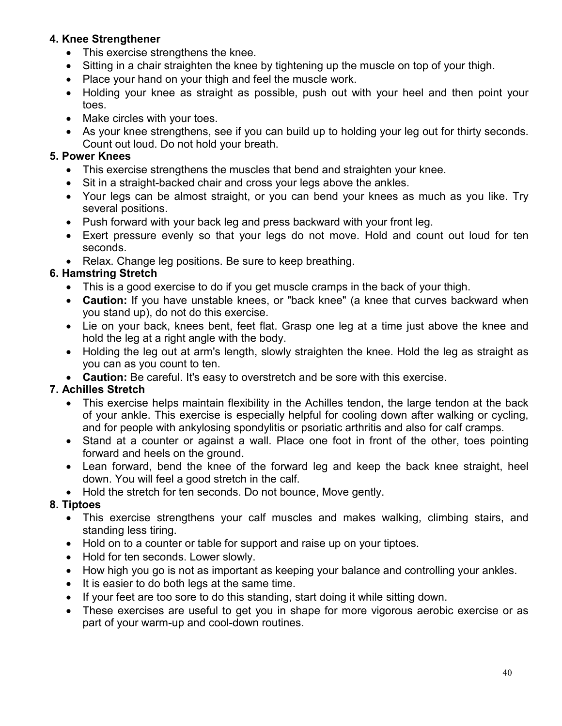## **4. Knee Strengthener**

- This exercise strengthens the knee.
- Sitting in a chair straighten the knee by tightening up the muscle on top of your thigh.
- Place your hand on your thigh and feel the muscle work.
- Holding your knee as straight as possible, push out with your heel and then point your toes.
- Make circles with your toes.
- As your knee strengthens, see if you can build up to holding your leg out for thirty seconds. Count out loud. Do not hold your breath.

## **5. Power Knees**

- This exercise strengthens the muscles that bend and straighten your knee.
- Sit in a straight-backed chair and cross your legs above the ankles.
- Your legs can be almost straight, or you can bend your knees as much as you like. Try several positions.
- Push forward with your back leg and press backward with your front leg.
- Exert pressure evenly so that your legs do not move. Hold and count out loud for ten seconds.
- Relax. Change leg positions. Be sure to keep breathing.

# **6. Hamstring Stretch**

- This is a good exercise to do if you get muscle cramps in the back of your thigh.
- **Caution:** If you have unstable knees, or "back knee" (a knee that curves backward when you stand up), do not do this exercise.
- Lie on your back, knees bent, feet flat. Grasp one leg at a time just above the knee and hold the leg at a right angle with the body.
- Holding the leg out at arm's length, slowly straighten the knee. Hold the leg as straight as you can as you count to ten.
- **Caution:** Be careful. It's easy to overstretch and be sore with this exercise.

# **7. Achilles Stretch**

- This exercise helps maintain flexibility in the Achilles tendon, the large tendon at the back of your ankle. This exercise is especially helpful for cooling down after walking or cycling, and for people with ankylosing spondylitis or psoriatic arthritis and also for calf cramps.
- Stand at a counter or against a wall. Place one foot in front of the other, toes pointing forward and heels on the ground.
- Lean forward, bend the knee of the forward leg and keep the back knee straight, heel down. You will feel a good stretch in the calf.
- Hold the stretch for ten seconds. Do not bounce, Move gently.

# **8. Tiptoes**

- This exercise strengthens your calf muscles and makes walking, climbing stairs, and standing less tiring.
- Hold on to a counter or table for support and raise up on your tiptoes.
- Hold for ten seconds. Lower slowly.
- How high you go is not as important as keeping your balance and controlling your ankles.
- It is easier to do both legs at the same time.
- If your feet are too sore to do this standing, start doing it while sitting down.
- These exercises are useful to get you in shape for more vigorous aerobic exercise or as part of your warm-up and cool-down routines.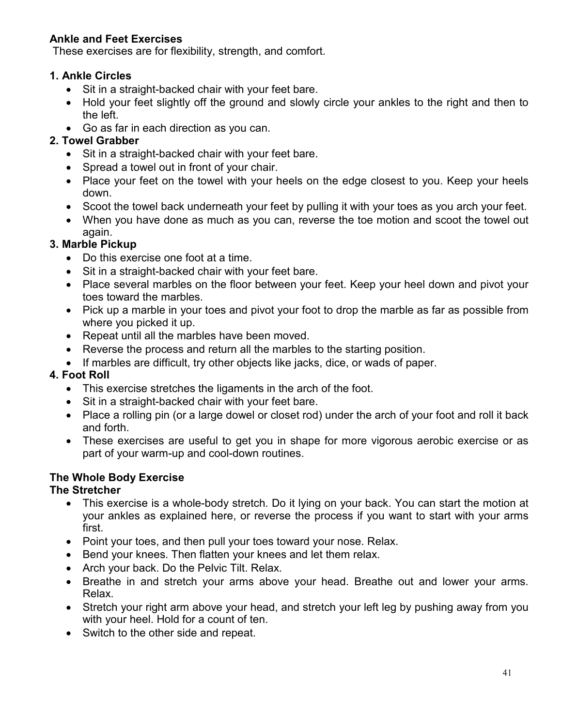## **Ankle and Feet Exercises**

These exercises are for flexibility, strength, and comfort.

### **1. Ankle Circles**

- Sit in a straight-backed chair with your feet bare.
- Hold your feet slightly off the ground and slowly circle your ankles to the right and then to the left.
- Go as far in each direction as you can.

## **2. Towel Grabber**

- Sit in a straight-backed chair with your feet bare.
- Spread a towel out in front of your chair.
- Place your feet on the towel with your heels on the edge closest to you. Keep your heels down.
- Scoot the towel back underneath your feet by pulling it with your toes as you arch your feet.
- When you have done as much as you can, reverse the toe motion and scoot the towel out again.

## **3. Marble Pickup**

- Do this exercise one foot at a time.
- Sit in a straight-backed chair with your feet bare.
- Place several marbles on the floor between your feet. Keep your heel down and pivot your toes toward the marbles.
- Pick up a marble in your toes and pivot your foot to drop the marble as far as possible from where you picked it up.
- Repeat until all the marbles have been moved.
- Reverse the process and return all the marbles to the starting position.
- If marbles are difficult, try other objects like jacks, dice, or wads of paper.

## **4. Foot Roll**

- This exercise stretches the ligaments in the arch of the foot.
- Sit in a straight-backed chair with your feet bare.
- Place a rolling pin (or a large dowel or closet rod) under the arch of your foot and roll it back and forth.
- These exercises are useful to get you in shape for more vigorous aerobic exercise or as part of your warm-up and cool-down routines.

## **The Whole Body Exercise**

## **The Stretcher**

- This exercise is a whole-body stretch. Do it lying on your back. You can start the motion at your ankles as explained here, or reverse the process if you want to start with your arms first.
- Point your toes, and then pull your toes toward your nose. Relax.
- Bend your knees. Then flatten your knees and let them relax.
- Arch your back. Do the Pelvic Tilt. Relax.
- Breathe in and stretch your arms above your head. Breathe out and lower your arms. Relax.
- Stretch your right arm above your head, and stretch your left leg by pushing away from you with your heel. Hold for a count of ten.
- Switch to the other side and repeat.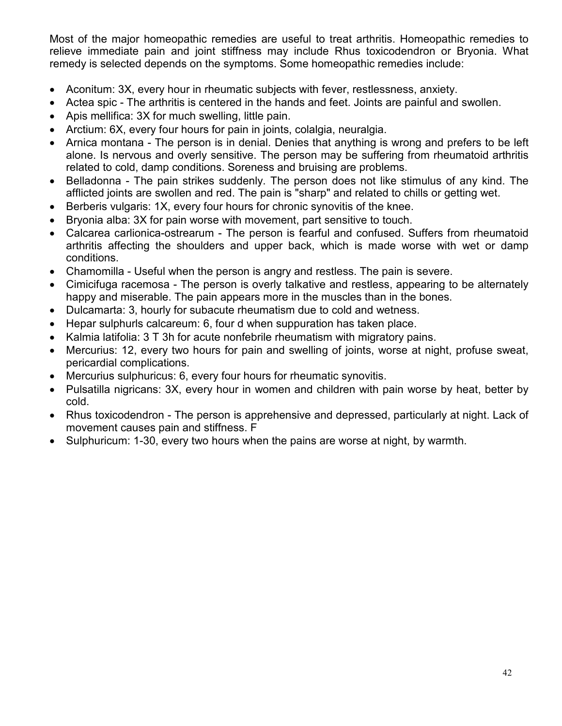Most of the major homeopathic remedies are useful to treat arthritis. Homeopathic remedies to relieve immediate pain and joint stiffness may include Rhus toxicodendron or Bryonia. What remedy is selected depends on the symptoms. Some homeopathic remedies include:

- Aconitum: 3X, every hour in rheumatic subjects with fever, restlessness, anxiety.
- Actea spic The arthritis is centered in the hands and feet. Joints are painful and swollen.
- Apis mellifica: 3X for much swelling, little pain.
- Arctium: 6X, every four hours for pain in joints, colalgia, neuralgia.
- Arnica montana The person is in denial. Denies that anything is wrong and prefers to be left alone. Is nervous and overly sensitive. The person may be suffering from rheumatoid arthritis related to cold, damp conditions. Soreness and bruising are problems.
- Belladonna The pain strikes suddenly. The person does not like stimulus of any kind. The afflicted joints are swollen and red. The pain is "sharp" and related to chills or getting wet.
- Berberis vulgaris: 1X, every four hours for chronic synovitis of the knee.
- Bryonia alba: 3X for pain worse with movement, part sensitive to touch.
- Calcarea carlionica-ostrearum The person is fearful and confused. Suffers from rheumatoid arthritis affecting the shoulders and upper back, which is made worse with wet or damp conditions.
- Chamomilla Useful when the person is angry and restless. The pain is severe.
- Cimicifuga racemosa The person is overly talkative and restless, appearing to be alternately happy and miserable. The pain appears more in the muscles than in the bones.
- Dulcamarta: 3, hourly for subacute rheumatism due to cold and wetness.
- Hepar sulphurls calcareum: 6, four d when suppuration has taken place.
- Kalmia latifolia: 3 T 3h for acute nonfebrile rheumatism with migratory pains.
- Mercurius: 12, every two hours for pain and swelling of joints, worse at night, profuse sweat, pericardial complications.
- Mercurius sulphuricus: 6, every four hours for rheumatic synovitis.
- Pulsatilla nigricans: 3X, every hour in women and children with pain worse by heat, better by cold.
- Rhus toxicodendron The person is apprehensive and depressed, particularly at night. Lack of movement causes pain and stiffness. F
- Sulphuricum: 1-30, every two hours when the pains are worse at night, by warmth.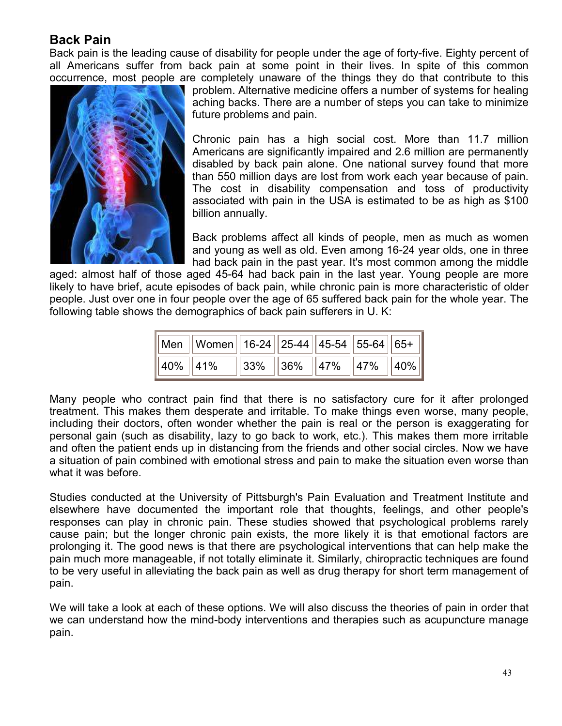# **Back Pain**

Back pain is the leading cause of disability for people under the age of forty-five. Eighty percent of all Americans suffer from back pain at some point in their lives. In spite of this common occurrence, most people are completely unaware of the things they do that contribute to this



problem. Alternative medicine offers a number of systems for healing aching backs. There are a number of steps you can take to minimize future problems and pain.

Chronic pain has a high social cost. More than 11.7 million Americans are significantly impaired and 2.6 million are permanently disabled by back pain alone. One national survey found that more than 550 million days are lost from work each year because of pain. The cost in disability compensation and toss of productivity associated with pain in the USA is estimated to be as high as \$100 billion annually.

Back problems affect all kinds of people, men as much as women and young as well as old. Even among 16-24 year olds, one in three had back pain in the past year. It's most common among the middle

aged: almost half of those aged 45-64 had back pain in the last year. Young people are more likely to have brief, acute episodes of back pain, while chronic pain is more characteristic of older people. Just over one in four people over the age of 65 suffered back pain for the whole year. The following table shows the demographics of back pain sufferers in U. K:

| Men Women 16-24 25-44 45-54 55-64 65+                 |  |  |  |
|-------------------------------------------------------|--|--|--|
| $\sqrt{40\% \left  41\% \right }$ 33% 36% 47% 47% 40% |  |  |  |

Many people who contract pain find that there is no satisfactory cure for it after prolonged treatment. This makes them desperate and irritable. To make things even worse, many people, including their doctors, often wonder whether the pain is real or the person is exaggerating for personal gain (such as disability, lazy to go back to work, etc.). This makes them more irritable and often the patient ends up in distancing from the friends and other social circles. Now we have a situation of pain combined with emotional stress and pain to make the situation even worse than what it was before.

Studies conducted at the University of Pittsburgh's Pain Evaluation and Treatment Institute and elsewhere have documented the important role that thoughts, feelings, and other people's responses can play in chronic pain. These studies showed that psychological problems rarely cause pain; but the longer chronic pain exists, the more likely it is that emotional factors are prolonging it. The good news is that there are psychological interventions that can help make the pain much more manageable, if not totally eliminate it. Similarly, chiropractic techniques are found to be very useful in alleviating the back pain as well as drug therapy for short term management of pain.

We will take a look at each of these options. We will also discuss the theories of pain in order that we can understand how the mind-body interventions and therapies such as acupuncture manage pain.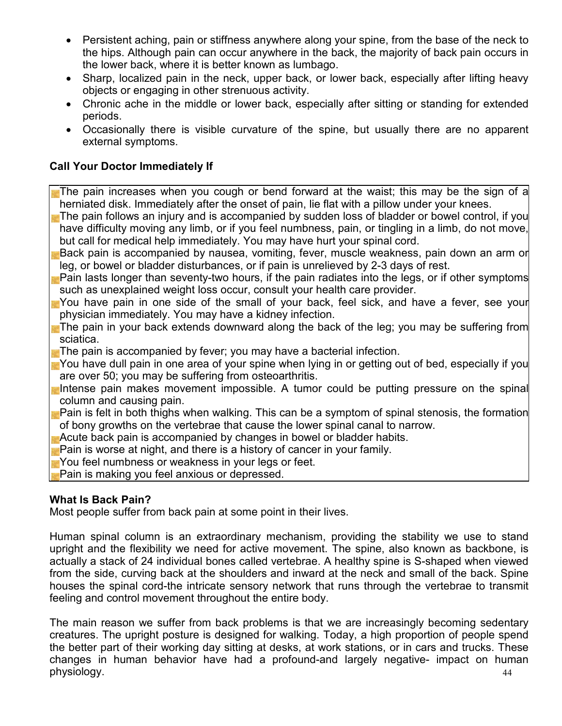- Persistent aching, pain or stiffness anywhere along your spine, from the base of the neck to the hips. Although pain can occur anywhere in the back, the majority of back pain occurs in the lower back, where it is better known as lumbago.
- Sharp, localized pain in the neck, upper back, or lower back, especially after lifting heavy objects or engaging in other strenuous activity.
- Chronic ache in the middle or lower back, especially after sitting or standing for extended periods.
- Occasionally there is visible curvature of the spine, but usually there are no apparent external symptoms.

## **Call Your Doctor Immediately If**

- The pain increases when you cough or bend forward at the waist; this may be the sign of a herniated disk. Immediately after the onset of pain, lie flat with a pillow under your knees.
- The pain follows an injury and is accompanied by sudden loss of bladder or bowel control, if you have difficulty moving any limb, or if you feel numbness, pain, or tingling in a limb, do not move, but call for medical help immediately. You may have hurt your spinal cord.
- Back pain is accompanied by nausea, vomiting, fever, muscle weakness, pain down an arm or leg, or bowel or bladder disturbances, or if pain is unrelieved by 2-3 days of rest.
- Pain lasts longer than seventy-two hours, if the pain radiates into the legs, or if other symptoms such as unexplained weight loss occur, consult your health care provider.
- You have pain in one side of the small of your back, feel sick, and have a fever, see your physician immediately. You may have a kidney infection.
- The pain in your back extends downward along the back of the leg; you may be suffering from sciatica.
- The pain is accompanied by fever; you may have a bacterial infection.
- You have dull pain in one area of your spine when lying in or getting out of bed, especially if you are over 50; you may be suffering from osteoarthritis.
- Intense pain makes movement impossible. A tumor could be putting pressure on the spinal column and causing pain.
- Pain is felt in both thighs when walking. This can be a symptom of spinal stenosis, the formation of bony growths on the vertebrae that cause the lower spinal canal to narrow.
- Acute back pain is accompanied by changes in bowel or bladder habits.
- Pain is worse at night, and there is a history of cancer in your family.
- You feel numbness or weakness in your legs or feet.
- Pain is making you feel anxious or depressed.

## **What Is Back Pain?**

Most people suffer from back pain at some point in their lives.

Human spinal column is an extraordinary mechanism, providing the stability we use to stand upright and the flexibility we need for active movement. The spine, also known as backbone, is actually a stack of 24 individual bones called vertebrae. A healthy spine is S-shaped when viewed from the side, curving back at the shoulders and inward at the neck and small of the back. Spine houses the spinal cord-the intricate sensory network that runs through the vertebrae to transmit feeling and control movement throughout the entire body.

44 The main reason we suffer from back problems is that we are increasingly becoming sedentary creatures. The upright posture is designed for walking. Today, a high proportion of people spend the better part of their working day sitting at desks, at work stations, or in cars and trucks. These changes in human behavior have had a profound-and largely negative- impact on human physiology.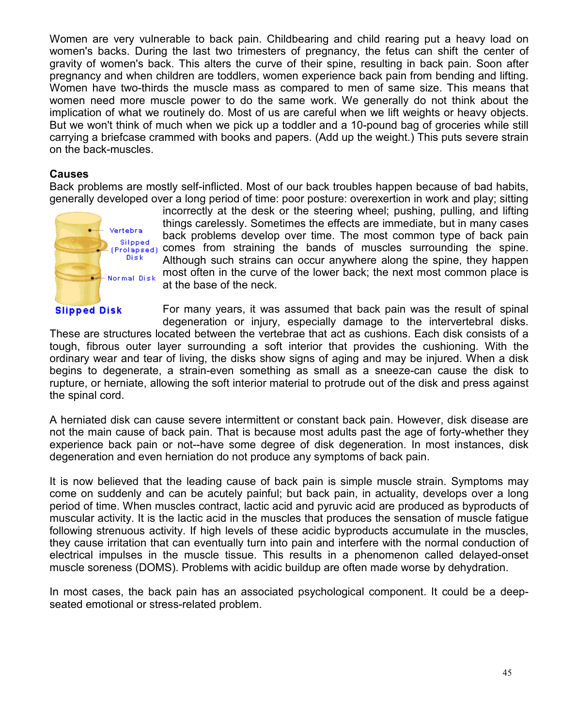Women are very vulnerable to back pain. Childbearing and child rearing put a heavy load on women's backs. During the last two trimesters of pregnancy, the fetus can shift the center of gravity of women's back. This alters the curve of their spine, resulting in back pain. Soon after pregnancy and when children are toddlers, women experience back pain from bending and lifting. Women have two-thirds the muscle mass as compared to men of same size. This means that women need more muscle power to do the same work. We generally do not think about the implication of what we routinely do. Most of us are careful when we lift weights or heavy objects. But we won't think of much when we pick up a toddler and a 10-pound bag of groceries while still carrying a briefcase crammed with books and papers. (Add up the weight.) This puts severe strain on the back-muscles.

#### **Causes**

Back problems are mostly self-inflicted. Most of our back troubles happen because of bad habits, generally developed over a long period of time: poor posture: overexertion in work and play; sitting



incorrectly at the desk or the steering wheel; pushing, pulling, and lifting things carelessly. Sometimes the effects are immediate, but in many cases back problems develop over time. The most common type of back pain comes from straining the bands of muscles surrounding the spine. Although such strains can occur anywhere along the spine, they happen most often in the curve of the lower back; the next most common place is at the base of the neck.

For many years, it was assumed that back pain was the result of spinal degeneration or injury, especially damage to the intervertebral disks.

These are structures located between the vertebrae that act as cushions. Each disk consists of a tough, fibrous outer layer surrounding a soft interior that provides the cushioning. With the ordinary wear and tear of living, the disks show signs of aging and may be injured. When a disk begins to degenerate, a strain-even something as small as a sneeze-can cause the disk to rupture, or herniate, allowing the soft interior material to protrude out of the disk and press against the spinal cord.

A herniated disk can cause severe intermittent or constant back pain. However, disk disease are not the main cause of back pain. That is because most adults past the age of forty-whether they experience back pain or not--have some degree of disk degeneration. In most instances, disk degeneration and even herniation do not produce any symptoms of back pain.

It is now believed that the leading cause of back pain is simple muscle strain. Symptoms may come on suddenly and can be acutely painful; but back pain, in actuality, develops over a long period of time. When muscles contract, lactic acid and pyruvic acid are produced as byproducts of muscular activity. It is the lactic acid in the muscles that produces the sensation of muscle fatigue following strenuous activity. If high levels of these acidic byproducts accumulate in the muscles, they cause irritation that can eventually turn into pain and interfere with the normal conduction of electrical impulses in the muscle tissue. This results in a phenomenon called delayed-onset muscle soreness (DOMS). Problems with acidic buildup are often made worse by dehydration.

In most cases, the back pain has an associated psychological component. It could be a deepseated emotional or stress-related problem.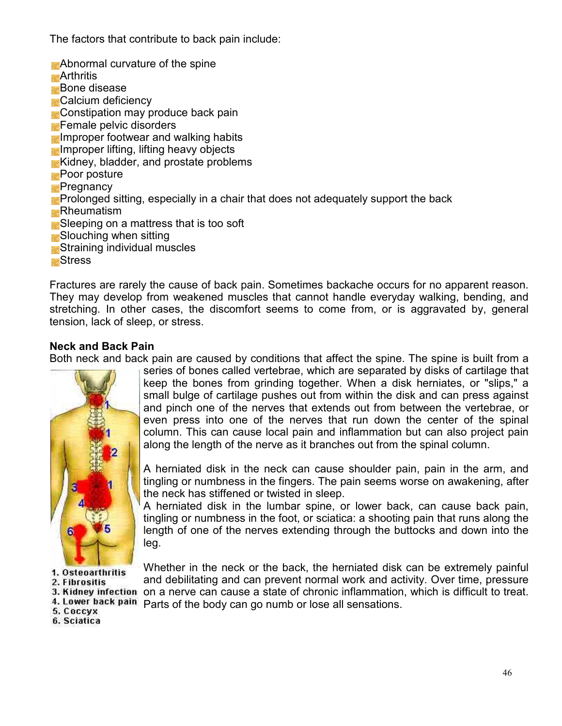The factors that contribute to back pain include:

**Abnormal curvature of the spine Arthritis** Bone disease Calcium deficiency Constipation may produce back pain Female pelvic disorders Improper footwear and walking habits Improper lifting, lifting heavy objects Kidney, bladder, and prostate problems Poor posture **Pregnancy** Prolonged sitting, especially in a chair that does not adequately support the back Rheumatism Sleeping on a mattress that is too soft Slouching when sitting Straining individual muscles **Stress** 

Fractures are rarely the cause of back pain. Sometimes backache occurs for no apparent reason. They may develop from weakened muscles that cannot handle everyday walking, bending, and stretching. In other cases, the discomfort seems to come from, or is aggravated by, general tension, lack of sleep, or stress.

## **Neck and Back Pain**

Both neck and back pain are caused by conditions that affect the spine. The spine is built from a



series of bones called vertebrae, which are separated by disks of cartilage that keep the bones from grinding together. When a disk herniates, or "slips," a small bulge of cartilage pushes out from within the disk and can press against and pinch one of the nerves that extends out from between the vertebrae, or even press into one of the nerves that run down the center of the spinal column. This can cause local pain and inflammation but can also project pain along the length of the nerve as it branches out from the spinal column.

A herniated disk in the neck can cause shoulder pain, pain in the arm, and tingling or numbness in the fingers. The pain seems worse on awakening, after the neck has stiffened or twisted in sleep.

A herniated disk in the lumbar spine, or lower back, can cause back pain, tingling or numbness in the foot, or sciatica: a shooting pain that runs along the length of one of the nerves extending through the buttocks and down into the leg.

Whether in the neck or the back, the herniated disk can be extremely painful and debilitating and can prevent normal work and activity. Over time, pressure

1. Osteoarthritis

2. Fibrositis

3. Kidney infection on a nerve can cause a state of chronic inflammation, which is difficult to treat.

4. Lower back pain Parts of the body can go numb or lose all sensations.

5. COCCVX

6. Sciatica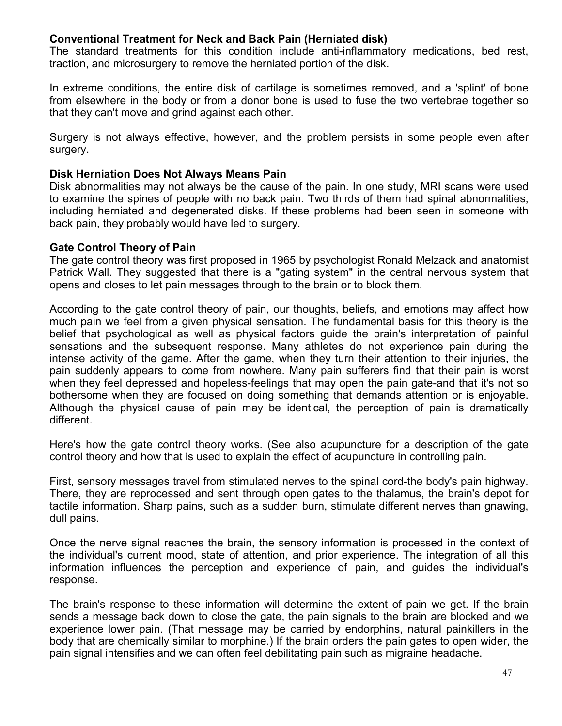#### **Conventional Treatment for Neck and Back Pain (Herniated disk)**

The standard treatments for this condition include anti-inflammatory medications, bed rest, traction, and microsurgery to remove the herniated portion of the disk.

In extreme conditions, the entire disk of cartilage is sometimes removed, and a 'splint' of bone from elsewhere in the body or from a donor bone is used to fuse the two vertebrae together so that they can't move and grind against each other.

Surgery is not always effective, however, and the problem persists in some people even after surgery.

#### **Disk Herniation Does Not Always Means Pain**

Disk abnormalities may not always be the cause of the pain. In one study, MRI scans were used to examine the spines of people with no back pain. Two thirds of them had spinal abnormalities, including herniated and degenerated disks. If these problems had been seen in someone with back pain, they probably would have led to surgery.

#### **Gate Control Theory of Pain**

The gate control theory was first proposed in 1965 by psychologist Ronald Melzack and anatomist Patrick Wall. They suggested that there is a "gating system" in the central nervous system that opens and closes to let pain messages through to the brain or to block them.

According to the gate control theory of pain, our thoughts, beliefs, and emotions may affect how much pain we feel from a given physical sensation. The fundamental basis for this theory is the belief that psychological as well as physical factors guide the brain's interpretation of painful sensations and the subsequent response. Many athletes do not experience pain during the intense activity of the game. After the game, when they turn their attention to their injuries, the pain suddenly appears to come from nowhere. Many pain sufferers find that their pain is worst when they feel depressed and hopeless-feelings that may open the pain gate-and that it's not so bothersome when they are focused on doing something that demands attention or is enjoyable. Although the physical cause of pain may be identical, the perception of pain is dramatically different.

Here's how the gate control theory works. (See also acupuncture for a description of the gate control theory and how that is used to explain the effect of acupuncture in controlling pain.

First, sensory messages travel from stimulated nerves to the spinal cord-the body's pain highway. There, they are reprocessed and sent through open gates to the thalamus, the brain's depot for tactile information. Sharp pains, such as a sudden burn, stimulate different nerves than gnawing, dull pains.

Once the nerve signal reaches the brain, the sensory information is processed in the context of the individual's current mood, state of attention, and prior experience. The integration of all this information influences the perception and experience of pain, and guides the individual's response.

The brain's response to these information will determine the extent of pain we get. If the brain sends a message back down to close the gate, the pain signals to the brain are blocked and we experience lower pain. (That message may be carried by endorphins, natural painkillers in the body that are chemically similar to morphine.) If the brain orders the pain gates to open wider, the pain signal intensifies and we can often feel debilitating pain such as migraine headache.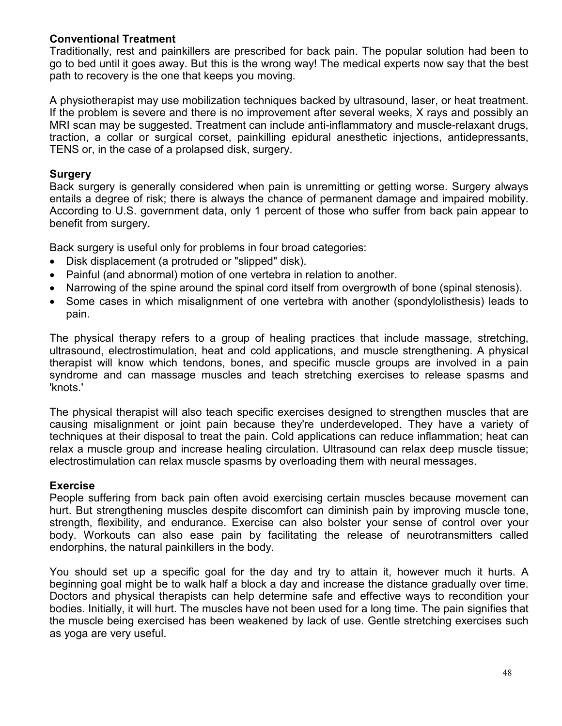#### **Conventional Treatment**

Traditionally, rest and painkillers are prescribed for back pain. The popular solution had been to go to bed until it goes away. But this is the wrong way! The medical experts now say that the best path to recovery is the one that keeps you moving.

A physiotherapist may use mobilization techniques backed by ultrasound, laser, or heat treatment. If the problem is severe and there is no improvement after several weeks, X rays and possibly an MRI scan may be suggested. Treatment can include anti-inflammatory and muscle-relaxant drugs, traction, a collar or surgical corset, painkilling epidural anesthetic injections, antidepressants, TENS or, in the case of a prolapsed disk, surgery.

### **Surgery**

Back surgery is generally considered when pain is unremitting or getting worse. Surgery always entails a degree of risk; there is always the chance of permanent damage and impaired mobility. According to U.S. government data, only 1 percent of those who suffer from back pain appear to benefit from surgery.

Back surgery is useful only for problems in four broad categories:

- Disk displacement (a protruded or "slipped" disk).
- Painful (and abnormal) motion of one vertebra in relation to another.
- Narrowing of the spine around the spinal cord itself from overgrowth of bone (spinal stenosis).
- Some cases in which misalignment of one vertebra with another (spondylolisthesis) leads to pain.

The physical therapy refers to a group of healing practices that include massage, stretching, ultrasound, electrostimulation, heat and cold applications, and muscle strengthening. A physical therapist will know which tendons, bones, and specific muscle groups are involved in a pain syndrome and can massage muscles and teach stretching exercises to release spasms and 'knots.'

The physical therapist will also teach specific exercises designed to strengthen muscles that are causing misalignment or joint pain because they're underdeveloped. They have a variety of techniques at their disposal to treat the pain. Cold applications can reduce inflammation; heat can relax a muscle group and increase healing circulation. Ultrasound can relax deep muscle tissue; electrostimulation can relax muscle spasms by overloading them with neural messages.

#### **Exercise**

People suffering from back pain often avoid exercising certain muscles because movement can hurt. But strengthening muscles despite discomfort can diminish pain by improving muscle tone, strength, flexibility, and endurance. Exercise can also bolster your sense of control over your body. Workouts can also ease pain by facilitating the release of neurotransmitters called endorphins, the natural painkillers in the body.

You should set up a specific goal for the day and try to attain it, however much it hurts. A beginning goal might be to walk half a block a day and increase the distance gradually over time. Doctors and physical therapists can help determine safe and effective ways to recondition your bodies. Initially, it will hurt. The muscles have not been used for a long time. The pain signifies that the muscle being exercised has been weakened by lack of use. Gentle stretching exercises such as yoga are very useful.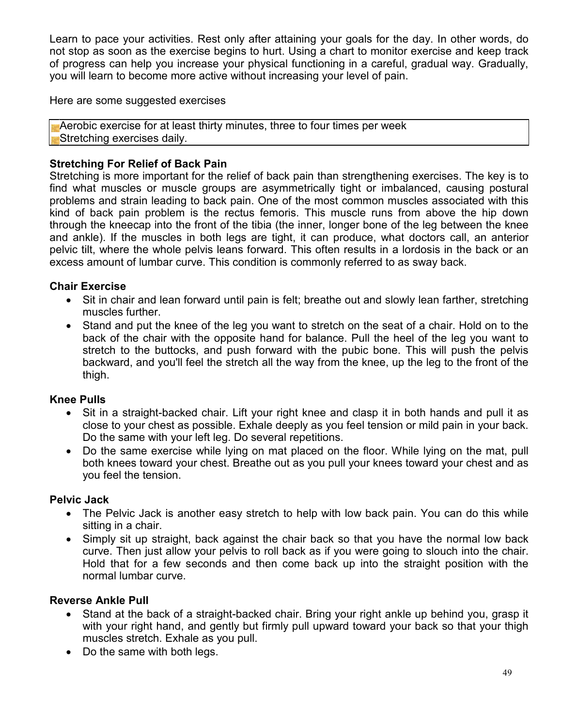Learn to pace your activities. Rest only after attaining your goals for the day. In other words, do not stop as soon as the exercise begins to hurt. Using a chart to monitor exercise and keep track of progress can help you increase your physical functioning in a careful, gradual way. Gradually, you will learn to become more active without increasing your level of pain.

Here are some suggested exercises

Aerobic exercise for at least thirty minutes, three to four times per week **Stretching exercises daily.** 

#### **Stretching For Relief of Back Pain**

Stretching is more important for the relief of back pain than strengthening exercises. The key is to find what muscles or muscle groups are asymmetrically tight or imbalanced, causing postural problems and strain leading to back pain. One of the most common muscles associated with this kind of back pain problem is the rectus femoris. This muscle runs from above the hip down through the kneecap into the front of the tibia (the inner, longer bone of the leg between the knee and ankle). If the muscles in both legs are tight, it can produce, what doctors call, an anterior pelvic tilt, where the whole pelvis leans forward. This often results in a lordosis in the back or an excess amount of lumbar curve. This condition is commonly referred to as sway back.

### **Chair Exercise**

- Sit in chair and lean forward until pain is felt; breathe out and slowly lean farther, stretching muscles further.
- Stand and put the knee of the leg you want to stretch on the seat of a chair. Hold on to the back of the chair with the opposite hand for balance. Pull the heel of the leg you want to stretch to the buttocks, and push forward with the pubic bone. This will push the pelvis backward, and you'll feel the stretch all the way from the knee, up the leg to the front of the thigh.

#### **Knee Pulls**

- Sit in a straight-backed chair. Lift your right knee and clasp it in both hands and pull it as close to your chest as possible. Exhale deeply as you feel tension or mild pain in your back. Do the same with your left leg. Do several repetitions.
- Do the same exercise while lying on mat placed on the floor. While lying on the mat, pull both knees toward your chest. Breathe out as you pull your knees toward your chest and as you feel the tension.

#### **Pelvic Jack**

- The Pelvic Jack is another easy stretch to help with low back pain. You can do this while sitting in a chair.
- Simply sit up straight, back against the chair back so that you have the normal low back curve. Then just allow your pelvis to roll back as if you were going to slouch into the chair. Hold that for a few seconds and then come back up into the straight position with the normal lumbar curve.

#### **Reverse Ankle Pull**

- Stand at the back of a straight-backed chair. Bring your right ankle up behind you, grasp it with your right hand, and gently but firmly pull upward toward your back so that your thigh muscles stretch. Exhale as you pull.
- Do the same with both legs.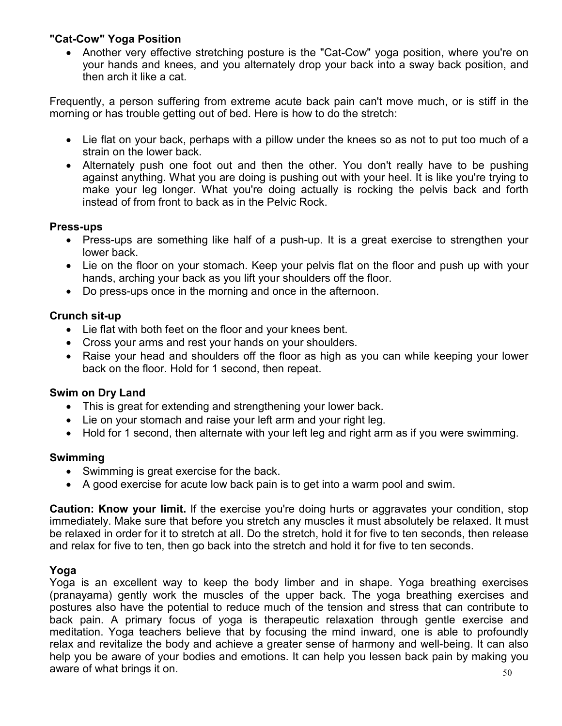## **"Cat-Cow" Yoga Position**

• Another very effective stretching posture is the "Cat-Cow" yoga position, where you're on your hands and knees, and you alternately drop your back into a sway back position, and then arch it like a cat.

Frequently, a person suffering from extreme acute back pain can't move much, or is stiff in the morning or has trouble getting out of bed. Here is how to do the stretch:

- Lie flat on your back, perhaps with a pillow under the knees so as not to put too much of a strain on the lower back.
- Alternately push one foot out and then the other. You don't really have to be pushing against anything. What you are doing is pushing out with your heel. It is like you're trying to make your leg longer. What you're doing actually is rocking the pelvis back and forth instead of from front to back as in the Pelvic Rock.

### **Press-ups**

- Press-ups are something like half of a push-up. It is a great exercise to strengthen your lower back.
- Lie on the floor on your stomach. Keep your pelvis flat on the floor and push up with your hands, arching your back as you lift your shoulders off the floor.
- Do press-ups once in the morning and once in the afternoon.

## **Crunch sit-up**

- Lie flat with both feet on the floor and your knees bent.
- Cross your arms and rest your hands on your shoulders.
- Raise your head and shoulders off the floor as high as you can while keeping your lower back on the floor. Hold for 1 second, then repeat.

## **Swim on Dry Land**

- This is great for extending and strengthening your lower back.
- Lie on your stomach and raise your left arm and your right leg.
- Hold for 1 second, then alternate with your left leg and right arm as if you were swimming.

## **Swimming**

- Swimming is great exercise for the back.
- A good exercise for acute low back pain is to get into a warm pool and swim.

**Caution: Know your limit.** If the exercise you're doing hurts or aggravates your condition, stop immediately. Make sure that before you stretch any muscles it must absolutely be relaxed. It must be relaxed in order for it to stretch at all. Do the stretch, hold it for five to ten seconds, then release and relax for five to ten, then go back into the stretch and hold it for five to ten seconds.

## **Yoga**

Yoga is an excellent way to keep the body limber and in shape. Yoga breathing exercises (pranayama) gently work the muscles of the upper back. The yoga breathing exercises and postures also have the potential to reduce much of the tension and stress that can contribute to back pain. A primary focus of yoga is therapeutic relaxation through gentle exercise and meditation. Yoga teachers believe that by focusing the mind inward, one is able to profoundly relax and revitalize the body and achieve a greater sense of harmony and well-being. It can also help you be aware of your bodies and emotions. It can help you lessen back pain by making you aware of what brings it on.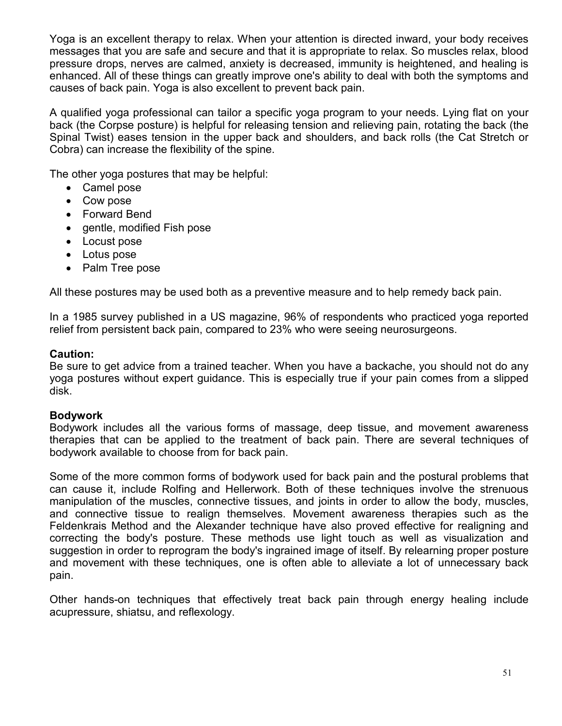Yoga is an excellent therapy to relax. When your attention is directed inward, your body receives messages that you are safe and secure and that it is appropriate to relax. So muscles relax, blood pressure drops, nerves are calmed, anxiety is decreased, immunity is heightened, and healing is enhanced. All of these things can greatly improve one's ability to deal with both the symptoms and causes of back pain. Yoga is also excellent to prevent back pain.

A qualified yoga professional can tailor a specific yoga program to your needs. Lying flat on your back (the Corpse posture) is helpful for releasing tension and relieving pain, rotating the back (the Spinal Twist) eases tension in the upper back and shoulders, and back rolls (the Cat Stretch or Cobra) can increase the flexibility of the spine.

The other yoga postures that may be helpful:

- Camel pose
- Cow pose
- Forward Bend
- gentle, modified Fish pose
- Locust pose
- Lotus pose
- Palm Tree pose

All these postures may be used both as a preventive measure and to help remedy back pain.

In a 1985 survey published in a US magazine, 96% of respondents who practiced yoga reported relief from persistent back pain, compared to 23% who were seeing neurosurgeons.

### **Caution:**

Be sure to get advice from a trained teacher. When you have a backache, you should not do any yoga postures without expert guidance. This is especially true if your pain comes from a slipped disk.

## **Bodywork**

Bodywork includes all the various forms of massage, deep tissue, and movement awareness therapies that can be applied to the treatment of back pain. There are several techniques of bodywork available to choose from for back pain.

Some of the more common forms of bodywork used for back pain and the postural problems that can cause it, include Rolfing and Hellerwork. Both of these techniques involve the strenuous manipulation of the muscles, connective tissues, and joints in order to allow the body, muscles, and connective tissue to realign themselves. Movement awareness therapies such as the Feldenkrais Method and the Alexander technique have also proved effective for realigning and correcting the body's posture. These methods use light touch as well as visualization and suggestion in order to reprogram the body's ingrained image of itself. By relearning proper posture and movement with these techniques, one is often able to alleviate a lot of unnecessary back pain.

Other hands-on techniques that effectively treat back pain through energy healing include acupressure, shiatsu, and reflexology.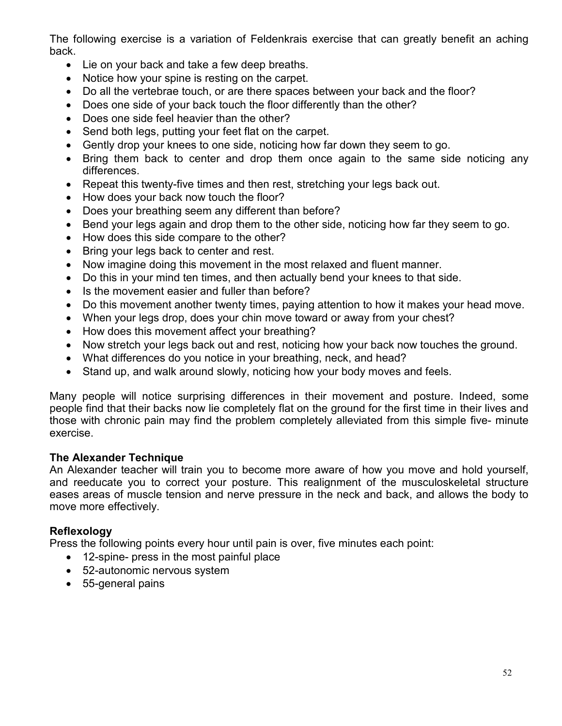The following exercise is a variation of Feldenkrais exercise that can greatly benefit an aching back.

- Lie on your back and take a few deep breaths.
- Notice how your spine is resting on the carpet.
- Do all the vertebrae touch, or are there spaces between your back and the floor?
- Does one side of your back touch the floor differently than the other?
- Does one side feel heavier than the other?
- Send both legs, putting your feet flat on the carpet.
- Gently drop your knees to one side, noticing how far down they seem to go.
- Bring them back to center and drop them once again to the same side noticing any differences.
- Repeat this twenty-five times and then rest, stretching your legs back out.
- How does your back now touch the floor?
- Does your breathing seem any different than before?
- Bend your legs again and drop them to the other side, noticing how far they seem to go.
- How does this side compare to the other?
- Bring your legs back to center and rest.
- Now imagine doing this movement in the most relaxed and fluent manner.
- Do this in your mind ten times, and then actually bend your knees to that side.
- Is the movement easier and fuller than before?
- Do this movement another twenty times, paying attention to how it makes your head move.
- When your legs drop, does your chin move toward or away from your chest?
- How does this movement affect your breathing?
- Now stretch your legs back out and rest, noticing how your back now touches the ground.
- What differences do you notice in your breathing, neck, and head?
- Stand up, and walk around slowly, noticing how your body moves and feels.

Many people will notice surprising differences in their movement and posture. Indeed, some people find that their backs now lie completely flat on the ground for the first time in their lives and those with chronic pain may find the problem completely alleviated from this simple five- minute exercise.

#### **The Alexander Technique**

An Alexander teacher will train you to become more aware of how you move and hold yourself, and reeducate you to correct your posture. This realignment of the musculoskeletal structure eases areas of muscle tension and nerve pressure in the neck and back, and allows the body to move more effectively.

#### **Reflexology**

Press the following points every hour until pain is over, five minutes each point:

- 12-spine- press in the most painful place
- 52-autonomic nervous system
- 55-general pains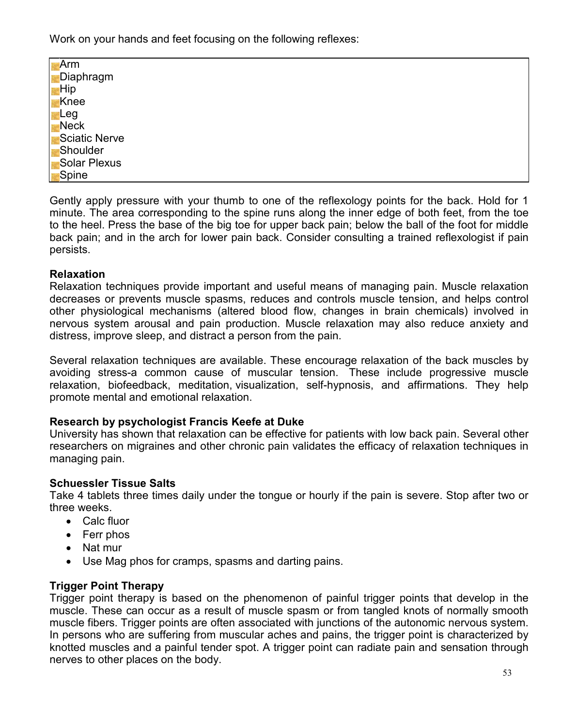Work on your hands and feet focusing on the following reflexes:

| Arm                 |
|---------------------|
| Diaphragm           |
| Hip                 |
| <b>K</b> nee        |
| ⊫Leg                |
| <b>Neck</b>         |
| Sciatic Nerve       |
| Shoulder            |
| <b>Solar Plexus</b> |
| Spine               |

Gently apply pressure with your thumb to one of the reflexology points for the back. Hold for 1 minute. The area corresponding to the spine runs along the inner edge of both feet, from the toe to the heel. Press the base of the big toe for upper back pain; below the ball of the foot for middle back pain; and in the arch for lower pain back. Consider consulting a trained reflexologist if pain persists.

### **Relaxation**

Relaxation techniques provide important and useful means of managing pain. Muscle relaxation decreases or prevents muscle spasms, reduces and controls muscle tension, and helps control other physiological mechanisms (altered blood flow, changes in brain chemicals) involved in nervous system arousal and pain production. Muscle relaxation may also reduce anxiety and distress, improve sleep, and distract a person from the pain.

Several relaxation techniques are available. These encourage relaxation of the back muscles by avoiding stress-a common cause of muscular tension. These include progressive muscle relaxation, biofeedback, meditation, visualization, self-hypnosis, and affirmations. They help promote mental and emotional relaxation.

#### **Research by psychologist Francis Keefe at Duke**

University has shown that relaxation can be effective for patients with low back pain. Several other researchers on migraines and other chronic pain validates the efficacy of relaxation techniques in managing pain.

#### **Schuessler Tissue Salts**

Take 4 tablets three times daily under the tongue or hourly if the pain is severe. Stop after two or three weeks.

- Calc fluor
- Ferr phos
- Nat mur
- Use Mag phos for cramps, spasms and darting pains.

## **Trigger Point Therapy**

Trigger point therapy is based on the phenomenon of painful trigger points that develop in the muscle. These can occur as a result of muscle spasm or from tangled knots of normally smooth muscle fibers. Trigger points are often associated with junctions of the autonomic nervous system. In persons who are suffering from muscular aches and pains, the trigger point is characterized by knotted muscles and a painful tender spot. A trigger point can radiate pain and sensation through nerves to other places on the body.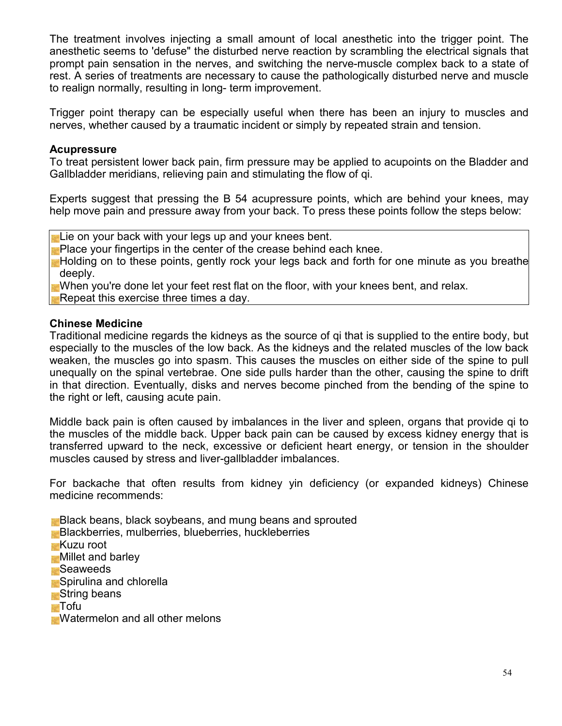The treatment involves injecting a small amount of local anesthetic into the trigger point. The anesthetic seems to 'defuse" the disturbed nerve reaction by scrambling the electrical signals that prompt pain sensation in the nerves, and switching the nerve-muscle complex back to a state of rest. A series of treatments are necessary to cause the pathologically disturbed nerve and muscle to realign normally, resulting in long- term improvement.

Trigger point therapy can be especially useful when there has been an injury to muscles and nerves, whether caused by a traumatic incident or simply by repeated strain and tension.

#### **Acupressure**

To treat persistent lower back pain, firm pressure may be applied to acupoints on the Bladder and Gallbladder meridians, relieving pain and stimulating the flow of qi.

Experts suggest that pressing the B 54 acupressure points, which are behind your knees, may help move pain and pressure away from your back. To press these points follow the steps below:

Lie on your back with your legs up and your knees bent.

Place your fingertips in the center of the crease behind each knee.

Holding on to these points, gently rock your legs back and forth for one minute as you breathe deeply.

When you're done let your feet rest flat on the floor, with your knees bent, and relax. Repeat this exercise three times a day.

#### **Chinese Medicine**

Traditional medicine regards the kidneys as the source of qi that is supplied to the entire body, but especially to the muscles of the low back. As the kidneys and the related muscles of the low back weaken, the muscles go into spasm. This causes the muscles on either side of the spine to pull unequally on the spinal vertebrae. One side pulls harder than the other, causing the spine to drift in that direction. Eventually, disks and nerves become pinched from the bending of the spine to the right or left, causing acute pain.

Middle back pain is often caused by imbalances in the liver and spleen, organs that provide qi to the muscles of the middle back. Upper back pain can be caused by excess kidney energy that is transferred upward to the neck, excessive or deficient heart energy, or tension in the shoulder muscles caused by stress and liver-gallbladder imbalances.

For backache that often results from kidney yin deficiency (or expanded kidneys) Chinese medicine recommends:

Black beans, black soybeans, and mung beans and sprouted Blackberries, mulberries, blueberries, huckleberries Kuzu root Millet and barley **Seaweeds** Spirulina and chlorella String beans Tofu Watermelon and all other melons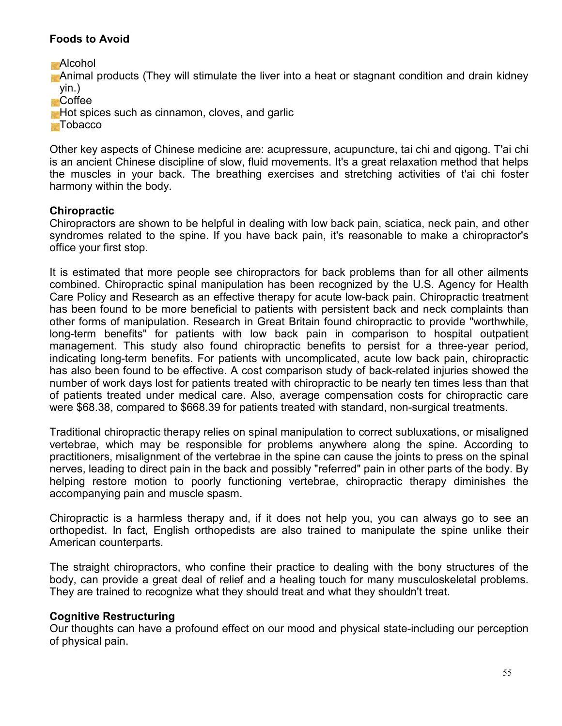## **Foods to Avoid**

Alcohol

**Animal products (They will stimulate the liver into a heat or stagnant condition and drain kidney** yin.)

Coffee

Hot spices such as cinnamon, cloves, and garlic

Tobacco

Other key aspects of Chinese medicine are: acupressure, acupuncture, tai chi and qigong. T'ai chi is an ancient Chinese discipline of slow, fluid movements. It's a great relaxation method that helps the muscles in your back. The breathing exercises and stretching activities of t'ai chi foster harmony within the body.

### **Chiropractic**

Chiropractors are shown to be helpful in dealing with low back pain, sciatica, neck pain, and other syndromes related to the spine. If you have back pain, it's reasonable to make a chiropractor's office your first stop.

It is estimated that more people see chiropractors for back problems than for all other ailments combined. Chiropractic spinal manipulation has been recognized by the U.S. Agency for Health Care Policy and Research as an effective therapy for acute low-back pain. Chiropractic treatment has been found to be more beneficial to patients with persistent back and neck complaints than other forms of manipulation. Research in Great Britain found chiropractic to provide "worthwhile, long-term benefits" for patients with low back pain in comparison to hospital outpatient management. This study also found chiropractic benefits to persist for a three-year period, indicating long-term benefits. For patients with uncomplicated, acute low back pain, chiropractic has also been found to be effective. A cost comparison study of back-related injuries showed the number of work days lost for patients treated with chiropractic to be nearly ten times less than that of patients treated under medical care. Also, average compensation costs for chiropractic care were \$68.38, compared to \$668.39 for patients treated with standard, non-surgical treatments.

Traditional chiropractic therapy relies on spinal manipulation to correct subluxations, or misaligned vertebrae, which may be responsible for problems anywhere along the spine. According to practitioners, misalignment of the vertebrae in the spine can cause the joints to press on the spinal nerves, leading to direct pain in the back and possibly "referred" pain in other parts of the body. By helping restore motion to poorly functioning vertebrae, chiropractic therapy diminishes the accompanying pain and muscle spasm.

Chiropractic is a harmless therapy and, if it does not help you, you can always go to see an orthopedist. In fact, English orthopedists are also trained to manipulate the spine unlike their American counterparts.

The straight chiropractors, who confine their practice to dealing with the bony structures of the body, can provide a great deal of relief and a healing touch for many musculoskeletal problems. They are trained to recognize what they should treat and what they shouldn't treat.

#### **Cognitive Restructuring**

Our thoughts can have a profound effect on our mood and physical state-including our perception of physical pain.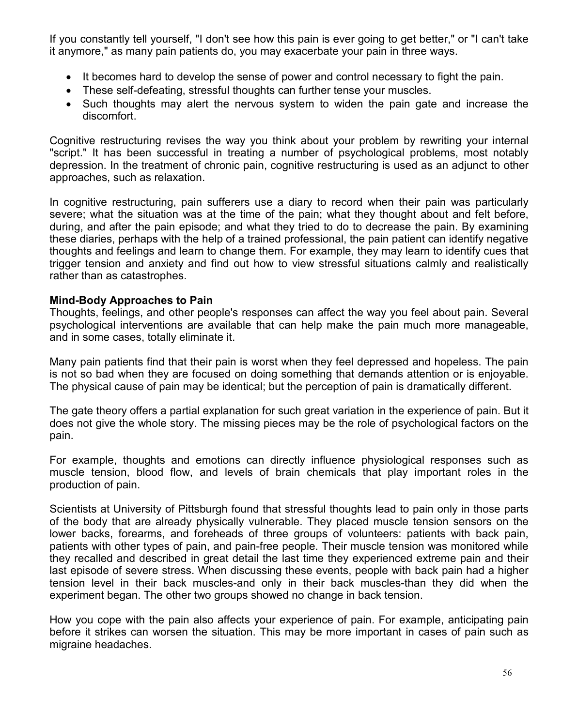If you constantly tell yourself, "I don't see how this pain is ever going to get better," or "I can't take it anymore," as many pain patients do, you may exacerbate your pain in three ways.

- It becomes hard to develop the sense of power and control necessary to fight the pain.
- These self-defeating, stressful thoughts can further tense your muscles.
- Such thoughts may alert the nervous system to widen the pain gate and increase the discomfort.

Cognitive restructuring revises the way you think about your problem by rewriting your internal "script." It has been successful in treating a number of psychological problems, most notably depression. In the treatment of chronic pain, cognitive restructuring is used as an adjunct to other approaches, such as relaxation.

In cognitive restructuring, pain sufferers use a diary to record when their pain was particularly severe; what the situation was at the time of the pain; what they thought about and felt before, during, and after the pain episode; and what they tried to do to decrease the pain. By examining these diaries, perhaps with the help of a trained professional, the pain patient can identify negative thoughts and feelings and learn to change them. For example, they may learn to identify cues that trigger tension and anxiety and find out how to view stressful situations calmly and realistically rather than as catastrophes.

#### **Mind-Body Approaches to Pain**

Thoughts, feelings, and other people's responses can affect the way you feel about pain. Several psychological interventions are available that can help make the pain much more manageable, and in some cases, totally eliminate it.

Many pain patients find that their pain is worst when they feel depressed and hopeless. The pain is not so bad when they are focused on doing something that demands attention or is enjoyable. The physical cause of pain may be identical; but the perception of pain is dramatically different.

The gate theory offers a partial explanation for such great variation in the experience of pain. But it does not give the whole story. The missing pieces may be the role of psychological factors on the pain.

For example, thoughts and emotions can directly influence physiological responses such as muscle tension, blood flow, and levels of brain chemicals that play important roles in the production of pain.

Scientists at University of Pittsburgh found that stressful thoughts lead to pain only in those parts of the body that are already physically vulnerable. They placed muscle tension sensors on the lower backs, forearms, and foreheads of three groups of volunteers: patients with back pain, patients with other types of pain, and pain-free people. Their muscle tension was monitored while they recalled and described in great detail the last time they experienced extreme pain and their last episode of severe stress. When discussing these events, people with back pain had a higher tension level in their back muscles-and only in their back muscles-than they did when the experiment began. The other two groups showed no change in back tension.

How you cope with the pain also affects your experience of pain. For example, anticipating pain before it strikes can worsen the situation. This may be more important in cases of pain such as migraine headaches.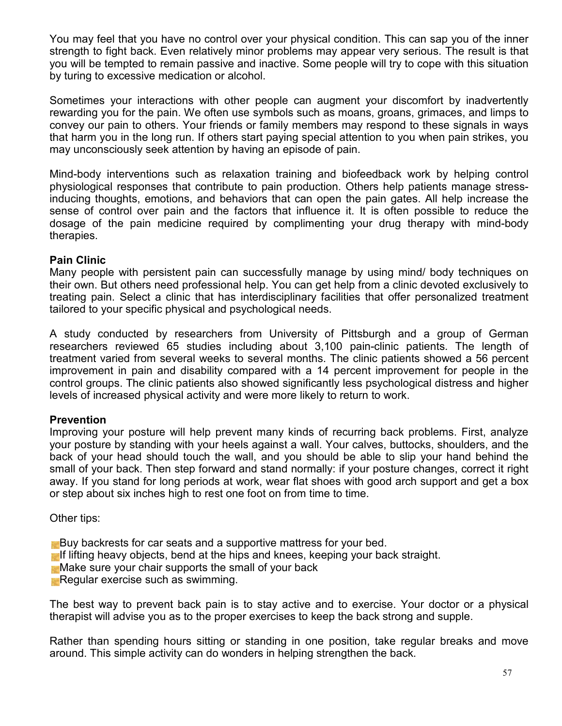You may feel that you have no control over your physical condition. This can sap you of the inner strength to fight back. Even relatively minor problems may appear very serious. The result is that you will be tempted to remain passive and inactive. Some people will try to cope with this situation by turing to excessive medication or alcohol.

Sometimes your interactions with other people can augment your discomfort by inadvertently rewarding you for the pain. We often use symbols such as moans, groans, grimaces, and limps to convey our pain to others. Your friends or family members may respond to these signals in ways that harm you in the long run. If others start paying special attention to you when pain strikes, you may unconsciously seek attention by having an episode of pain.

Mind-body interventions such as relaxation training and biofeedback work by helping control physiological responses that contribute to pain production. Others help patients manage stressinducing thoughts, emotions, and behaviors that can open the pain gates. All help increase the sense of control over pain and the factors that influence it. It is often possible to reduce the dosage of the pain medicine required by complimenting your drug therapy with mind-body therapies.

### **Pain Clinic**

Many people with persistent pain can successfully manage by using mind/ body techniques on their own. But others need professional help. You can get help from a clinic devoted exclusively to treating pain. Select a clinic that has interdisciplinary facilities that offer personalized treatment tailored to your specific physical and psychological needs.

A study conducted by researchers from University of Pittsburgh and a group of German researchers reviewed 65 studies including about 3,100 pain-clinic patients. The length of treatment varied from several weeks to several months. The clinic patients showed a 56 percent improvement in pain and disability compared with a 14 percent improvement for people in the control groups. The clinic patients also showed significantly less psychological distress and higher levels of increased physical activity and were more likely to return to work.

## **Prevention**

Improving your posture will help prevent many kinds of recurring back problems. First, analyze your posture by standing with your heels against a wall. Your calves, buttocks, shoulders, and the back of your head should touch the wall, and you should be able to slip your hand behind the small of your back. Then step forward and stand normally: if your posture changes, correct it right away. If you stand for long periods at work, wear flat shoes with good arch support and get a box or step about six inches high to rest one foot on from time to time.

Other tips:

Buy backrests for car seats and a supportive mattress for your bed. If lifting heavy objects, bend at the hips and knees, keeping your back straight. Make sure your chair supports the small of your back **Regular exercise such as swimming.** 

The best way to prevent back pain is to stay active and to exercise. Your doctor or a physical therapist will advise you as to the proper exercises to keep the back strong and supple.

Rather than spending hours sitting or standing in one position, take regular breaks and move around. This simple activity can do wonders in helping strengthen the back.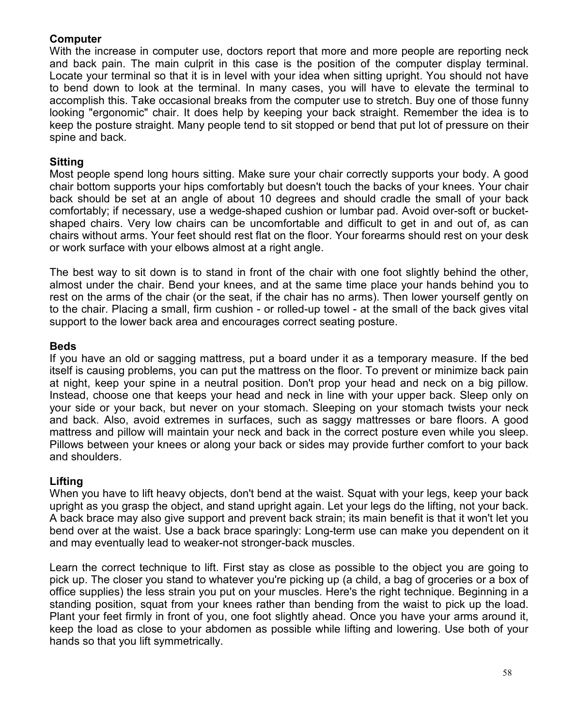## **Computer**

With the increase in computer use, doctors report that more and more people are reporting neck and back pain. The main culprit in this case is the position of the computer display terminal. Locate your terminal so that it is in level with your idea when sitting upright. You should not have to bend down to look at the terminal. In many cases, you will have to elevate the terminal to accomplish this. Take occasional breaks from the computer use to stretch. Buy one of those funny looking "ergonomic" chair. It does help by keeping your back straight. Remember the idea is to keep the posture straight. Many people tend to sit stopped or bend that put lot of pressure on their spine and back.

## **Sitting**

Most people spend long hours sitting. Make sure your chair correctly supports your body. A good chair bottom supports your hips comfortably but doesn't touch the backs of your knees. Your chair back should be set at an angle of about 10 degrees and should cradle the small of your back comfortably; if necessary, use a wedge-shaped cushion or lumbar pad. Avoid over-soft or bucketshaped chairs. Very low chairs can be uncomfortable and difficult to get in and out of, as can chairs without arms. Your feet should rest flat on the floor. Your forearms should rest on your desk or work surface with your elbows almost at a right angle.

The best way to sit down is to stand in front of the chair with one foot slightly behind the other, almost under the chair. Bend your knees, and at the same time place your hands behind you to rest on the arms of the chair (or the seat, if the chair has no arms). Then lower yourself gently on to the chair. Placing a small, firm cushion - or rolled-up towel - at the small of the back gives vital support to the lower back area and encourages correct seating posture.

## **Beds**

If you have an old or sagging mattress, put a board under it as a temporary measure. If the bed itself is causing problems, you can put the mattress on the floor. To prevent or minimize back pain at night, keep your spine in a neutral position. Don't prop your head and neck on a big pillow. Instead, choose one that keeps your head and neck in line with your upper back. Sleep only on your side or your back, but never on your stomach. Sleeping on your stomach twists your neck and back. Also, avoid extremes in surfaces, such as saggy mattresses or bare floors. A good mattress and pillow will maintain your neck and back in the correct posture even while you sleep. Pillows between your knees or along your back or sides may provide further comfort to your back and shoulders.

## **Lifting**

When you have to lift heavy objects, don't bend at the waist. Squat with your legs, keep your back upright as you grasp the object, and stand upright again. Let your legs do the lifting, not your back. A back brace may also give support and prevent back strain; its main benefit is that it won't let you bend over at the waist. Use a back brace sparingly: Long-term use can make you dependent on it and may eventually lead to weaker-not stronger-back muscles.

Learn the correct technique to lift. First stay as close as possible to the object you are going to pick up. The closer you stand to whatever you're picking up (a child, a bag of groceries or a box of office supplies) the less strain you put on your muscles. Here's the right technique. Beginning in a standing position, squat from your knees rather than bending from the waist to pick up the load. Plant your feet firmly in front of you, one foot slightly ahead. Once you have your arms around it, keep the load as close to your abdomen as possible while lifting and lowering. Use both of your hands so that you lift symmetrically.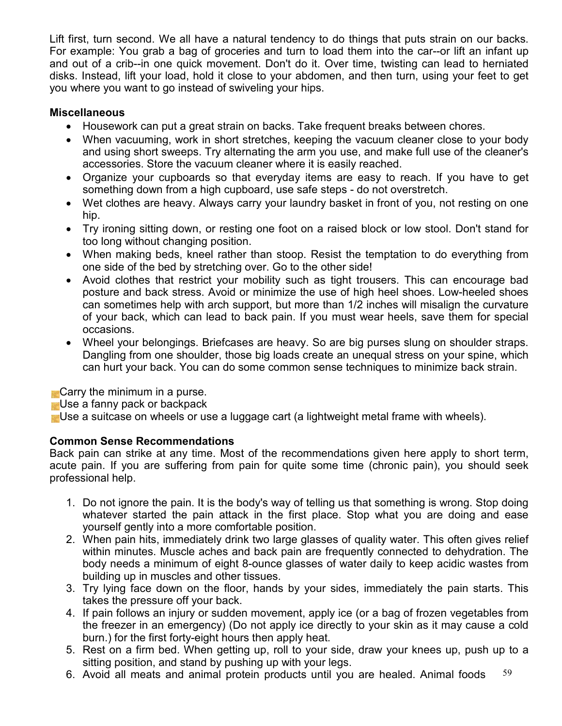Lift first, turn second. We all have a natural tendency to do things that puts strain on our backs. For example: You grab a bag of groceries and turn to load them into the car--or lift an infant up and out of a crib--in one quick movement. Don't do it. Over time, twisting can lead to herniated disks. Instead, lift your load, hold it close to your abdomen, and then turn, using your feet to get you where you want to go instead of swiveling your hips.

## **Miscellaneous**

- Housework can put a great strain on backs. Take frequent breaks between chores.
- When vacuuming, work in short stretches, keeping the vacuum cleaner close to your body and using short sweeps. Try alternating the arm you use, and make full use of the cleaner's accessories. Store the vacuum cleaner where it is easily reached.
- Organize your cupboards so that everyday items are easy to reach. If you have to get something down from a high cupboard, use safe steps - do not overstretch.
- Wet clothes are heavy. Always carry your laundry basket in front of you, not resting on one hip.
- Try ironing sitting down, or resting one foot on a raised block or low stool. Don't stand for too long without changing position.
- When making beds, kneel rather than stoop. Resist the temptation to do everything from one side of the bed by stretching over. Go to the other side!
- Avoid clothes that restrict your mobility such as tight trousers. This can encourage bad posture and back stress. Avoid or minimize the use of high heel shoes. Low-heeled shoes can sometimes help with arch support, but more than 1/2 inches will misalign the curvature of your back, which can lead to back pain. If you must wear heels, save them for special occasions.
- Wheel your belongings. Briefcases are heavy. So are big purses slung on shoulder straps. Dangling from one shoulder, those big loads create an unequal stress on your spine, which can hurt your back. You can do some common sense techniques to minimize back strain.

#### Carry the minimum in a purse.

Use a fanny pack or backpack

Use a suitcase on wheels or use a luggage cart (a lightweight metal frame with wheels).

## **Common Sense Recommendations**

Back pain can strike at any time. Most of the recommendations given here apply to short term, acute pain. If you are suffering from pain for quite some time (chronic pain), you should seek professional help.

- 1. Do not ignore the pain. It is the body's way of telling us that something is wrong. Stop doing whatever started the pain attack in the first place. Stop what you are doing and ease yourself gently into a more comfortable position.
- 2. When pain hits, immediately drink two large glasses of quality water. This often gives relief within minutes. Muscle aches and back pain are frequently connected to dehydration. The body needs a minimum of eight 8-ounce glasses of water daily to keep acidic wastes from building up in muscles and other tissues.
- 3. Try lying face down on the floor, hands by your sides, immediately the pain starts. This takes the pressure off your back.
- 4. If pain follows an injury or sudden movement, apply ice (or a bag of frozen vegetables from the freezer in an emergency) (Do not apply ice directly to your skin as it may cause a cold burn.) for the first forty-eight hours then apply heat.
- 5. Rest on a firm bed. When getting up, roll to your side, draw your knees up, push up to a sitting position, and stand by pushing up with your legs.
- 59 6. Avoid all meats and animal protein products until you are healed. Animal foods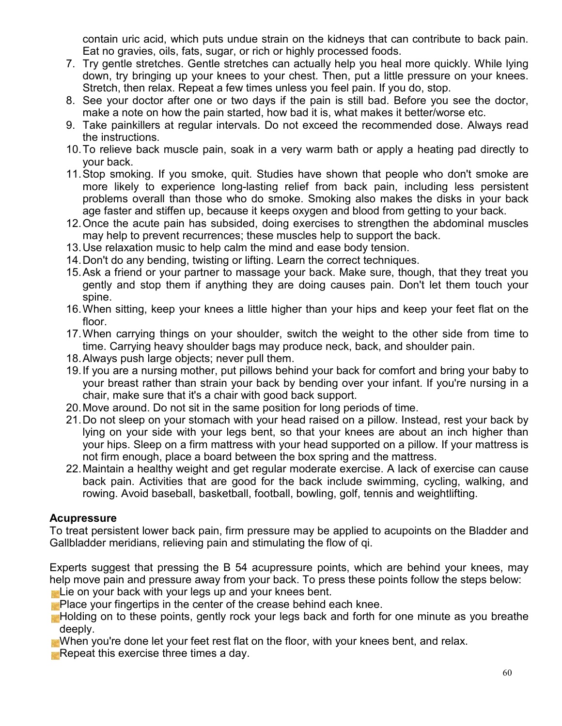contain uric acid, which puts undue strain on the kidneys that can contribute to back pain. Eat no gravies, oils, fats, sugar, or rich or highly processed foods.

- 7. Try gentle stretches. Gentle stretches can actually help you heal more quickly. While lying down, try bringing up your knees to your chest. Then, put a little pressure on your knees. Stretch, then relax. Repeat a few times unless you feel pain. If you do, stop.
- 8. See your doctor after one or two days if the pain is still bad. Before you see the doctor, make a note on how the pain started, how bad it is, what makes it better/worse etc.
- 9. Take painkillers at regular intervals. Do not exceed the recommended dose. Always read the instructions.
- 10. To relieve back muscle pain, soak in a very warm bath or apply a heating pad directly to your back.
- 11. Stop smoking. If you smoke, quit. Studies have shown that people who don't smoke are more likely to experience long-lasting relief from back pain, including less persistent problems overall than those who do smoke. Smoking also makes the disks in your back age faster and stiffen up, because it keeps oxygen and blood from getting to your back.
- 12. Once the acute pain has subsided, doing exercises to strengthen the abdominal muscles may help to prevent recurrences; these muscles help to support the back.
- 13. Use relaxation music to help calm the mind and ease body tension.
- 14. Don't do any bending, twisting or lifting. Learn the correct techniques.
- 15. Ask a friend or your partner to massage your back. Make sure, though, that they treat you gently and stop them if anything they are doing causes pain. Don't let them touch your spine.
- 16. When sitting, keep your knees a little higher than your hips and keep your feet flat on the floor.
- 17. When carrying things on your shoulder, switch the weight to the other side from time to time. Carrying heavy shoulder bags may produce neck, back, and shoulder pain.
- 18. Always push large objects; never pull them.
- 19. If you are a nursing mother, put pillows behind your back for comfort and bring your baby to your breast rather than strain your back by bending over your infant. If you're nursing in a chair, make sure that it's a chair with good back support.
- 20. Move around. Do not sit in the same position for long periods of time.
- 21. Do not sleep on your stomach with your head raised on a pillow. Instead, rest your back by lying on your side with your legs bent, so that your knees are about an inch higher than your hips. Sleep on a firm mattress with your head supported on a pillow. If your mattress is not firm enough, place a board between the box spring and the mattress.
- 22. Maintain a healthy weight and get regular moderate exercise. A lack of exercise can cause back pain. Activities that are good for the back include swimming, cycling, walking, and rowing. Avoid baseball, basketball, football, bowling, golf, tennis and weightlifting.

#### **Acupressure**

To treat persistent lower back pain, firm pressure may be applied to acupoints on the Bladder and Gallbladder meridians, relieving pain and stimulating the flow of qi.

Experts suggest that pressing the B 54 acupressure points, which are behind your knees, may help move pain and pressure away from your back. To press these points follow the steps below: Lie on your back with your legs up and your knees bent.

**Place your fingertips in the center of the crease behind each knee.** 

- **Holding on to these points, gently rock your legs back and forth for one minute as you breathe** deeply.
- When you're done let your feet rest flat on the floor, with your knees bent, and relax.
- Repeat this exercise three times a day.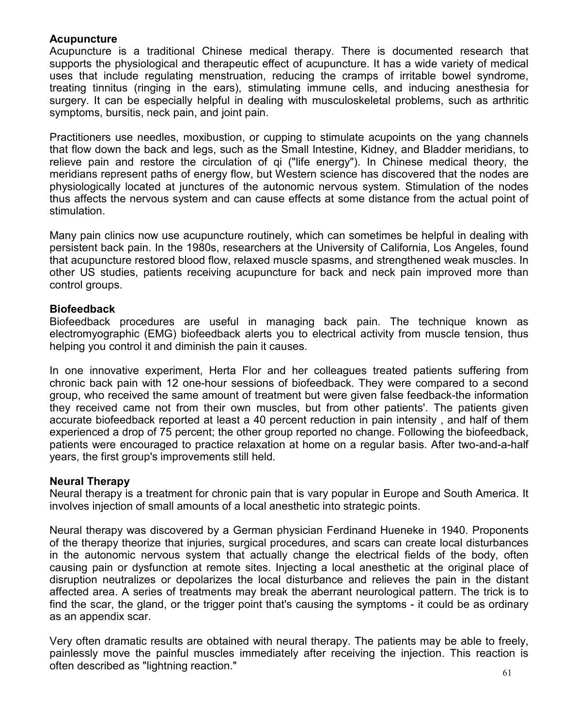### **Acupuncture**

Acupuncture is a traditional Chinese medical therapy. There is documented research that supports the physiological and therapeutic effect of acupuncture. It has a wide variety of medical uses that include regulating menstruation, reducing the cramps of irritable bowel syndrome, treating tinnitus (ringing in the ears), stimulating immune cells, and inducing anesthesia for surgery. It can be especially helpful in dealing with musculoskeletal problems, such as arthritic symptoms, bursitis, neck pain, and joint pain.

Practitioners use needles, moxibustion, or cupping to stimulate acupoints on the yang channels that flow down the back and legs, such as the Small Intestine, Kidney, and Bladder meridians, to relieve pain and restore the circulation of qi ("life energy"). In Chinese medical theory, the meridians represent paths of energy flow, but Western science has discovered that the nodes are physiologically located at junctures of the autonomic nervous system. Stimulation of the nodes thus affects the nervous system and can cause effects at some distance from the actual point of stimulation.

Many pain clinics now use acupuncture routinely, which can sometimes be helpful in dealing with persistent back pain. In the 1980s, researchers at the University of California, Los Angeles, found that acupuncture restored blood flow, relaxed muscle spasms, and strengthened weak muscles. In other US studies, patients receiving acupuncture for back and neck pain improved more than control groups.

#### **Biofeedback**

Biofeedback procedures are useful in managing back pain. The technique known as electromyographic (EMG) biofeedback alerts you to electrical activity from muscle tension, thus helping you control it and diminish the pain it causes.

In one innovative experiment, Herta Flor and her colleagues treated patients suffering from chronic back pain with 12 one-hour sessions of biofeedback. They were compared to a second group, who received the same amount of treatment but were given false feedback-the information they received came not from their own muscles, but from other patients'. The patients given accurate biofeedback reported at least a 40 percent reduction in pain intensity , and half of them experienced a drop of 75 percent; the other group reported no change. Following the biofeedback, patients were encouraged to practice relaxation at home on a regular basis. After two-and-a-half years, the first group's improvements still held.

## **Neural Therapy**

Neural therapy is a treatment for chronic pain that is vary popular in Europe and South America. It involves injection of small amounts of a local anesthetic into strategic points.

Neural therapy was discovered by a German physician Ferdinand Hueneke in 1940. Proponents of the therapy theorize that injuries, surgical procedures, and scars can create local disturbances in the autonomic nervous system that actually change the electrical fields of the body, often causing pain or dysfunction at remote sites. Injecting a local anesthetic at the original place of disruption neutralizes or depolarizes the local disturbance and relieves the pain in the distant affected area. A series of treatments may break the aberrant neurological pattern. The trick is to find the scar, the gland, or the trigger point that's causing the symptoms - it could be as ordinary as an appendix scar.

Very often dramatic results are obtained with neural therapy. The patients may be able to freely, painlessly move the painful muscles immediately after receiving the injection. This reaction is often described as "lightning reaction."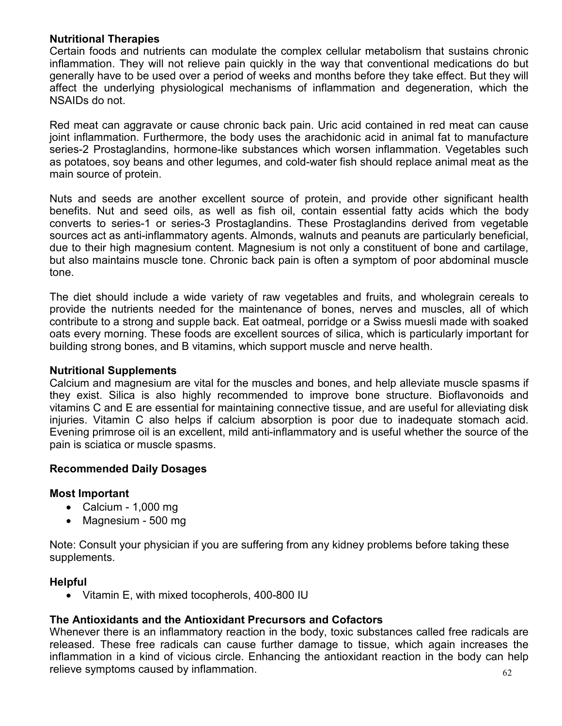#### **Nutritional Therapies**

Certain foods and nutrients can modulate the complex cellular metabolism that sustains chronic inflammation. They will not relieve pain quickly in the way that conventional medications do but generally have to be used over a period of weeks and months before they take effect. But they will affect the underlying physiological mechanisms of inflammation and degeneration, which the NSAIDs do not.

Red meat can aggravate or cause chronic back pain. Uric acid contained in red meat can cause joint inflammation. Furthermore, the body uses the arachidonic acid in animal fat to manufacture series-2 Prostaglandins, hormone-like substances which worsen inflammation. Vegetables such as potatoes, soy beans and other legumes, and cold-water fish should replace animal meat as the main source of protein.

Nuts and seeds are another excellent source of protein, and provide other significant health benefits. Nut and seed oils, as well as fish oil, contain essential fatty acids which the body converts to series-1 or series-3 Prostaglandins. These Prostaglandins derived from vegetable sources act as anti-inflammatory agents. Almonds, walnuts and peanuts are particularly beneficial, due to their high magnesium content. Magnesium is not only a constituent of bone and cartilage, but also maintains muscle tone. Chronic back pain is often a symptom of poor abdominal muscle tone.

The diet should include a wide variety of raw vegetables and fruits, and wholegrain cereals to provide the nutrients needed for the maintenance of bones, nerves and muscles, all of which contribute to a strong and supple back. Eat oatmeal, porridge or a Swiss muesli made with soaked oats every morning. These foods are excellent sources of silica, which is particularly important for building strong bones, and B vitamins, which support muscle and nerve health.

#### **Nutritional Supplements**

Calcium and magnesium are vital for the muscles and bones, and help alleviate muscle spasms if they exist. Silica is also highly recommended to improve bone structure. Bioflavonoids and vitamins C and E are essential for maintaining connective tissue, and are useful for alleviating disk injuries. Vitamin C also helps if calcium absorption is poor due to inadequate stomach acid. Evening primrose oil is an excellent, mild anti-inflammatory and is useful whether the source of the pain is sciatica or muscle spasms.

## **Recommended Daily Dosages**

## **Most Important**

- Calcium 1,000 mg
- Magnesium 500 mg

Note: Consult your physician if you are suffering from any kidney problems before taking these supplements.

#### **Helpful**

• Vitamin E, with mixed tocopherols, 400-800 IU

## **The Antioxidants and the Antioxidant Precursors and Cofactors**

62 Whenever there is an inflammatory reaction in the body, toxic substances called free radicals are released. These free radicals can cause further damage to tissue, which again increases the inflammation in a kind of vicious circle. Enhancing the antioxidant reaction in the body can help relieve symptoms caused by inflammation.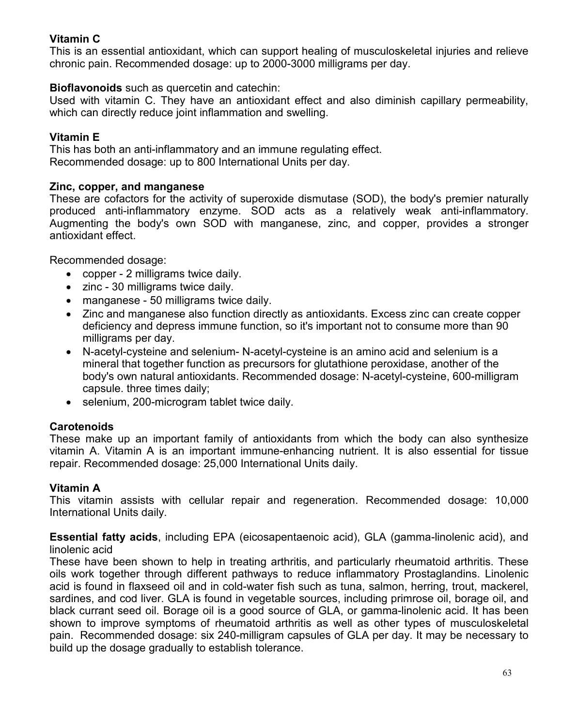## **Vitamin C**

This is an essential antioxidant, which can support healing of musculoskeletal injuries and relieve chronic pain. Recommended dosage: up to 2000-3000 milligrams per day.

#### **Bioflavonoids** such as quercetin and catechin:

Used with vitamin C. They have an antioxidant effect and also diminish capillary permeability, which can directly reduce joint inflammation and swelling.

#### **Vitamin E**

This has both an anti-inflammatory and an immune regulating effect. Recommended dosage: up to 800 International Units per day.

#### **Zinc, copper, and manganese**

These are cofactors for the activity of superoxide dismutase (SOD), the body's premier naturally produced anti-inflammatory enzyme. SOD acts as a relatively weak anti-inflammatory. Augmenting the body's own SOD with manganese, zinc, and copper, provides a stronger antioxidant effect.

Recommended dosage:

- copper 2 milligrams twice daily.
- zinc 30 milligrams twice daily.
- manganese 50 milligrams twice daily.
- Zinc and manganese also function directly as antioxidants. Excess zinc can create copper deficiency and depress immune function, so it's important not to consume more than 90 milligrams per day.
- N-acetyl-cysteine and selenium- N-acetyl-cysteine is an amino acid and selenium is a mineral that together function as precursors for glutathione peroxidase, another of the body's own natural antioxidants. Recommended dosage: N-acetyl-cysteine, 600-milligram capsule. three times daily;
- selenium, 200-microgram tablet twice daily.

## **Carotenoids**

These make up an important family of antioxidants from which the body can also synthesize vitamin A. Vitamin A is an important immune-enhancing nutrient. It is also essential for tissue repair. Recommended dosage: 25,000 International Units daily.

#### **Vitamin A**

This vitamin assists with cellular repair and regeneration. Recommended dosage: 10,000 International Units daily.

**Essential fatty acids**, including EPA (eicosapentaenoic acid), GLA (gamma-linolenic acid), and linolenic acid

These have been shown to help in treating arthritis, and particularly rheumatoid arthritis. These oils work together through different pathways to reduce inflammatory Prostaglandins. Linolenic acid is found in flaxseed oil and in cold-water fish such as tuna, salmon, herring, trout, mackerel, sardines, and cod liver. GLA is found in vegetable sources, including primrose oil, borage oil, and black currant seed oil. Borage oil is a good source of GLA, or gamma-linolenic acid. It has been shown to improve symptoms of rheumatoid arthritis as well as other types of musculoskeletal pain. Recommended dosage: six 240-milligram capsules of GLA per day. It may be necessary to build up the dosage gradually to establish tolerance.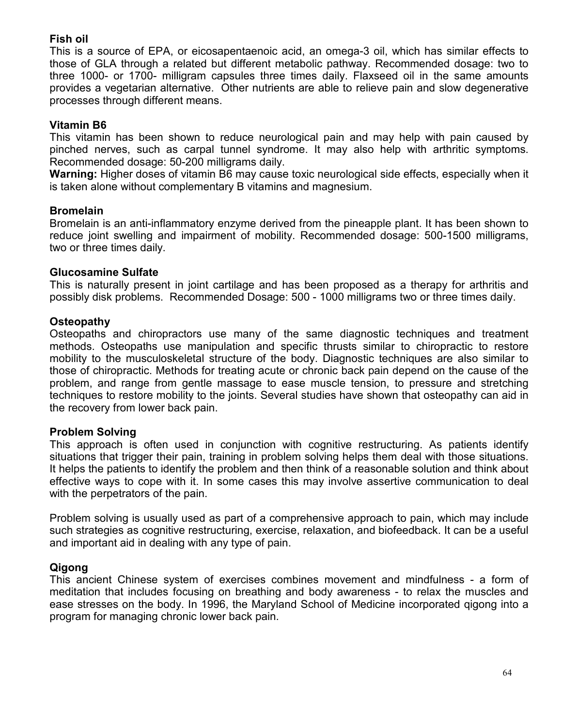### **Fish oil**

This is a source of EPA, or eicosapentaenoic acid, an omega-3 oil, which has similar effects to those of GLA through a related but different metabolic pathway. Recommended dosage: two to three 1000- or 1700- milligram capsules three times daily. Flaxseed oil in the same amounts provides a vegetarian alternative. Other nutrients are able to relieve pain and slow degenerative processes through different means.

## **Vitamin B6**

This vitamin has been shown to reduce neurological pain and may help with pain caused by pinched nerves, such as carpal tunnel syndrome. It may also help with arthritic symptoms. Recommended dosage: 50-200 milligrams daily.

**Warning:** Higher doses of vitamin B6 may cause toxic neurological side effects, especially when it is taken alone without complementary B vitamins and magnesium.

#### **Bromelain**

Bromelain is an anti-inflammatory enzyme derived from the pineapple plant. It has been shown to reduce joint swelling and impairment of mobility. Recommended dosage: 500-1500 milligrams, two or three times daily.

#### **Glucosamine Sulfate**

This is naturally present in joint cartilage and has been proposed as a therapy for arthritis and possibly disk problems. Recommended Dosage: 500 - 1000 milligrams two or three times daily.

#### **Osteopathy**

Osteopaths and chiropractors use many of the same diagnostic techniques and treatment methods. Osteopaths use manipulation and specific thrusts similar to chiropractic to restore mobility to the musculoskeletal structure of the body. Diagnostic techniques are also similar to those of chiropractic. Methods for treating acute or chronic back pain depend on the cause of the problem, and range from gentle massage to ease muscle tension, to pressure and stretching techniques to restore mobility to the joints. Several studies have shown that osteopathy can aid in the recovery from lower back pain.

#### **Problem Solving**

This approach is often used in conjunction with cognitive restructuring. As patients identify situations that trigger their pain, training in problem solving helps them deal with those situations. It helps the patients to identify the problem and then think of a reasonable solution and think about effective ways to cope with it. In some cases this may involve assertive communication to deal with the perpetrators of the pain.

Problem solving is usually used as part of a comprehensive approach to pain, which may include such strategies as cognitive restructuring, exercise, relaxation, and biofeedback. It can be a useful and important aid in dealing with any type of pain.

#### **Qigong**

This ancient Chinese system of exercises combines movement and mindfulness - a form of meditation that includes focusing on breathing and body awareness - to relax the muscles and ease stresses on the body. In 1996, the Maryland School of Medicine incorporated qigong into a program for managing chronic lower back pain.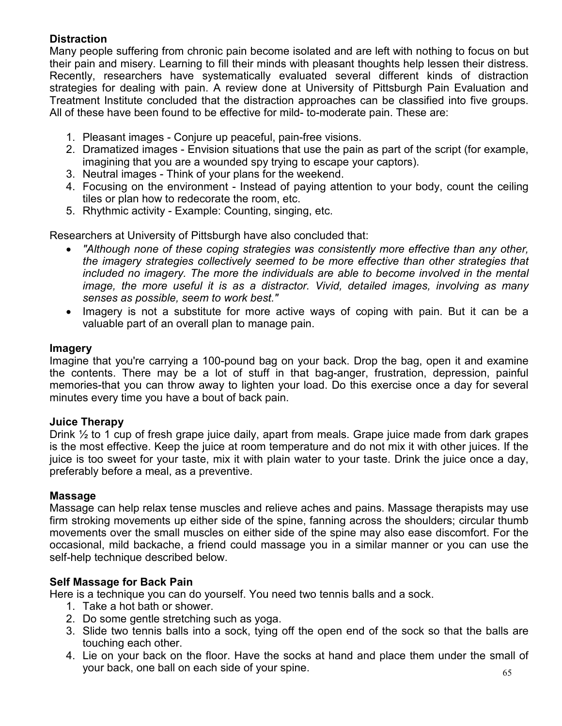## **Distraction**

Many people suffering from chronic pain become isolated and are left with nothing to focus on but their pain and misery. Learning to fill their minds with pleasant thoughts help lessen their distress. Recently, researchers have systematically evaluated several different kinds of distraction strategies for dealing with pain. A review done at University of Pittsburgh Pain Evaluation and Treatment Institute concluded that the distraction approaches can be classified into five groups. All of these have been found to be effective for mild- to-moderate pain. These are:

- 1. Pleasant images Conjure up peaceful, pain-free visions.
- 2. Dramatized images Envision situations that use the pain as part of the script (for example, imagining that you are a wounded spy trying to escape your captors).
- 3. Neutral images Think of your plans for the weekend.
- 4. Focusing on the environment Instead of paying attention to your body, count the ceiling tiles or plan how to redecorate the room, etc.
- 5. Rhythmic activity Example: Counting, singing, etc.

Researchers at University of Pittsburgh have also concluded that:

- *"Although none of these coping strategies was consistently more effective than any other, the imagery strategies collectively seemed to be more effective than other strategies that included no imagery. The more the individuals are able to become involved in the mental image, the more useful it is as a distractor. Vivid, detailed images, involving as many senses as possible, seem to work best."*
- Imagery is not a substitute for more active ways of coping with pain. But it can be a valuable part of an overall plan to manage pain.

### **Imagery**

Imagine that you're carrying a 100-pound bag on your back. Drop the bag, open it and examine the contents. There may be a lot of stuff in that bag-anger, frustration, depression, painful memories-that you can throw away to lighten your load. Do this exercise once a day for several minutes every time you have a bout of back pain.

#### **Juice Therapy**

Drink ½ to 1 cup of fresh grape juice daily, apart from meals. Grape juice made from dark grapes is the most effective. Keep the juice at room temperature and do not mix it with other juices. If the juice is too sweet for your taste, mix it with plain water to your taste. Drink the juice once a day, preferably before a meal, as a preventive.

#### **Massage**

Massage can help relax tense muscles and relieve aches and pains. Massage therapists may use firm stroking movements up either side of the spine, fanning across the shoulders; circular thumb movements over the small muscles on either side of the spine may also ease discomfort. For the occasional, mild backache, a friend could massage you in a similar manner or you can use the self-help technique described below.

## **Self Massage for Back Pain**

Here is a technique you can do yourself. You need two tennis balls and a sock.

- 1. Take a hot bath or shower.
- 2. Do some gentle stretching such as yoga.
- 3. Slide two tennis balls into a sock, tying off the open end of the sock so that the balls are touching each other.
- 4. Lie on your back on the floor. Have the socks at hand and place them under the small of your back, one ball on each side of your spine.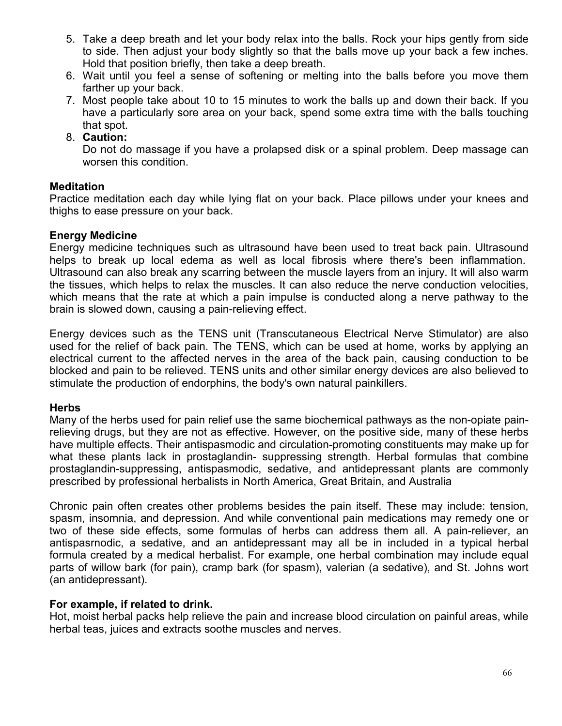- 5. Take a deep breath and let your body relax into the balls. Rock your hips gently from side to side. Then adjust your body slightly so that the balls move up your back a few inches. Hold that position briefly, then take a deep breath.
- 6. Wait until you feel a sense of softening or melting into the balls before you move them farther up your back.
- 7. Most people take about 10 to 15 minutes to work the balls up and down their back. If you have a particularly sore area on your back, spend some extra time with the balls touching that spot.
- 8. **Caution:**

Do not do massage if you have a prolapsed disk or a spinal problem. Deep massage can worsen this condition.

### **Meditation**

Practice meditation each day while lying flat on your back. Place pillows under your knees and thighs to ease pressure on your back.

### **Energy Medicine**

Energy medicine techniques such as ultrasound have been used to treat back pain. Ultrasound helps to break up local edema as well as local fibrosis where there's been inflammation. Ultrasound can also break any scarring between the muscle layers from an injury. It will also warm the tissues, which helps to relax the muscles. It can also reduce the nerve conduction velocities, which means that the rate at which a pain impulse is conducted along a nerve pathway to the brain is slowed down, causing a pain-relieving effect.

Energy devices such as the TENS unit (Transcutaneous Electrical Nerve Stimulator) are also used for the relief of back pain. The TENS, which can be used at home, works by applying an electrical current to the affected nerves in the area of the back pain, causing conduction to be blocked and pain to be relieved. TENS units and other similar energy devices are also believed to stimulate the production of endorphins, the body's own natural painkillers.

#### **Herbs**

Many of the herbs used for pain relief use the same biochemical pathways as the non-opiate painrelieving drugs, but they are not as effective. However, on the positive side, many of these herbs have multiple effects. Their antispasmodic and circulation-promoting constituents may make up for what these plants lack in prostaglandin- suppressing strength. Herbal formulas that combine prostaglandin-suppressing, antispasmodic, sedative, and antidepressant plants are commonly prescribed by professional herbalists in North America, Great Britain, and Australia

Chronic pain often creates other problems besides the pain itself. These may include: tension, spasm, insomnia, and depression. And while conventional pain medications may remedy one or two of these side effects, some formulas of herbs can address them all. A pain-reliever, an antispasrnodic, a sedative, and an antidepressant may all be in included in a typical herbal formula created by a medical herbalist. For example, one herbal combination may include equal parts of willow bark (for pain), cramp bark (for spasm), valerian (a sedative), and St. Johns wort (an antidepressant).

#### **For example, if related to drink.**

Hot, moist herbal packs help relieve the pain and increase blood circulation on painful areas, while herbal teas, juices and extracts soothe muscles and nerves.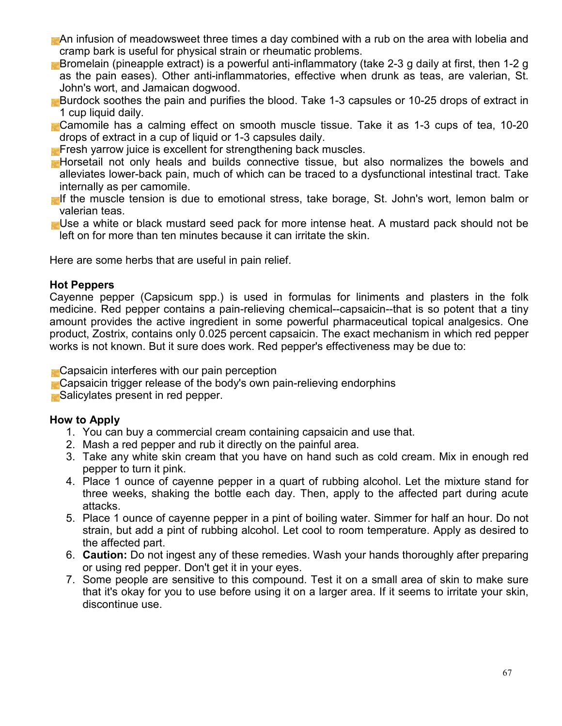- An infusion of meadowsweet three times a day combined with a rub on the area with lobelia and cramp bark is useful for physical strain or rheumatic problems.
- **Bromelain (pineapple extract) is a powerful anti-inflammatory (take 2-3 g daily at first, then 1-2 g** as the pain eases). Other anti-inflammatories, effective when drunk as teas, are valerian, St. John's wort, and Jamaican dogwood.
- **Burdock soothes the pain and purifies the blood. Take 1-3 capsules or 10-25 drops of extract in** 1 cup liquid daily.
- Camomile has a calming effect on smooth muscle tissue. Take it as 1-3 cups of tea, 10-20 drops of extract in a cup of liquid or 1-3 capsules daily.
- Fresh yarrow juice is excellent for strengthening back muscles.
- Horsetail not only heals and builds connective tissue, but also normalizes the bowels and alleviates lower-back pain, much of which can be traced to a dysfunctional intestinal tract. Take internally as per camomile.
- If the muscle tension is due to emotional stress, take borage, St. John's wort, lemon balm or valerian teas.
- Use a white or black mustard seed pack for more intense heat. A mustard pack should not be left on for more than ten minutes because it can irritate the skin.

Here are some herbs that are useful in pain relief.

### **Hot Peppers**

Cayenne pepper (Capsicum spp.) is used in formulas for liniments and plasters in the folk medicine. Red pepper contains a pain-relieving chemical--capsaicin--that is so potent that a tiny amount provides the active ingredient in some powerful pharmaceutical topical analgesics. One product, Zostrix, contains only 0.025 percent capsaicin. The exact mechanism in which red pepper works is not known. But it sure does work. Red pepper's effectiveness may be due to:

**Capsaicin interferes with our pain perception** 

**Capsaicin trigger release of the body's own pain-relieving endorphins Salicylates present in red pepper.** 

## **How to Apply**

- 1. You can buy a commercial cream containing capsaicin and use that.
- 2. Mash a red pepper and rub it directly on the painful area.
- 3. Take any white skin cream that you have on hand such as cold cream. Mix in enough red pepper to turn it pink.
- 4. Place 1 ounce of cayenne pepper in a quart of rubbing alcohol. Let the mixture stand for three weeks, shaking the bottle each day. Then, apply to the affected part during acute attacks.
- 5. Place 1 ounce of cayenne pepper in a pint of boiling water. Simmer for half an hour. Do not strain, but add a pint of rubbing alcohol. Let cool to room temperature. Apply as desired to the affected part.
- 6. **Caution:** Do not ingest any of these remedies. Wash your hands thoroughly after preparing or using red pepper. Don't get it in your eyes.
- 7. Some people are sensitive to this compound. Test it on a small area of skin to make sure that it's okay for you to use before using it on a larger area. If it seems to irritate your skin, discontinue use.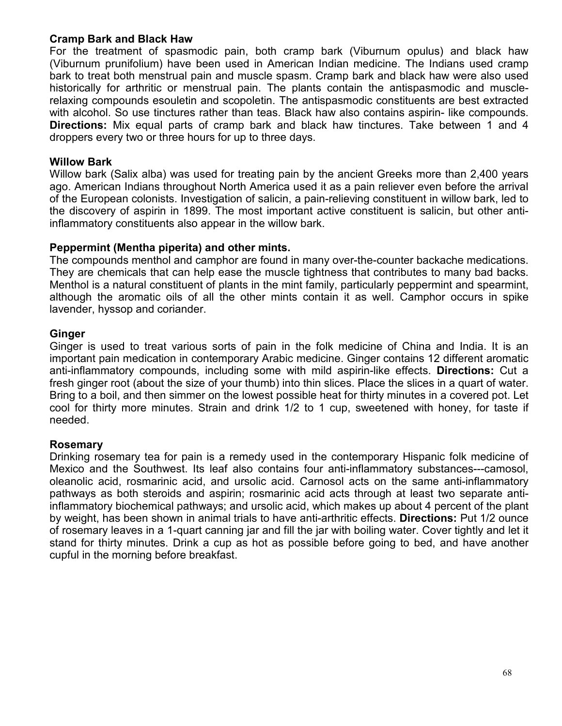#### **Cramp Bark and Black Haw**

For the treatment of spasmodic pain, both cramp bark (Viburnum opulus) and black haw (Viburnum prunifolium) have been used in American Indian medicine. The Indians used cramp bark to treat both menstrual pain and muscle spasm. Cramp bark and black haw were also used historically for arthritic or menstrual pain. The plants contain the antispasmodic and musclerelaxing compounds esouletin and scopoletin. The antispasmodic constituents are best extracted with alcohol. So use tinctures rather than teas. Black haw also contains aspirin- like compounds. **Directions:** Mix equal parts of cramp bark and black haw tinctures. Take between 1 and 4 droppers every two or three hours for up to three days.

#### **Willow Bark**

Willow bark (Salix alba) was used for treating pain by the ancient Greeks more than 2,400 years ago. American Indians throughout North America used it as a pain reliever even before the arrival of the European colonists. Investigation of salicin, a pain-relieving constituent in willow bark, led to the discovery of aspirin in 1899. The most important active constituent is salicin, but other antiinflammatory constituents also appear in the willow bark.

#### **Peppermint (Mentha piperita) and other mints.**

The compounds menthol and camphor are found in many over-the-counter backache medications. They are chemicals that can help ease the muscle tightness that contributes to many bad backs. Menthol is a natural constituent of plants in the mint family, particularly peppermint and spearmint, although the aromatic oils of all the other mints contain it as well. Camphor occurs in spike lavender, hyssop and coriander.

#### **Ginger**

Ginger is used to treat various sorts of pain in the folk medicine of China and India. It is an important pain medication in contemporary Arabic medicine. Ginger contains 12 different aromatic anti-inflammatory compounds, including some with mild aspirin-like effects. **Directions:** Cut a fresh ginger root (about the size of your thumb) into thin slices. Place the slices in a quart of water. Bring to a boil, and then simmer on the lowest possible heat for thirty minutes in a covered pot. Let cool for thirty more minutes. Strain and drink 1/2 to 1 cup, sweetened with honey, for taste if needed.

#### **Rosemary**

Drinking rosemary tea for pain is a remedy used in the contemporary Hispanic folk medicine of Mexico and the Southwest. Its leaf also contains four anti-inflammatory substances---camosol, oleanolic acid, rosmarinic acid, and ursolic acid. Carnosol acts on the same anti-inflammatory pathways as both steroids and aspirin; rosmarinic acid acts through at least two separate antiinflammatory biochemical pathways; and ursolic acid, which makes up about 4 percent of the plant by weight, has been shown in animal trials to have anti-arthritic effects. **Directions:** Put 1/2 ounce of rosemary leaves in a 1-quart canning jar and fill the jar with boiling water. Cover tightly and let it stand for thirty minutes. Drink a cup as hot as possible before going to bed, and have another cupful in the morning before breakfast.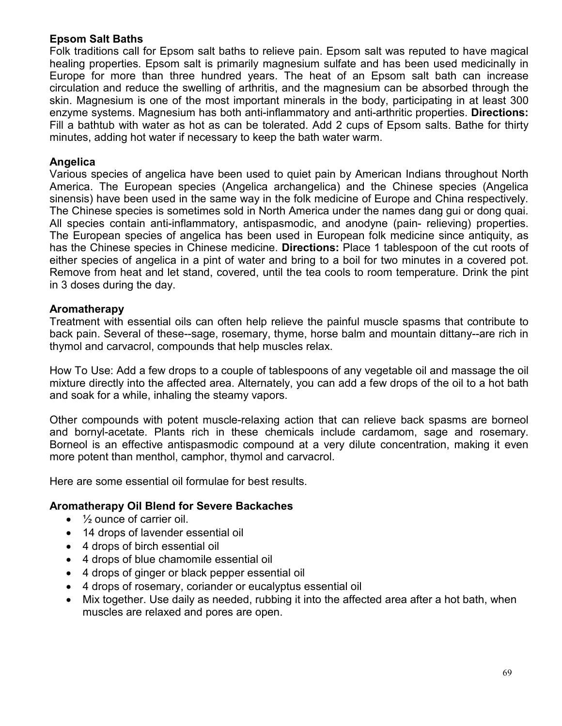#### **Epsom Salt Baths**

Folk traditions call for Epsom salt baths to relieve pain. Epsom salt was reputed to have magical healing properties. Epsom salt is primarily magnesium sulfate and has been used medicinally in Europe for more than three hundred years. The heat of an Epsom salt bath can increase circulation and reduce the swelling of arthritis, and the magnesium can be absorbed through the skin. Magnesium is one of the most important minerals in the body, participating in at least 300 enzyme systems. Magnesium has both anti-inflammatory and anti-arthritic properties. **Directions:** Fill a bathtub with water as hot as can be tolerated. Add 2 cups of Epsom salts. Bathe for thirty minutes, adding hot water if necessary to keep the bath water warm.

### **Angelica**

Various species of angelica have been used to quiet pain by American Indians throughout North America. The European species (Angelica archangelica) and the Chinese species (Angelica sinensis) have been used in the same way in the folk medicine of Europe and China respectively. The Chinese species is sometimes sold in North America under the names dang gui or dong quai. All species contain anti-inflammatory, antispasmodic, and anodyne (pain- relieving) properties. The European species of angelica has been used in European folk medicine since antiquity, as has the Chinese species in Chinese medicine. **Directions:** Place 1 tablespoon of the cut roots of either species of angelica in a pint of water and bring to a boil for two minutes in a covered pot. Remove from heat and let stand, covered, until the tea cools to room temperature. Drink the pint in 3 doses during the day.

### **Aromatherapy**

Treatment with essential oils can often help relieve the painful muscle spasms that contribute to back pain. Several of these--sage, rosemary, thyme, horse balm and mountain dittany--are rich in thymol and carvacrol, compounds that help muscles relax.

How To Use: Add a few drops to a couple of tablespoons of any vegetable oil and massage the oil mixture directly into the affected area. Alternately, you can add a few drops of the oil to a hot bath and soak for a while, inhaling the steamy vapors.

Other compounds with potent muscle-relaxing action that can relieve back spasms are borneol and bornyl-acetate. Plants rich in these chemicals include cardamom, sage and rosemary. Borneol is an effective antispasmodic compound at a very dilute concentration, making it even more potent than menthol, camphor, thymol and carvacrol.

Here are some essential oil formulae for best results.

## **Aromatherapy Oil Blend for Severe Backaches**

- $\frac{1}{2}$  ounce of carrier oil.
- 14 drops of lavender essential oil
- 4 drops of birch essential oil
- 4 drops of blue chamomile essential oil
- 4 drops of ginger or black pepper essential oil
- 4 drops of rosemary, coriander or eucalyptus essential oil
- Mix together. Use daily as needed, rubbing it into the affected area after a hot bath, when muscles are relaxed and pores are open.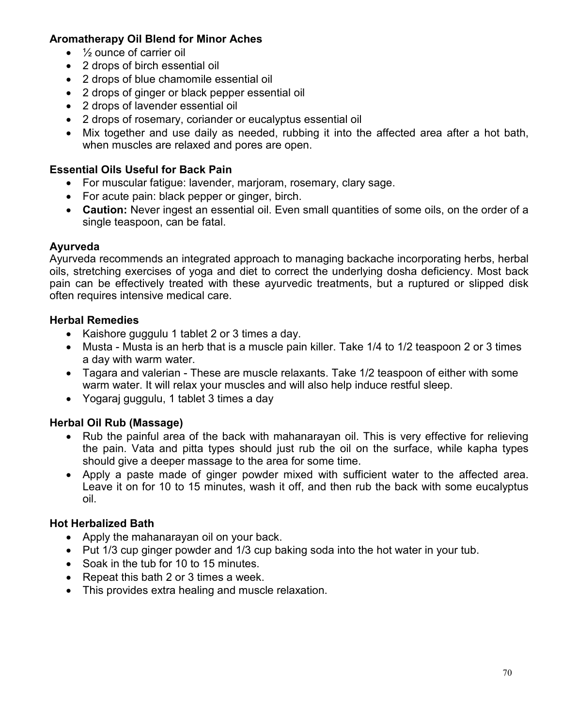## **Aromatherapy Oil Blend for Minor Aches**

- ½ ounce of carrier oil
- 2 drops of birch essential oil
- 2 drops of blue chamomile essential oil
- 2 drops of ginger or black pepper essential oil
- 2 drops of lavender essential oil
- 2 drops of rosemary, coriander or eucalyptus essential oil
- Mix together and use daily as needed, rubbing it into the affected area after a hot bath, when muscles are relaxed and pores are open.

## **Essential Oils Useful for Back Pain**

- For muscular fatigue: lavender, marjoram, rosemary, clary sage.
- For acute pain: black pepper or ginger, birch.
- **Caution:** Never ingest an essential oil. Even small quantities of some oils, on the order of a single teaspoon, can be fatal.

### **Ayurveda**

Ayurveda recommends an integrated approach to managing backache incorporating herbs, herbal oils, stretching exercises of yoga and diet to correct the underlying dosha deficiency. Most back pain can be effectively treated with these ayurvedic treatments, but a ruptured or slipped disk often requires intensive medical care.

## **Herbal Remedies**

- Kaishore guggulu 1 tablet 2 or 3 times a day.
- Musta Musta is an herb that is a muscle pain killer. Take 1/4 to 1/2 teaspoon 2 or 3 times a day with warm water.
- Tagara and valerian These are muscle relaxants. Take 1/2 teaspoon of either with some warm water. It will relax your muscles and will also help induce restful sleep.
- Yogaraj guggulu, 1 tablet 3 times a day

## **Herbal Oil Rub (Massage)**

- Rub the painful area of the back with mahanarayan oil. This is very effective for relieving the pain. Vata and pitta types should just rub the oil on the surface, while kapha types should give a deeper massage to the area for some time.
- Apply a paste made of ginger powder mixed with sufficient water to the affected area. Leave it on for 10 to 15 minutes, wash it off, and then rub the back with some eucalyptus oil.

## **Hot Herbalized Bath**

- Apply the mahanarayan oil on your back.
- Put 1/3 cup ginger powder and 1/3 cup baking soda into the hot water in your tub.
- Soak in the tub for 10 to 15 minutes.
- Repeat this bath 2 or 3 times a week.
- This provides extra healing and muscle relaxation.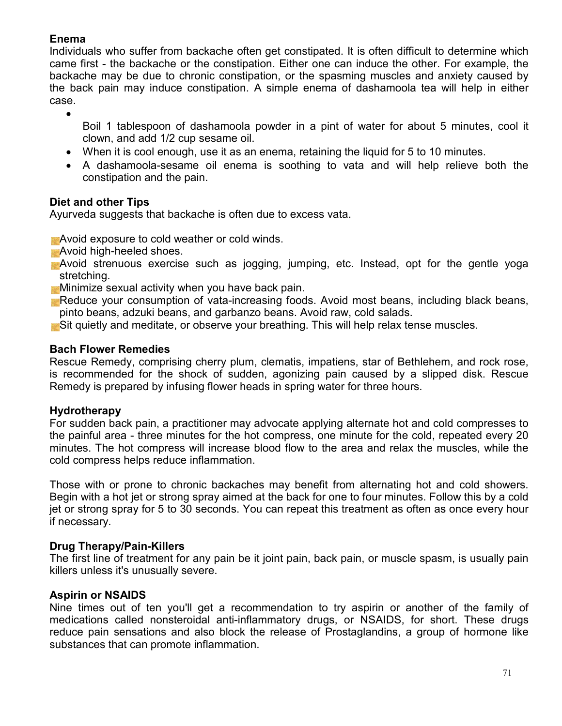## **Enema**

Individuals who suffer from backache often get constipated. It is often difficult to determine which came first - the backache or the constipation. Either one can induce the other. For example, the backache may be due to chronic constipation, or the spasming muscles and anxiety caused by the back pain may induce constipation. A simple enema of dashamoola tea will help in either case.

•

Boil 1 tablespoon of dashamoola powder in a pint of water for about 5 minutes, cool it clown, and add 1/2 cup sesame oil.

- When it is cool enough, use it as an enema, retaining the liquid for 5 to 10 minutes.
- A dashamoola-sesame oil enema is soothing to vata and will help relieve both the constipation and the pain.

## **Diet and other Tips**

Ayurveda suggests that backache is often due to excess vata.

**Avoid exposure to cold weather or cold winds.** 

- Avoid high-heeled shoes.
- Avoid strenuous exercise such as jogging, jumping, etc. Instead, opt for the gentle yoga stretching.
- Minimize sexual activity when you have back pain.
- Reduce your consumption of vata-increasing foods. Avoid most beans, including black beans, pinto beans, adzuki beans, and garbanzo beans. Avoid raw, cold salads.
- Sit quietly and meditate, or observe your breathing. This will help relax tense muscles.

### **Bach Flower Remedies**

Rescue Remedy, comprising cherry plum, clematis, impatiens, star of Bethlehem, and rock rose, is recommended for the shock of sudden, agonizing pain caused by a slipped disk. Rescue Remedy is prepared by infusing flower heads in spring water for three hours.

## **Hydrotherapy**

For sudden back pain, a practitioner may advocate applying alternate hot and cold compresses to the painful area - three minutes for the hot compress, one minute for the cold, repeated every 20 minutes. The hot compress will increase blood flow to the area and relax the muscles, while the cold compress helps reduce inflammation.

Those with or prone to chronic backaches may benefit from alternating hot and cold showers. Begin with a hot jet or strong spray aimed at the back for one to four minutes. Follow this by a cold jet or strong spray for 5 to 30 seconds. You can repeat this treatment as often as once every hour if necessary.

## **Drug Therapy/Pain-Killers**

The first line of treatment for any pain be it joint pain, back pain, or muscle spasm, is usually pain killers unless it's unusually severe.

## **Aspirin or NSAIDS**

Nine times out of ten you'll get a recommendation to try aspirin or another of the family of medications called nonsteroidal anti-inflammatory drugs, or NSAIDS, for short. These drugs reduce pain sensations and also block the release of Prostaglandins, a group of hormone like substances that can promote inflammation.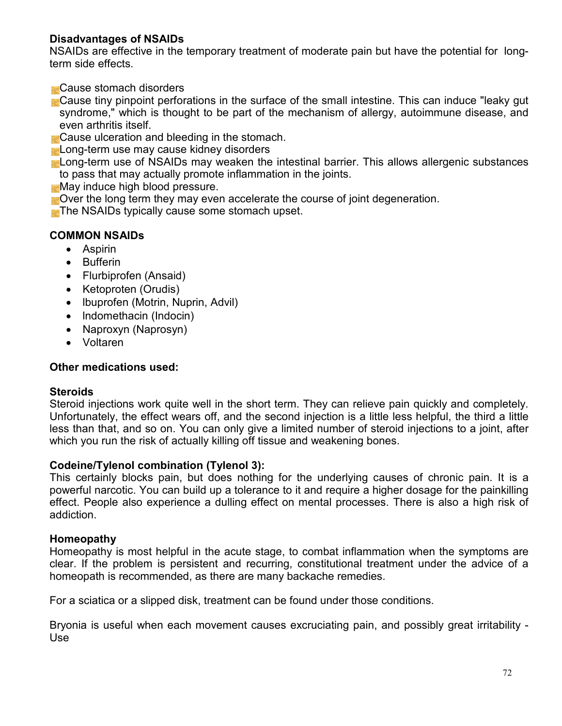## **Disadvantages of NSAIDs**

NSAIDs are effective in the temporary treatment of moderate pain but have the potential for longterm side effects.

- Cause stomach disorders
- **Cause tiny pinpoint perforations in the surface of the small intestine. This can induce "leaky gut**" syndrome," which is thought to be part of the mechanism of allergy, autoimmune disease, and even arthritis itself.

Cause ulceration and bleeding in the stomach.

Long-term use may cause kidney disorders

**Long-term use of NSAIDs may weaken the intestinal barrier. This allows allergenic substances** to pass that may actually promote inflammation in the joints.

**May induce high blood pressure.** 

Over the long term they may even accelerate the course of joint degeneration.

The NSAIDs typically cause some stomach upset.

#### **COMMON NSAIDs**

- Aspirin
- Bufferin
- Flurbiprofen (Ansaid)
- Ketoproten (Orudis)
- lbuprofen (Motrin, Nuprin, Advil)
- Indomethacin (Indocin)
- Naproxyn (Naprosyn)
- Voltaren

#### **Other medications used:**

#### **Steroids**

Steroid injections work quite well in the short term. They can relieve pain quickly and completely. Unfortunately, the effect wears off, and the second injection is a little less helpful, the third a little less than that, and so on. You can only give a limited number of steroid injections to a joint, after which you run the risk of actually killing off tissue and weakening bones.

#### **Codeine/Tylenol combination (Tylenol 3):**

This certainly blocks pain, but does nothing for the underlying causes of chronic pain. It is a powerful narcotic. You can build up a tolerance to it and require a higher dosage for the painkilling effect. People also experience a dulling effect on mental processes. There is also a high risk of addiction.

#### **Homeopathy**

Homeopathy is most helpful in the acute stage, to combat inflammation when the symptoms are clear. If the problem is persistent and recurring, constitutional treatment under the advice of a homeopath is recommended, as there are many backache remedies.

For a sciatica or a slipped disk, treatment can be found under those conditions.

Bryonia is useful when each movement causes excruciating pain, and possibly great irritability - Use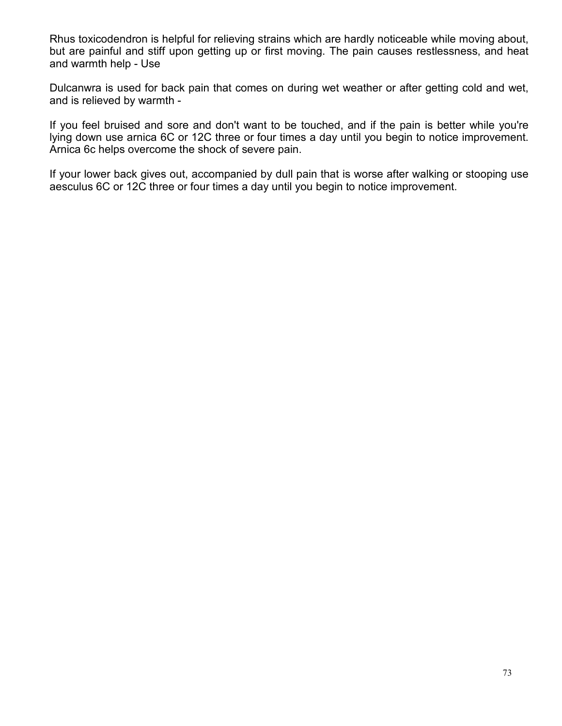Rhus toxicodendron is helpful for relieving strains which are hardly noticeable while moving about, but are painful and stiff upon getting up or first moving. The pain causes restlessness, and heat and warmth help - Use

Dulcanwra is used for back pain that comes on during wet weather or after getting cold and wet, and is relieved by warmth -

If you feel bruised and sore and don't want to be touched, and if the pain is better while you're lying down use arnica 6C or 12C three or four times a day until you begin to notice improvement. Arnica 6c helps overcome the shock of severe pain.

If your lower back gives out, accompanied by dull pain that is worse after walking or stooping use aesculus 6C or 12C three or four times a day until you begin to notice improvement.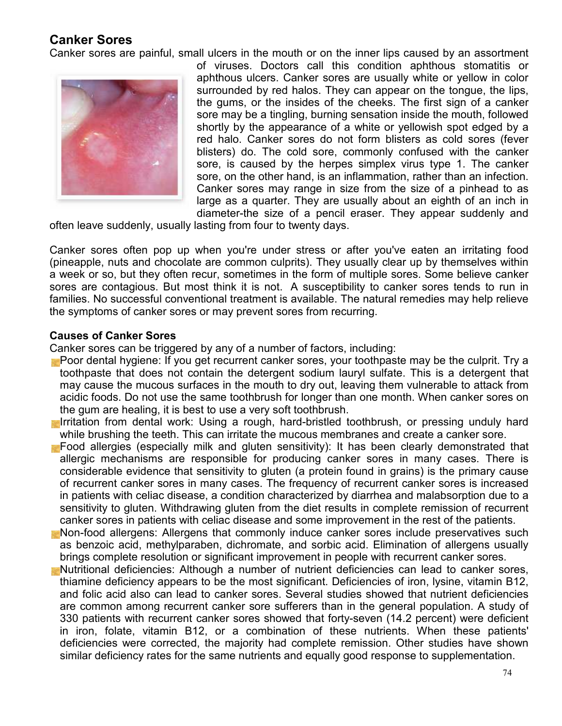# **Canker Sores**

Canker sores are painful, small ulcers in the mouth or on the inner lips caused by an assortment



of viruses. Doctors call this condition aphthous stomatitis or aphthous ulcers. Canker sores are usually white or yellow in color surrounded by red halos. They can appear on the tongue, the lips, the gums, or the insides of the cheeks. The first sign of a canker sore may be a tingling, burning sensation inside the mouth, followed shortly by the appearance of a white or yellowish spot edged by a red halo. Canker sores do not form blisters as cold sores (fever blisters) do. The cold sore, commonly confused with the canker sore, is caused by the herpes simplex virus type 1. The canker sore, on the other hand, is an inflammation, rather than an infection. Canker sores may range in size from the size of a pinhead to as large as a quarter. They are usually about an eighth of an inch in diameter-the size of a pencil eraser. They appear suddenly and

often leave suddenly, usually lasting from four to twenty days.

Canker sores often pop up when you're under stress or after you've eaten an irritating food (pineapple, nuts and chocolate are common culprits). They usually clear up by themselves within a week or so, but they often recur, sometimes in the form of multiple sores. Some believe canker sores are contagious. But most think it is not. A susceptibility to canker sores tends to run in families. No successful conventional treatment is available. The natural remedies may help relieve the symptoms of canker sores or may prevent sores from recurring.

#### **Causes of Canker Sores**

Canker sores can be triggered by any of a number of factors, including:

- Poor dental hygiene: If you get recurrent canker sores, your toothpaste may be the culprit. Try a toothpaste that does not contain the detergent sodium lauryl sulfate. This is a detergent that may cause the mucous surfaces in the mouth to dry out, leaving them vulnerable to attack from acidic foods. Do not use the same toothbrush for longer than one month. When canker sores on the gum are healing, it is best to use a very soft toothbrush.
- Irritation from dental work: Using a rough, hard-bristled toothbrush, or pressing unduly hard while brushing the teeth. This can irritate the mucous membranes and create a canker sore.
- Food allergies (especially milk and gluten sensitivity): It has been clearly demonstrated that allergic mechanisms are responsible for producing canker sores in many cases. There is considerable evidence that sensitivity to gluten (a protein found in grains) is the primary cause of recurrent canker sores in many cases. The frequency of recurrent canker sores is increased in patients with celiac disease, a condition characterized by diarrhea and malabsorption due to a sensitivity to gluten. Withdrawing gluten from the diet results in complete remission of recurrent canker sores in patients with celiac disease and some improvement in the rest of the patients.
- Non-food allergens: Allergens that commonly induce canker sores include preservatives such as benzoic acid, methylparaben, dichromate, and sorbic acid. Elimination of allergens usually brings complete resolution or significant improvement in people with recurrent canker sores.
- Nutritional deficiencies: Although a number of nutrient deficiencies can lead to canker sores, thiamine deficiency appears to be the most significant. Deficiencies of iron, lysine, vitamin B12, and folic acid also can lead to canker sores. Several studies showed that nutrient deficiencies are common among recurrent canker sore sufferers than in the general population. A study of 330 patients with recurrent canker sores showed that forty-seven (14.2 percent) were deficient in iron, folate, vitamin B12, or a combination of these nutrients. When these patients' deficiencies were corrected, the majority had complete remission. Other studies have shown similar deficiency rates for the same nutrients and equally good response to supplementation.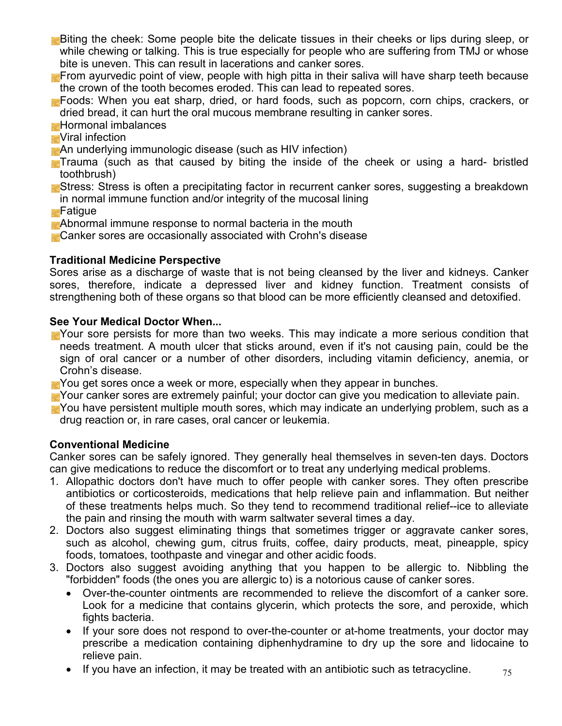- Biting the cheek: Some people bite the delicate tissues in their cheeks or lips during sleep, or while chewing or talking. This is true especially for people who are suffering from TMJ or whose bite is uneven. This can result in lacerations and canker sores.
- From ayurvedic point of view, people with high pitta in their saliva will have sharp teeth because the crown of the tooth becomes eroded. This can lead to repeated sores.
- Foods: When you eat sharp, dried, or hard foods, such as popcorn, corn chips, crackers, or dried bread, it can hurt the oral mucous membrane resulting in canker sores.
- Hormonal imbalances
- Viral infection
- An underlying immunologic disease (such as HIV infection)
- Trauma (such as that caused by biting the inside of the cheek or using a hard- bristled toothbrush)
- Stress: Stress is often a precipitating factor in recurrent canker sores, suggesting a breakdown in normal immune function and/or integrity of the mucosal lining
- Fatigue
- Abnormal immune response to normal bacteria in the mouth
- Canker sores are occasionally associated with Crohn's disease

### **Traditional Medicine Perspective**

Sores arise as a discharge of waste that is not being cleansed by the liver and kidneys. Canker sores, therefore, indicate a depressed liver and kidney function. Treatment consists of strengthening both of these organs so that blood can be more efficiently cleansed and detoxified.

### **See Your Medical Doctor When...**

- Your sore persists for more than two weeks. This may indicate a more serious condition that needs treatment. A mouth ulcer that sticks around, even if it's not causing pain, could be the sign of oral cancer or a number of other disorders, including vitamin deficiency, anemia, or Crohn's disease.
- You get sores once a week or more, especially when they appear in bunches.
- Your canker sores are extremely painful; your doctor can give you medication to alleviate pain.
- You have persistent multiple mouth sores, which may indicate an underlying problem, such as a drug reaction or, in rare cases, oral cancer or leukemia.

#### **Conventional Medicine**

Canker sores can be safely ignored. They generally heal themselves in seven-ten days. Doctors can give medications to reduce the discomfort or to treat any underlying medical problems.

- 1. Allopathic doctors don't have much to offer people with canker sores. They often prescribe antibiotics or corticosteroids, medications that help relieve pain and inflammation. But neither of these treatments helps much. So they tend to recommend traditional relief--ice to alleviate the pain and rinsing the mouth with warm saltwater several times a day.
- 2. Doctors also suggest eliminating things that sometimes trigger or aggravate canker sores, such as alcohol, chewing gum, citrus fruits, coffee, dairy products, meat, pineapple, spicy foods, tomatoes, toothpaste and vinegar and other acidic foods.
- 3. Doctors also suggest avoiding anything that you happen to be allergic to. Nibbling the "forbidden" foods (the ones you are allergic to) is a notorious cause of canker sores.
	- Over-the-counter ointments are recommended to relieve the discomfort of a canker sore. Look for a medicine that contains glycerin, which protects the sore, and peroxide, which fights bacteria.
	- If your sore does not respond to over-the-counter or at-home treatments, your doctor may prescribe a medication containing diphenhydramine to dry up the sore and lidocaine to relieve pain.
	- If you have an infection, it may be treated with an antibiotic such as tetracycline.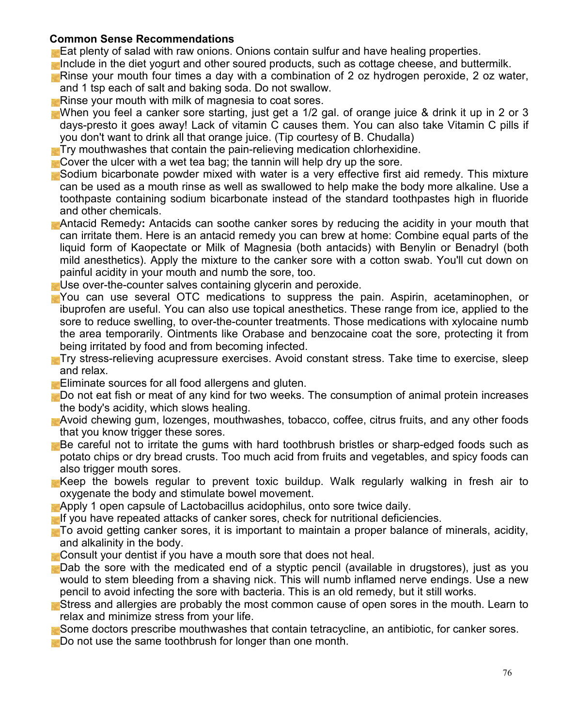#### **Common Sense Recommendations**

Eat plenty of salad with raw onions. Onions contain sulfur and have healing properties.

Include in the diet yogurt and other soured products, such as cottage cheese, and buttermilk.

- Rinse your mouth four times a day with a combination of 2 oz hydrogen peroxide, 2 oz water, and 1 tsp each of salt and baking soda. Do not swallow.
- Rinse your mouth with milk of magnesia to coat sores.
- When you feel a canker sore starting, just get a 1/2 gal. of orange juice & drink it up in 2 or 3 days-presto it goes away! Lack of vitamin C causes them. You can also take Vitamin C pills if you don't want to drink all that orange juice. (Tip courtesy of B. Chudalla)
- Try mouthwashes that contain the pain-relieving medication chlorhexidine.
- Cover the ulcer with a wet tea bag; the tannin will help dry up the sore.
- Sodium bicarbonate powder mixed with water is a very effective first aid remedy. This mixture can be used as a mouth rinse as well as swallowed to help make the body more alkaline. Use a toothpaste containing sodium bicarbonate instead of the standard toothpastes high in fluoride and other chemicals.
- Antacid Remedy**:** Antacids can soothe canker sores by reducing the acidity in your mouth that can irritate them. Here is an antacid remedy you can brew at home: Combine equal parts of the liquid form of Kaopectate or Milk of Magnesia (both antacids) with Benylin or Benadryl (both mild anesthetics). Apply the mixture to the canker sore with a cotton swab. You'll cut down on painful acidity in your mouth and numb the sore, too.
- Use over-the-counter salves containing glycerin and peroxide.
- You can use several OTC medications to suppress the pain. Aspirin, acetaminophen, or ibuprofen are useful. You can also use topical anesthetics. These range from ice, applied to the sore to reduce swelling, to over-the-counter treatments. Those medications with xylocaine numb the area temporarily. Ointments like Orabase and benzocaine coat the sore, protecting it from being irritated by food and from becoming infected.
- Try stress-relieving acupressure exercises. Avoid constant stress. Take time to exercise, sleep and relax.
- Eliminate sources for all food allergens and gluten.
- Do not eat fish or meat of any kind for two weeks. The consumption of animal protein increases the body's acidity, which slows healing.
- Avoid chewing gum, lozenges, mouthwashes, tobacco, coffee, citrus fruits, and any other foods that you know trigger these sores.
- Be careful not to irritate the gums with hard toothbrush bristles or sharp-edged foods such as potato chips or dry bread crusts. Too much acid from fruits and vegetables, and spicy foods can also trigger mouth sores.
- Keep the bowels regular to prevent toxic buildup. Walk regularly walking in fresh air to oxygenate the body and stimulate bowel movement.

Apply 1 open capsule of Lactobacillus acidophilus, onto sore twice daily.

- If you have repeated attacks of canker sores, check for nutritional deficiencies.
- To avoid getting canker sores, it is important to maintain a proper balance of minerals, acidity, and alkalinity in the body.
- Consult your dentist if you have a mouth sore that does not heal.
- Dab the sore with the medicated end of a styptic pencil (available in drugstores), just as you would to stem bleeding from a shaving nick. This will numb inflamed nerve endings. Use a new pencil to avoid infecting the sore with bacteria. This is an old remedy, but it still works.
- Stress and allergies are probably the most common cause of open sores in the mouth. Learn to relax and minimize stress from your life.

Some doctors prescribe mouthwashes that contain tetracycline, an antibiotic, for canker sores.

Do not use the same toothbrush for longer than one month.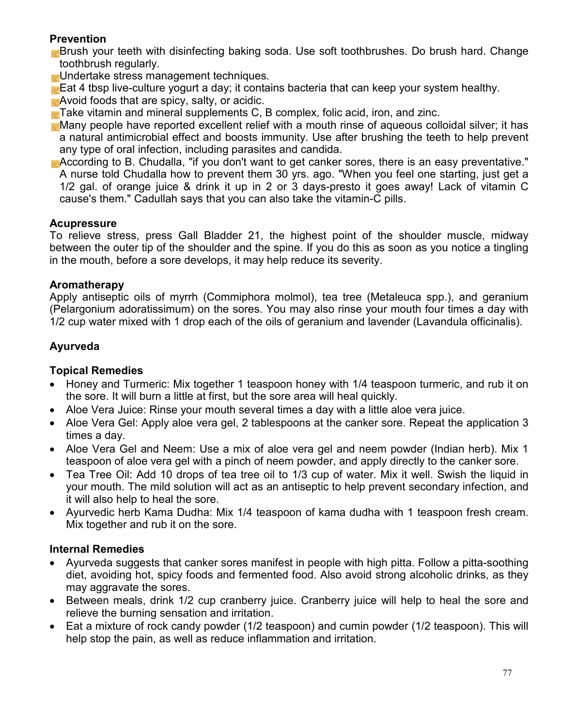## **Prevention**

- Brush your teeth with disinfecting baking soda. Use soft toothbrushes. Do brush hard. Change toothbrush regularly.
- Undertake stress management techniques.
- Eat 4 tbsp live-culture yogurt a day; it contains bacteria that can keep your system healthy.
- Avoid foods that are spicy, salty, or acidic.
- Take vitamin and mineral supplements C, B complex, folic acid, iron, and zinc.
- Many people have reported excellent relief with a mouth rinse of aqueous colloidal silver; it has a natural antimicrobial effect and boosts immunity. Use after brushing the teeth to help prevent any type of oral infection, including parasites and candida.
- According to B. Chudalla, "if you don't want to get canker sores, there is an easy preventative." A nurse told Chudalla how to prevent them 30 yrs. ago. "When you feel one starting, just get a 1/2 gal. of orange juice & drink it up in 2 or 3 days-presto it goes away! Lack of vitamin C cause's them." Cadullah says that you can also take the vitamin-C pills.

### **Acupressure**

To relieve stress, press Gall Bladder 21, the highest point of the shoulder muscle, midway between the outer tip of the shoulder and the spine. If you do this as soon as you notice a tingling in the mouth, before a sore develops, it may help reduce its severity.

### **Aromatherapy**

Apply antiseptic oils of myrrh (Commiphora molmol), tea tree (Metaleuca spp.), and geranium (Pelargonium adoratissimum) on the sores. You may also rinse your mouth four times a day with 1/2 cup water mixed with 1 drop each of the oils of geranium and lavender (Lavandula officinalis).

## **Ayurveda**

## **Topical Remedies**

- Honey and Turmeric: Mix together 1 teaspoon honey with 1/4 teaspoon turmeric, and rub it on the sore. It will burn a little at first, but the sore area will heal quickly.
- Aloe Vera Juice: Rinse your mouth several times a day with a little aloe vera juice.
- Aloe Vera Gel: Apply aloe vera gel, 2 tablespoons at the canker sore. Repeat the application 3 times a day.
- Aloe Vera Gel and Neem: Use a mix of aloe vera gel and neem powder (Indian herb). Mix 1 teaspoon of aloe vera gel with a pinch of neem powder, and apply directly to the canker sore.
- Tea Tree Oil: Add 10 drops of tea tree oil to 1/3 cup of water. Mix it well. Swish the liquid in your mouth. The mild solution will act as an antiseptic to help prevent secondary infection, and it will also help to heal the sore.
- Ayurvedic herb Kama Dudha: Mix 1/4 teaspoon of kama dudha with 1 teaspoon fresh cream. Mix together and rub it on the sore.

## **Internal Remedies**

- Ayurveda suggests that canker sores manifest in people with high pitta. Follow a pitta-soothing diet, avoiding hot, spicy foods and fermented food. Also avoid strong alcoholic drinks, as they may aggravate the sores.
- Between meals, drink 1/2 cup cranberry juice. Cranberry juice will help to heal the sore and relieve the burning sensation and irritation.
- Eat a mixture of rock candy powder (1/2 teaspoon) and cumin powder (1/2 teaspoon). This will help stop the pain, as well as reduce inflammation and irritation.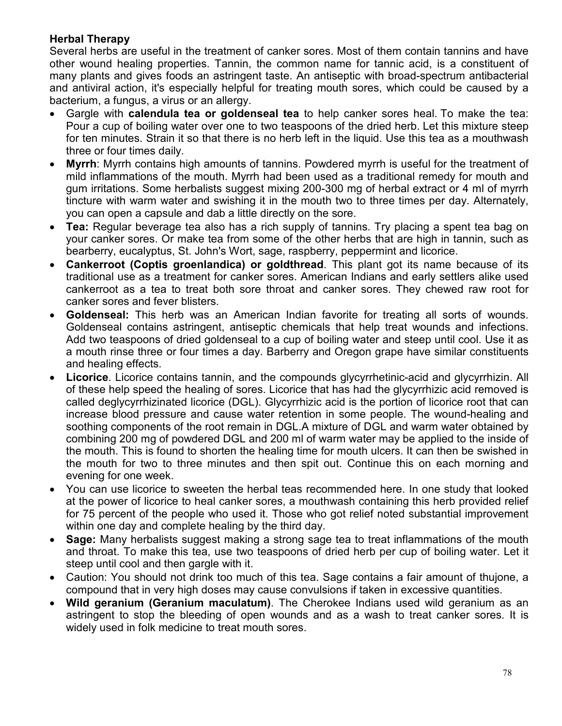### **Herbal Therapy**

Several herbs are useful in the treatment of canker sores. Most of them contain tannins and have other wound healing properties. Tannin, the common name for tannic acid, is a constituent of many plants and gives foods an astringent taste. An antiseptic with broad-spectrum antibacterial and antiviral action, it's especially helpful for treating mouth sores, which could be caused by a bacterium, a fungus, a virus or an allergy.

- Gargle with **calendula tea or goldenseal tea** to help canker sores heal. To make the tea: Pour a cup of boiling water over one to two teaspoons of the dried herb. Let this mixture steep for ten minutes. Strain it so that there is no herb left in the liquid. Use this tea as a mouthwash three or four times daily.
- **Myrrh**: Myrrh contains high amounts of tannins. Powdered myrrh is useful for the treatment of mild inflammations of the mouth. Myrrh had been used as a traditional remedy for mouth and gum irritations. Some herbalists suggest mixing 200-300 mg of herbal extract or 4 ml of myrrh tincture with warm water and swishing it in the mouth two to three times per day. Alternately, you can open a capsule and dab a little directly on the sore.
- **Tea:** Regular beverage tea also has a rich supply of tannins. Try placing a spent tea bag on your canker sores. Or make tea from some of the other herbs that are high in tannin, such as bearberry, eucalyptus, St. John's Wort, sage, raspberry, peppermint and licorice.
- **Cankerroot (Coptis groenlandica) or goldthread**. This plant got its name because of its traditional use as a treatment for canker sores. American Indians and early settlers alike used cankerroot as a tea to treat both sore throat and canker sores. They chewed raw root for canker sores and fever blisters.
- **Goldenseal:** This herb was an American Indian favorite for treating all sorts of wounds. Goldenseal contains astringent, antiseptic chemicals that help treat wounds and infections. Add two teaspoons of dried goldenseal to a cup of boiling water and steep until cool. Use it as a mouth rinse three or four times a day. Barberry and Oregon grape have similar constituents and healing effects.
- **Licorice**. Licorice contains tannin, and the compounds glycyrrhetinic-acid and glycyrrhizin. All of these help speed the healing of sores. Licorice that has had the glycyrrhizic acid removed is called deglycyrrhizinated licorice (DGL). Glycyrrhizic acid is the portion of licorice root that can increase blood pressure and cause water retention in some people. The wound-healing and soothing components of the root remain in DGL.A mixture of DGL and warm water obtained by combining 200 mg of powdered DGL and 200 ml of warm water may be applied to the inside of the mouth. This is found to shorten the healing time for mouth ulcers. It can then be swished in the mouth for two to three minutes and then spit out. Continue this on each morning and evening for one week.
- You can use licorice to sweeten the herbal teas recommended here. In one study that looked at the power of licorice to heal canker sores, a mouthwash containing this herb provided relief for 75 percent of the people who used it. Those who got relief noted substantial improvement within one day and complete healing by the third day.
- **Sage:** Many herbalists suggest making a strong sage tea to treat inflammations of the mouth and throat. To make this tea, use two teaspoons of dried herb per cup of boiling water. Let it steep until cool and then gargle with it.
- Caution: You should not drink too much of this tea. Sage contains a fair amount of thujone, a compound that in very high doses may cause convulsions if taken in excessive quantities.
- **Wild geranium (Geranium maculatum)**. The Cherokee Indians used wild geranium as an astringent to stop the bleeding of open wounds and as a wash to treat canker sores. It is widely used in folk medicine to treat mouth sores.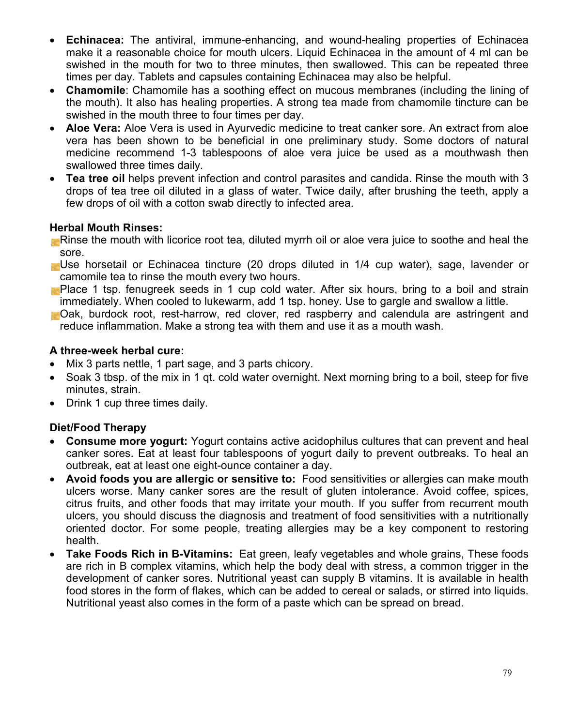- **Echinacea:** The antiviral, immune-enhancing, and wound-healing properties of Echinacea make it a reasonable choice for mouth ulcers. Liquid Echinacea in the amount of 4 ml can be swished in the mouth for two to three minutes, then swallowed. This can be repeated three times per day. Tablets and capsules containing Echinacea may also be helpful.
- **Chamomile**: Chamomile has a soothing effect on mucous membranes (including the lining of the mouth). It also has healing properties. A strong tea made from chamomile tincture can be swished in the mouth three to four times per day.
- **Aloe Vera:** Aloe Vera is used in Ayurvedic medicine to treat canker sore. An extract from aloe vera has been shown to be beneficial in one preliminary study. Some doctors of natural medicine recommend 1-3 tablespoons of aloe vera juice be used as a mouthwash then swallowed three times daily.
- **Tea tree oil** helps prevent infection and control parasites and candida. Rinse the mouth with 3 drops of tea tree oil diluted in a glass of water. Twice daily, after brushing the teeth, apply a few drops of oil with a cotton swab directly to infected area.

## **Herbal Mouth Rinses:**

- Rinse the mouth with licorice root tea, diluted myrrh oil or aloe vera juice to soothe and heal the sore.
- Use horsetail or Echinacea tincture (20 drops diluted in 1/4 cup water), sage, lavender or camomile tea to rinse the mouth every two hours.
- Place 1 tsp. fenugreek seeds in 1 cup cold water. After six hours, bring to a boil and strain immediately. When cooled to lukewarm, add 1 tsp. honey. Use to gargle and swallow a little.
- Oak, burdock root, rest-harrow, red clover, red raspberry and calendula are astringent and reduce inflammation. Make a strong tea with them and use it as a mouth wash.

## **A three-week herbal cure:**

- Mix 3 parts nettle, 1 part sage, and 3 parts chicory.
- Soak 3 tbsp. of the mix in 1 qt. cold water overnight. Next morning bring to a boil, steep for five minutes, strain.
- Drink 1 cup three times daily.

## **Diet/Food Therapy**

- **Consume more yogurt:** Yogurt contains active acidophilus cultures that can prevent and heal canker sores. Eat at least four tablespoons of yogurt daily to prevent outbreaks. To heal an outbreak, eat at least one eight-ounce container a day.
- **Avoid foods you are allergic or sensitive to:** Food sensitivities or allergies can make mouth ulcers worse. Many canker sores are the result of gluten intolerance. Avoid coffee, spices, citrus fruits, and other foods that may irritate your mouth. If you suffer from recurrent mouth ulcers, you should discuss the diagnosis and treatment of food sensitivities with a nutritionally oriented doctor. For some people, treating allergies may be a key component to restoring health.
- **Take Foods Rich in B-Vitamins:** Eat green, leafy vegetables and whole grains, These foods are rich in B complex vitamins, which help the body deal with stress, a common trigger in the development of canker sores. Nutritional yeast can supply B vitamins. It is available in health food stores in the form of flakes, which can be added to cereal or salads, or stirred into liquids. Nutritional yeast also comes in the form of a paste which can be spread on bread.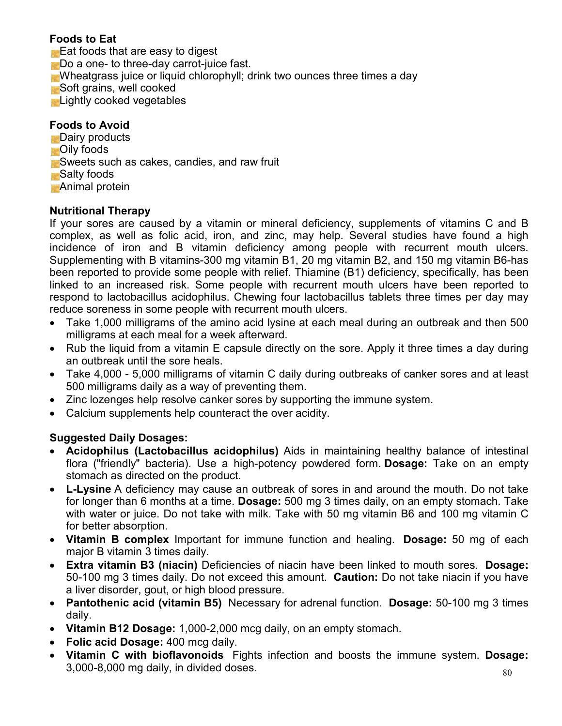## **Foods to Eat**

Eat foods that are easy to digest Do a one- to three-day carrot-juice fast. Wheatgrass juice or liquid chlorophyll; drink two ounces three times a day Soft grains, well cooked **Lightly cooked vegetables** 

## **Foods to Avoid**

**Dairy products** Oily foods Sweets such as cakes, candies, and raw fruit Salty foods Animal protein

## **Nutritional Therapy**

If your sores are caused by a vitamin or mineral deficiency, supplements of vitamins C and B complex, as well as folic acid, iron, and zinc, may help. Several studies have found a high incidence of iron and B vitamin deficiency among people with recurrent mouth ulcers. Supplementing with B vitamins-300 mg vitamin B1, 20 mg vitamin B2, and 150 mg vitamin B6-has been reported to provide some people with relief. Thiamine (B1) deficiency, specifically, has been linked to an increased risk. Some people with recurrent mouth ulcers have been reported to respond to lactobacillus acidophilus. Chewing four lactobacillus tablets three times per day may reduce soreness in some people with recurrent mouth ulcers.

- Take 1,000 milligrams of the amino acid lysine at each meal during an outbreak and then 500 milligrams at each meal for a week afterward.
- Rub the liquid from a vitamin E capsule directly on the sore. Apply it three times a day during an outbreak until the sore heals.
- Take 4,000 5,000 milligrams of vitamin C daily during outbreaks of canker sores and at least 500 milligrams daily as a way of preventing them.
- Zinc lozenges help resolve canker sores by supporting the immune system.
- Calcium supplements help counteract the over acidity.

# **Suggested Daily Dosages:**

- **Acidophilus (Lactobacillus acidophilus)** Aids in maintaining healthy balance of intestinal flora ("friendly" bacteria). Use a high-potency powdered form. **Dosage:** Take on an empty stomach as directed on the product.
- **L-Lysine** A deficiency may cause an outbreak of sores in and around the mouth. Do not take for longer than 6 months at a time. **Dosage:** 500 mg 3 times daily, on an empty stomach. Take with water or juice. Do not take with milk. Take with 50 mg vitamin B6 and 100 mg vitamin C for better absorption.
- **Vitamin B complex** Important for immune function and healing. **Dosage:** 50 mg of each major B vitamin 3 times daily.
- **Extra vitamin B3 (niacin)** Deficiencies of niacin have been linked to mouth sores. **Dosage:** 50-100 mg 3 times daily. Do not exceed this amount. **Caution:** Do not take niacin if you have a liver disorder, gout, or high blood pressure.
- **Pantothenic acid (vitamin B5)** Necessary for adrenal function. **Dosage:** 50-100 mg 3 times daily.
- **Vitamin B12 Dosage:** 1,000-2,000 mcg daily, on an empty stomach.
- **Folic acid Dosage:** 400 mcg daily.
- **Vitamin C with bioflavonoids** Fights infection and boosts the immune system. **Dosage:** 3,000-8,000 mg daily, in divided doses.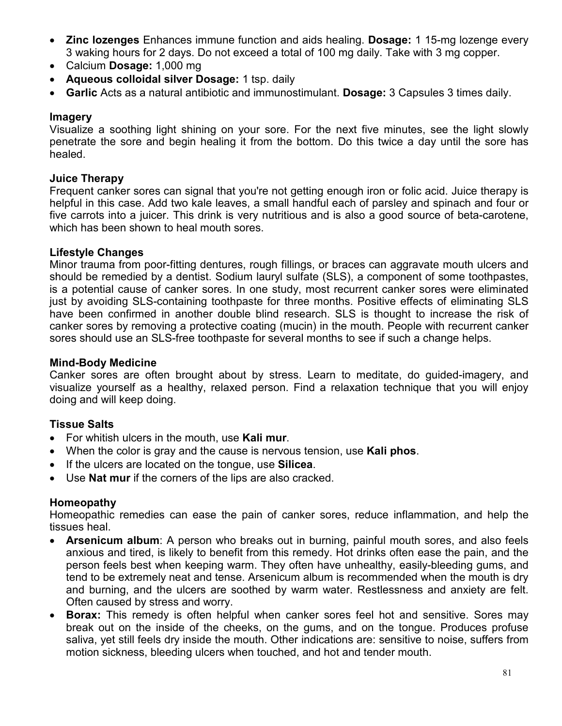- **Zinc lozenges** Enhances immune function and aids healing. **Dosage:** 1 15-mg lozenge every 3 waking hours for 2 days. Do not exceed a total of 100 mg daily. Take with 3 mg copper.
- Calcium **Dosage:** 1,000 mg
- **Aqueous colloidal silver Dosage:** 1 tsp. daily
- **Garlic** Acts as a natural antibiotic and immunostimulant. **Dosage:** 3 Capsules 3 times daily.

#### **Imagery**

Visualize a soothing light shining on your sore. For the next five minutes, see the light slowly penetrate the sore and begin healing it from the bottom. Do this twice a day until the sore has healed.

#### **Juice Therapy**

Frequent canker sores can signal that you're not getting enough iron or folic acid. Juice therapy is helpful in this case. Add two kale leaves, a small handful each of parsley and spinach and four or five carrots into a juicer. This drink is very nutritious and is also a good source of beta-carotene, which has been shown to heal mouth sores.

#### **Lifestyle Changes**

Minor trauma from poor-fitting dentures, rough fillings, or braces can aggravate mouth ulcers and should be remedied by a dentist. Sodium lauryl sulfate (SLS), a component of some toothpastes, is a potential cause of canker sores. In one study, most recurrent canker sores were eliminated just by avoiding SLS-containing toothpaste for three months. Positive effects of eliminating SLS have been confirmed in another double blind research. SLS is thought to increase the risk of canker sores by removing a protective coating (mucin) in the mouth. People with recurrent canker sores should use an SLS-free toothpaste for several months to see if such a change helps.

#### **Mind-Body Medicine**

Canker sores are often brought about by stress. Learn to meditate, do guided-imagery, and visualize yourself as a healthy, relaxed person. Find a relaxation technique that you will enjoy doing and will keep doing.

#### **Tissue Salts**

- For whitish ulcers in the mouth, use **Kali mur**.
- When the color is gray and the cause is nervous tension, use **Kali phos**.
- If the ulcers are located on the tongue, use **Silicea**.
- Use **Nat mur** if the corners of the lips are also cracked.

#### **Homeopathy**

Homeopathic remedies can ease the pain of canker sores, reduce inflammation, and help the tissues heal.

- **Arsenicum album**: A person who breaks out in burning, painful mouth sores, and also feels anxious and tired, is likely to benefit from this remedy. Hot drinks often ease the pain, and the person feels best when keeping warm. They often have unhealthy, easily-bleeding gums, and tend to be extremely neat and tense. Arsenicum album is recommended when the mouth is dry and burning, and the ulcers are soothed by warm water. Restlessness and anxiety are felt. Often caused by stress and worry.
- **Borax:** This remedy is often helpful when canker sores feel hot and sensitive. Sores may break out on the inside of the cheeks, on the gums, and on the tongue. Produces profuse saliva, yet still feels dry inside the mouth. Other indications are: sensitive to noise, suffers from motion sickness, bleeding ulcers when touched, and hot and tender mouth.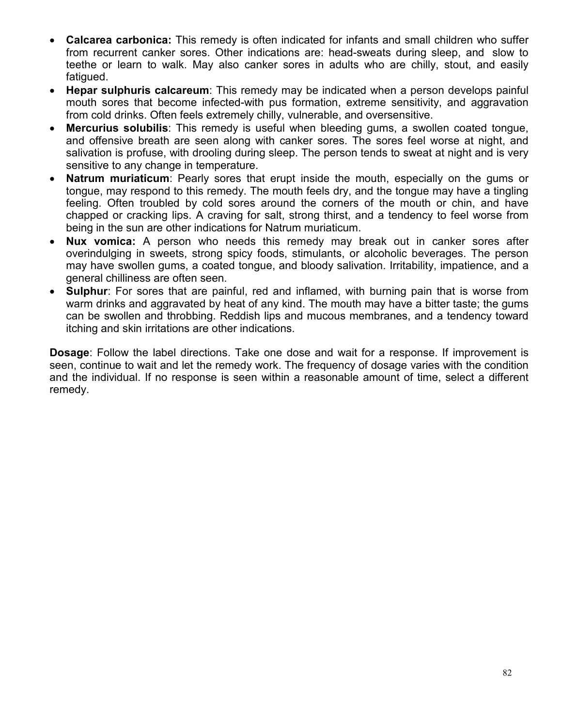- **Calcarea carbonica:** This remedy is often indicated for infants and small children who suffer from recurrent canker sores. Other indications are: head-sweats during sleep, and slow to teethe or learn to walk. May also canker sores in adults who are chilly, stout, and easily fatigued.
- **Hepar sulphuris calcareum**: This remedy may be indicated when a person develops painful mouth sores that become infected-with pus formation, extreme sensitivity, and aggravation from cold drinks. Often feels extremely chilly, vulnerable, and oversensitive.
- **Mercurius solubilis**: This remedy is useful when bleeding gums, a swollen coated tongue, and offensive breath are seen along with canker sores. The sores feel worse at night, and salivation is profuse, with drooling during sleep. The person tends to sweat at night and is very sensitive to any change in temperature.
- **Natrum muriaticum**: Pearly sores that erupt inside the mouth, especially on the gums or tongue, may respond to this remedy. The mouth feels dry, and the tongue may have a tingling feeling. Often troubled by cold sores around the corners of the mouth or chin, and have chapped or cracking lips. A craving for salt, strong thirst, and a tendency to feel worse from being in the sun are other indications for Natrum muriaticum.
- **Nux vomica:** A person who needs this remedy may break out in canker sores after overindulging in sweets, strong spicy foods, stimulants, or alcoholic beverages. The person may have swollen gums, a coated tongue, and bloody salivation. Irritability, impatience, and a general chilliness are often seen.
- **Sulphur**: For sores that are painful, red and inflamed, with burning pain that is worse from warm drinks and aggravated by heat of any kind. The mouth may have a bitter taste; the gums can be swollen and throbbing. Reddish lips and mucous membranes, and a tendency toward itching and skin irritations are other indications.

**Dosage**: Follow the label directions. Take one dose and wait for a response. If improvement is seen, continue to wait and let the remedy work. The frequency of dosage varies with the condition and the individual. If no response is seen within a reasonable amount of time, select a different remedy.